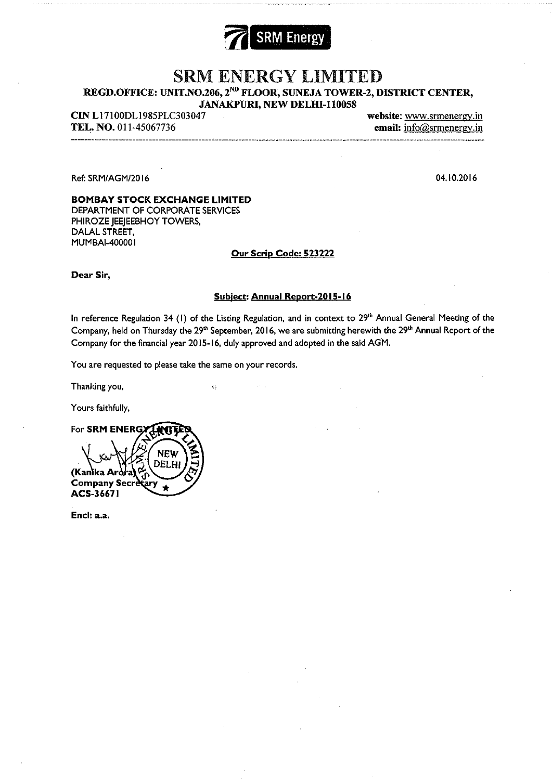

# **SRM ENERGY LIMITED**

REGD.OFFICE: UNIT.NO.206, 2<sup>ND</sup> FLOOR, SUNEJA TOWER-2, DISTRICT CENTER,

JANAKPURI, NEW DELHI-110058

CIN L17100DL1985PLC303047 TEL. NO. 011-45067736

website: www.srmenergy.in email: info@srmenergy.in

Ref: SRM/AGM/2016

04.10.2016

### **BOMBAY STOCK EXCHANGE LIMITED** DEPARTMENT OF CORPORATE SERVICES PHIROZE JEEJEEBHOY TOWERS, DALAL STREET, MUMBAI-400001

#### Our Scrip Code: 523222

Dear Sir,

#### Subject: Annual Report-2015-16

In reference Regulation 34 (I) of the Listing Regulation, and in context to 29th Annual General Meeting of the Company, held on Thursday the 29<sup>th</sup> September, 2016, we are submitting herewith the 29<sup>th</sup> Annual Report of the Company for the financial year 2015-16, duly approved and adopted in the said AGM.

You are requested to please take the same on your records.

X.

Thanking you,

Yours faithfully,

For SRM ENERG **NFV DELH** (Kanika A **Company Secre** ary ACS 36671

Encl: a.a.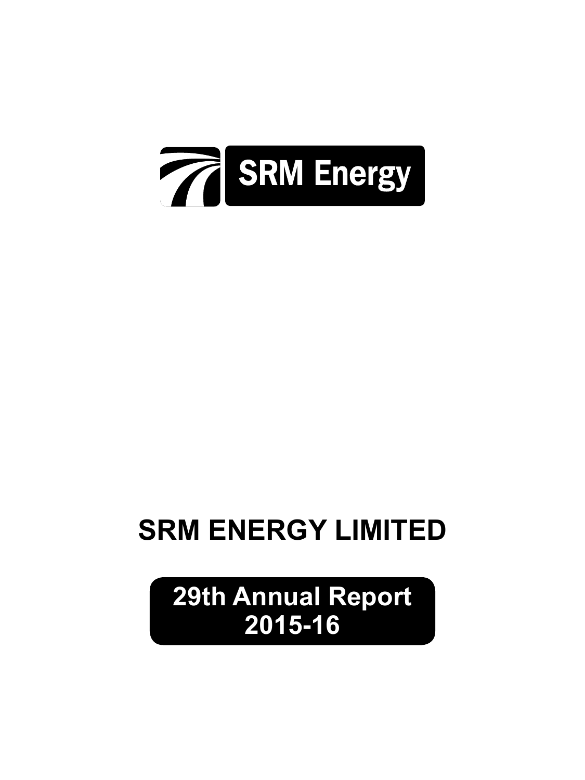

# **SRM ENERGY LIMITED**

**29th Annual Report 2015-16**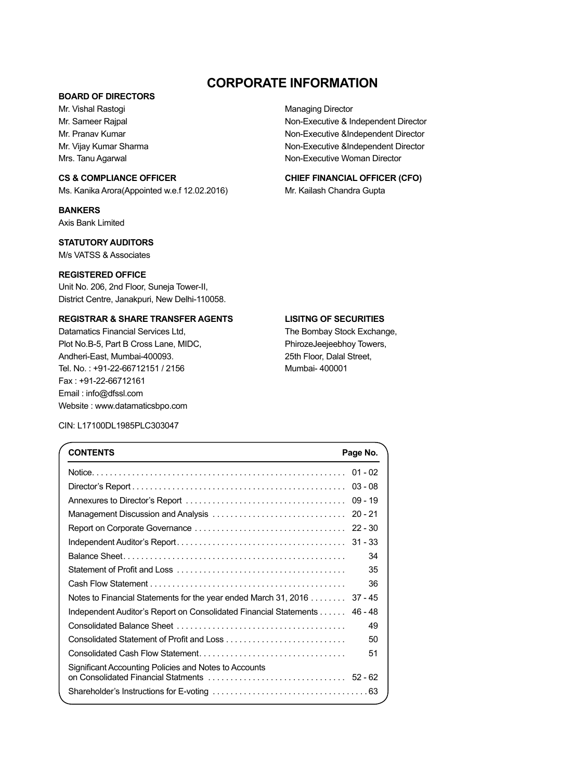# **CORPORATE INFORMATION**

#### **BOARD OF DIRECTORS**

Mr. Vishal Rastogi **Managing Director** Managing Director

Ms. Kanika Arora(Appointed w.e.f 12.02.2016) Mr. Kailash Chandra Gupta

#### **BANKERS**

Axis Bank Limited

#### **STATUTORY AUDITORS**

M/s VATSS & Associates

#### **REGISTERED OFFICE**

Unit No. 206, 2nd Floor, Suneja Tower-II, District Centre, Janakpuri, New Delhi-110058.

#### **REGISTRAR & SHARE TRANSFER AGENTS LISITNG OF SECURITIES**

Datamatics Financial Services Ltd, The Bombay Stock Exchange, Plot No.B-5, Part B Cross Lane, MIDC, PhirozeJeejeebhoy Towers, Andheri-East, Mumbai-400093. 25th Floor, Dalal Street, Tel. No.: +91-22-66712151 / 2156 Mumbai-400001 Fax : +91-22-66712161 Email : info@dfssl.com Website : www.datamaticsbpo.com

Mr. Sameer Rajpal Non-Executive & Independent Director Mr. Pranav Kumar Non-Executive &Independent Director Mr. Vijay Kumar Sharma Non-Executive &Independent Director Mrs. Tanu Agarwal Non-Executive Woman Director

# CS & COMPLIANCE OFFICER **CHIEF FINANCIAL OFFICER** (CFO)

#### CIN: L17100DL1985PLC303047

| <b>CONTENTS</b>                                                           | Page No.  |
|---------------------------------------------------------------------------|-----------|
|                                                                           |           |
|                                                                           | $03 - 08$ |
|                                                                           |           |
|                                                                           | $20 - 21$ |
|                                                                           | $22 - 30$ |
|                                                                           | $31 - 33$ |
|                                                                           | 34        |
|                                                                           | 35        |
|                                                                           | 36        |
| Notes to Financial Statements for the year ended March 31, 2016           | $37 - 45$ |
| Independent Auditor's Report on Consolidated Financial Statements 46 - 48 |           |
|                                                                           | 49        |
|                                                                           | 50        |
|                                                                           | 51        |
| Significant Accounting Policies and Notes to Accounts                     |           |
|                                                                           |           |
|                                                                           |           |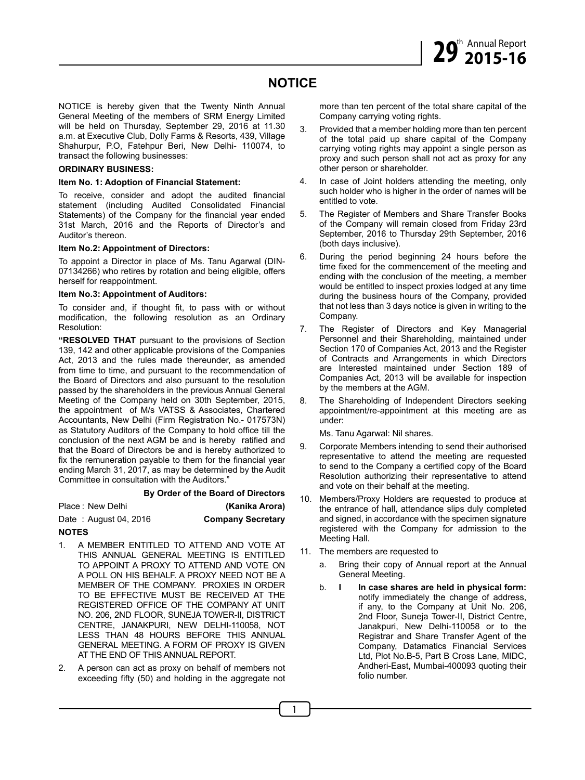# **NOTICE**

NOTICE is hereby given that the Twenty Ninth Annual General Meeting of the members of SRM Energy Limited will be held on Thursday, September 29, 2016 at 11.30 a.m. at Executive Club, Dolly Farms & Resorts, 439, Village Shahurpur, P.O, Fatehpur Beri, New Delhi- 110074, to transact the following businesses:

#### **ORDINARY BUSINESS:**

#### **Item No. 1: Adoption of Financial Statement:**

To receive, consider and adopt the audited financial statement (including Audited Consolidated Financial Statements) of the Company for the financial year ended 31st March, 2016 and the Reports of Director's and Auditor's thereon.

#### **Item No.2: Appointment of Directors:**

To appoint a Director in place of Ms. Tanu Agarwal (DIN-07134266) who retires by rotation and being eligible, offers herself for reappointment.

#### **Item No.3: Appointment of Auditors:**

To consider and, if thought fit, to pass with or without modification, the following resolution as an Ordinary Resolution:

**"RESOLVED THAT** pursuant to the provisions of Section 139, 142 and other applicable provisions of the Companies Act, 2013 and the rules made thereunder, as amended from time to time, and pursuant to the recommendation of the Board of Directors and also pursuant to the resolution passed by the shareholders in the previous Annual General Meeting of the Company held on 30th September, 2015, the appointment of M/s VATSS & Associates, Chartered Accountants, New Delhi (Firm Registration No.- 017573N) as Statutory Auditors of the Company to hold office till the conclusion of the next AGM be and is hereby ratified and that the Board of Directors be and is hereby authorized to fix the remuneration payable to them for the financial year ending March 31, 2017, as may be determined by the Audit Committee in consultation with the Auditors."

#### **By Order of the Board of Directors**

Place : New Delhi **(Kanika Arora)** 

Date : August 04, 2016 **Company Secretary**

#### **NOTES**

- 1. A MEMBER ENTITLED TO ATTEND AND VOTE AT THIS ANNUAL GENERAL MEETING IS ENTITLED TO APPOINT A PROXY TO ATTEND AND VOTE ON A POLL ON HIS BEHALF. A PROXY NEED NOT BE A MEMBER OF THE COMPANY. PROXIES IN ORDER TO BE EFFECTIVE MUST BE RECEIVED AT THE REGISTERED OFFICE OF THE COMPANY AT UNIT NO. 206, 2ND FLOOR, SUNEJA TOWER-II, DISTRICT CENTRE, JANAKPURI, NEW DELHI-110058, NOT LESS THAN 48 HOURS BEFORE THIS ANNUAL GENERAL MEETING. A FORM OF PROXY IS GIVEN AT THE END OF THIS ANNUAL REPORT.
- 2. A person can act as proxy on behalf of members not exceeding fifty (50) and holding in the aggregate not

more than ten percent of the total share capital of the Company carrying voting rights.

- 3. Provided that a member holding more than ten percent of the total paid up share capital of the Company carrying voting rights may appoint a single person as proxy and such person shall not act as proxy for any other person or shareholder.
- 4. In case of Joint holders attending the meeting, only such holder who is higher in the order of names will be entitled to vote.
- 5. The Register of Members and Share Transfer Books of the Company will remain closed from Friday 23rd September, 2016 to Thursday 29th September, 2016 (both days inclusive).
- 6. During the period beginning 24 hours before the time fixed for the commencement of the meeting and ending with the conclusion of the meeting, a member would be entitled to inspect proxies lodged at any time during the business hours of the Company, provided that not less than 3 days notice is given in writing to the Company.
- 7. The Register of Directors and Key Managerial Personnel and their Shareholding, maintained under Section 170 of Companies Act, 2013 and the Register of Contracts and Arrangements in which Directors are Interested maintained under Section 189 of Companies Act, 2013 will be available for inspection by the members at the AGM.
- 8. The Shareholding of Independent Directors seeking appointment/re-appointment at this meeting are as under:

Ms. Tanu Agarwal: Nil shares.

- 9. Corporate Members intending to send their authorised representative to attend the meeting are requested to send to the Company a certified copy of the Board Resolution authorizing their representative to attend and vote on their behalf at the meeting.
- 10. Members/Proxy Holders are requested to produce at the entrance of hall, attendance slips duly completed and signed, in accordance with the specimen signature registered with the Company for admission to the Meeting Hall.
- 11. The members are requested to
	- a. Bring their copy of Annual report at the Annual General Meeting.
	- b. **I In case shares are held in physical form:** notify immediately the change of address, if any, to the Company at Unit No. 206, 2nd Floor, Suneja Tower-II, District Centre, Janakpuri, New Delhi-110058 or to the Registrar and Share Transfer Agent of the Company, Datamatics Financial Services Ltd, Plot No.B-5, Part B Cross Lane, MIDC, Andheri-East, Mumbai-400093 quoting their folio number.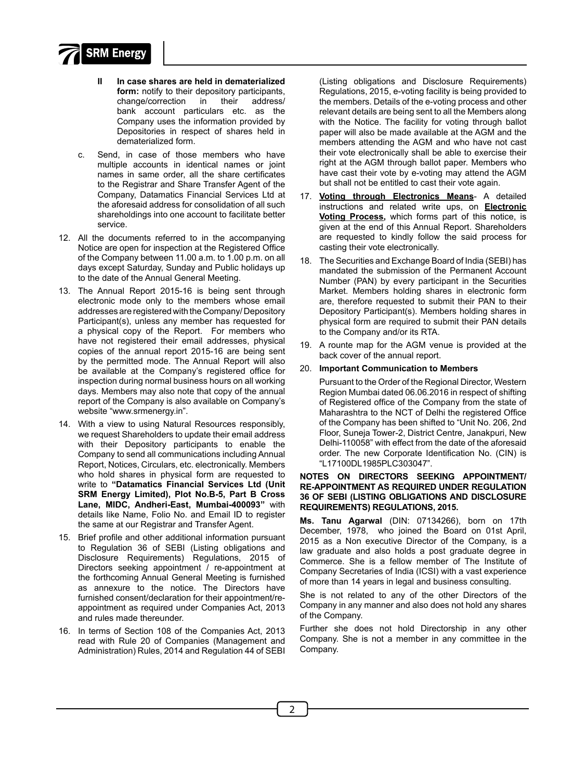

- **II In case shares are held in dematerialized form:** notify to their depository participants, change/correction in their address/ bank account particulars etc. as the Company uses the information provided by Depositories in respect of shares held in dematerialized form.
- c. Send, in case of those members who have multiple accounts in identical names or joint names in same order, all the share certificates to the Registrar and Share Transfer Agent of the Company, Datamatics Financial Services Ltd at the aforesaid address for consolidation of all such shareholdings into one account to facilitate better service.
- 12. All the documents referred to in the accompanying Notice are open for inspection at the Registered Office of the Company between 11.00 a.m. to 1.00 p.m. on all days except Saturday, Sunday and Public holidays up to the date of the Annual General Meeting.
- 13. The Annual Report 2015-16 is being sent through electronic mode only to the members whose email addresses are registered with the Company/ Depository Participant(s), unless any member has requested for a physical copy of the Report. For members who have not registered their email addresses, physical copies of the annual report 2015-16 are being sent by the permitted mode. The Annual Report will also be available at the Company's registered office for inspection during normal business hours on all working days. Members may also note that copy of the annual report of the Company is also available on Company's website "www.srmenergy.in".
- 14. With a view to using Natural Resources responsibly, we request Shareholders to update their email address with their Depository participants to enable the Company to send all communications including Annual Report, Notices, Circulars, etc. electronically. Members who hold shares in physical form are requested to write to **"Datamatics Financial Services Ltd (Unit SRM Energy Limited), Plot No.B-5, Part B Cross Lane, MIDC, Andheri-East, Mumbai-400093"** with details like Name, Folio No. and Email ID to register the same at our Registrar and Transfer Agent.
- 15. Brief profile and other additional information pursuant to Regulation 36 of SEBI (Listing obligations and Disclosure Requirements) Regulations, 2015 of Directors seeking appointment / re-appointment at the forthcoming Annual General Meeting is furnished as annexure to the notice. The Directors have furnished consent/declaration for their appointment/reappointment as required under Companies Act, 2013 and rules made thereunder.
- 16. In terms of Section 108 of the Companies Act, 2013 read with Rule 20 of Companies (Management and Administration) Rules, 2014 and Regulation 44 of SEBI

(Listing obligations and Disclosure Requirements) Regulations, 2015, e-voting facility is being provided to the members. Details of the e-voting process and other relevant details are being sent to all the Members along with the Notice. The facility for voting through ballot paper will also be made available at the AGM and the members attending the AGM and who have not cast their vote electronically shall be able to exercise their right at the AGM through ballot paper. Members who have cast their vote by e-voting may attend the AGM but shall not be entitled to cast their vote again.

- 17. **Voting through Electronics Means** A detailed instructions and related write ups, on **Electronic Voting Process,** which forms part of this notice, is given at the end of this Annual Report. Shareholders are requested to kindly follow the said process for casting their vote electronically.
- 18. The Securities and Exchange Board of India (SEBI) has mandated the submission of the Permanent Account Number (PAN) by every participant in the Securities Market. Members holding shares in electronic form are, therefore requested to submit their PAN to their Depository Participant(s). Members holding shares in physical form are required to submit their PAN details to the Company and/or its RTA.
- 19. A rounte map for the AGM venue is provided at the back cover of the annual report.
- 20. **Important Communication to Members**

Pursuant to the Order of the Regional Director, Western Region Mumbai dated 06.06.2016 in respect of shifting of Registered office of the Company from the state of Maharashtra to the NCT of Delhi the registered Office of the Company has been shifted to "Unit No. 206, 2nd Floor, Suneja Tower-2, District Centre, Janakpuri, New Delhi-110058" with effect from the date of the aforesaid order. The new Corporate Identification No. (CIN) is "L17100DL1985PLC303047".

#### **NOTES ON DIRECTORS SEEKING APPOINTMENT/ RE-APPOINTMENT AS REQUIRED UNDER REGULATION 36 OF SEBI (LISTING OBLIGATIONS AND DISCLOSURE REQUIREMENTS) REGULATIONS, 2015.**

**Ms. Tanu Agarwal** (DIN: 07134266), born on 17th December, 1978, who joined the Board on 01st April, 2015 as a Non executive Director of the Company, is a law graduate and also holds a post graduate degree in Commerce. She is a fellow member of The Institute of Company Secretaries of India (ICSI) with a vast experience of more than 14 years in legal and business consulting.

She is not related to any of the other Directors of the Company in any manner and also does not hold any shares of the Company.

Further she does not hold Directorship in any other Company. She is not a member in any committee in the Company.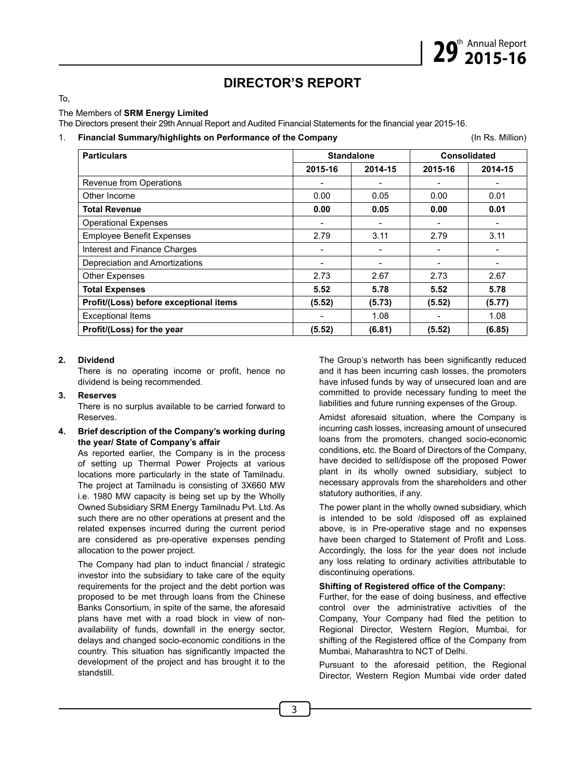# **DIRECTOR'S REPORT**

To,

#### The Members of **SRM Energy Limited**

The Directors present their 29th Annual Report and Audited Financial Statements for the financial year 2015-16.

#### 1. **Financial Summary/highlights on Performance of the Company** (In Rs. Million)

| <b>Particulars</b>                     |         | <b>Standalone</b>        | Consolidated |         |  |
|----------------------------------------|---------|--------------------------|--------------|---------|--|
|                                        | 2015-16 | 2014-15                  | 2015-16      | 2014-15 |  |
| Revenue from Operations                | ٠       | $\overline{\phantom{a}}$ |              |         |  |
| Other Income                           | 0.00    | 0.05                     | 0.00         | 0.01    |  |
| <b>Total Revenue</b>                   | 0.00    | 0.05                     | 0.00         | 0.01    |  |
| <b>Operational Expenses</b>            |         |                          |              |         |  |
| <b>Employee Benefit Expenses</b>       | 2.79    | 3.11                     | 2.79         | 3.11    |  |
| Interest and Finance Charges           | ٠       | $\overline{\phantom{a}}$ | -            |         |  |
| Depreciation and Amortizations         | ٠       | $\overline{\phantom{a}}$ |              |         |  |
| <b>Other Expenses</b>                  | 2.73    | 2.67                     | 2.73         | 2.67    |  |
| <b>Total Expenses</b>                  | 5.52    | 5.78                     | 5.52         | 5.78    |  |
| Profit/(Loss) before exceptional items | (5.52)  | (5.73)                   | (5.52)       | (5.77)  |  |
| <b>Exceptional Items</b>               |         | 1.08                     |              | 1.08    |  |
| Profit/(Loss) for the year             | (5.52)  | (6.81)                   | (5.52)       | (6.85)  |  |

#### **2. Dividend**

There is no operating income or profit, hence no dividend is being recommended.

#### **3. Reserves**

There is no surplus available to be carried forward to Reserves.

#### **4. Brief description of the Company's working during the year/ State of Company's affair**

As reported earlier, the Company is in the process of setting up Thermal Power Projects at various locations more particularly in the state of Tamilnadu. The project at Tamilnadu is consisting of 3X660 MW i.e. 1980 MW capacity is being set up by the Wholly Owned Subsidiary SRM Energy Tamilnadu Pvt. Ltd. As such there are no other operations at present and the related expenses incurred during the current period are considered as pre-operative expenses pending allocation to the power project.

The Company had plan to induct financial / strategic investor into the subsidiary to take care of the equity requirements for the project and the debt portion was proposed to be met through loans from the Chinese Banks Consortium, in spite of the same, the aforesaid plans have met with a road block in view of nonavailability of funds, downfall in the energy sector, delays and changed socio-economic conditions in the country. This situation has significantly impacted the development of the project and has brought it to the standstill.

The Group's networth has been significantly reduced and it has been incurring cash losses, the promoters have infused funds by way of unsecured loan and are committed to provide necessary funding to meet the liabilities and future running expenses of the Group.

Amidst aforesaid situation, where the Company is incurring cash losses, increasing amount of unsecured loans from the promoters, changed socio-economic conditions, etc. the Board of Directors of the Company, have decided to sell/dispose off the proposed Power plant in its wholly owned subsidiary, subject to necessary approvals from the shareholders and other statutory authorities, if any.

The power plant in the wholly owned subsidiary, which is intended to be sold /disposed off as explained above, is in Pre-operative stage and no expenses have been charged to Statement of Profit and Loss. Accordingly, the loss for the year does not include any loss relating to ordinary activities attributable to discontinuing operations.

#### **Shifting of Registered office of the Company:**

Further, for the ease of doing business, and effective control over the administrative activities of the Company, Your Company had filed the petition to Regional Director, Western Region, Mumbai, for shifting of the Registered office of the Company from Mumbai, Maharashtra to NCT of Delhi.

Pursuant to the aforesaid petition, the Regional Director, Western Region Mumbai vide order dated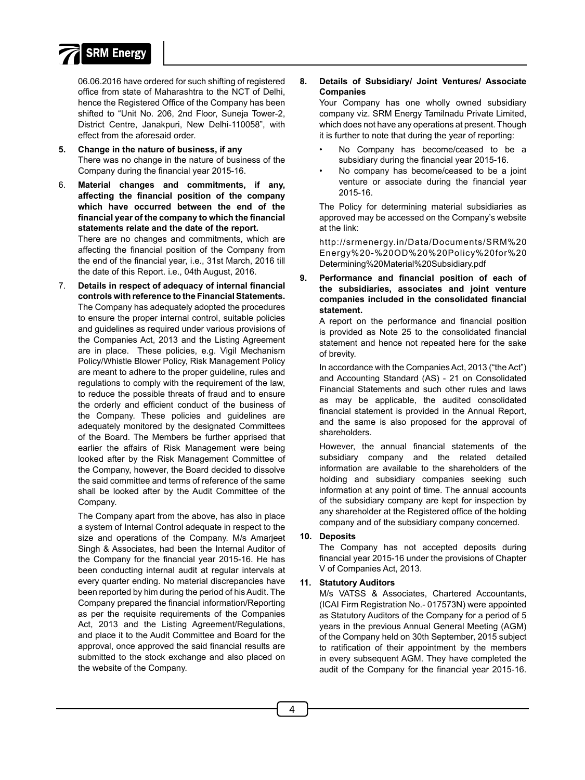

06.06.2016 have ordered for such shifting of registered office from state of Maharashtra to the NCT of Delhi, hence the Registered Office of the Company has been shifted to "Unit No. 206, 2nd Floor, Suneja Tower-2, District Centre, Janakpuri, New Delhi-110058", with effect from the aforesaid order.

- **5. Change in the nature of business, if any**  There was no change in the nature of business of the Company during the financial year 2015-16.
- 6. **Material changes and commitments, if any, affecting the financial position of the company which have occurred between the end of the financial year of the company to which the financial statements relate and the date of the report.** There are no changes and commitments, which are affecting the financial position of the Company from the end of the financial year, i.e., 31st March, 2016 till the date of this Report. i.e., 04th August, 2016.
- 7. **Details in respect of adequacy of internal financial controls with reference to the Financial Statements.** The Company has adequately adopted the procedures to ensure the proper internal control, suitable policies and guidelines as required under various provisions of the Companies Act, 2013 and the Listing Agreement are in place. These policies, e.g. Vigil Mechanism Policy/Whistle Blower Policy, Risk Management Policy are meant to adhere to the proper guideline, rules and regulations to comply with the requirement of the law, to reduce the possible threats of fraud and to ensure the orderly and efficient conduct of the business of the Company. These policies and guidelines are adequately monitored by the designated Committees of the Board. The Members be further apprised that earlier the affairs of Risk Management were being looked after by the Risk Management Committee of the Company, however, the Board decided to dissolve the said committee and terms of reference of the same shall be looked after by the Audit Committee of the Company.

The Company apart from the above, has also in place a system of Internal Control adequate in respect to the size and operations of the Company. M/s Amarjeet Singh & Associates, had been the Internal Auditor of the Company for the financial year 2015-16. He has been conducting internal audit at regular intervals at every quarter ending. No material discrepancies have been reported by him during the period of his Audit. The Company prepared the financial information/Reporting as per the requisite requirements of the Companies Act, 2013 and the Listing Agreement/Regulations, and place it to the Audit Committee and Board for the approval, once approved the said financial results are submitted to the stock exchange and also placed on the website of the Company.

#### **8. Details of Subsidiary/ Joint Ventures/ Associate Companies**

Your Company has one wholly owned subsidiary company viz. SRM Energy Tamilnadu Private Limited, which does not have any operations at present. Though it is further to note that during the year of reporting:

- No Company has become/ceased to be a subsidiary during the financial year 2015-16.
- No company has become/ceased to be a joint venture or associate during the financial year 2015-16.

The Policy for determining material subsidiaries as approved may be accessed on the Company's website at the link:

http://srmenergy.in/Data/Documents/SRM%20 Energy%20-%20OD%20%20Policy%20for%20 Determining%20Material%20Subsidiary.pdf

**9. Performance and financial position of each of the subsidiaries, associates and joint venture companies included in the consolidated financial statement.**

A report on the performance and financial position is provided as Note 25 to the consolidated financial statement and hence not repeated here for the sake of brevity.

In accordance with the Companies Act, 2013 ("the Act") and Accounting Standard (AS) - 21 on Consolidated Financial Statements and such other rules and laws as may be applicable, the audited consolidated financial statement is provided in the Annual Report, and the same is also proposed for the approval of shareholders.

However, the annual financial statements of the subsidiary company and the related detailed information are available to the shareholders of the holding and subsidiary companies seeking such information at any point of time. The annual accounts of the subsidiary company are kept for inspection by any shareholder at the Registered office of the holding company and of the subsidiary company concerned.

#### **10. Deposits**

The Company has not accepted deposits during financial year 2015-16 under the provisions of Chapter V of Companies Act, 2013.

#### **11. Statutory Auditors**

M/s VATSS & Associates, Chartered Accountants, (ICAI Firm Registration No.- 017573N) were appointed as Statutory Auditors of the Company for a period of 5 years in the previous Annual General Meeting (AGM) of the Company held on 30th September, 2015 subject to ratification of their appointment by the members in every subsequent AGM. They have completed the audit of the Company for the financial year 2015-16.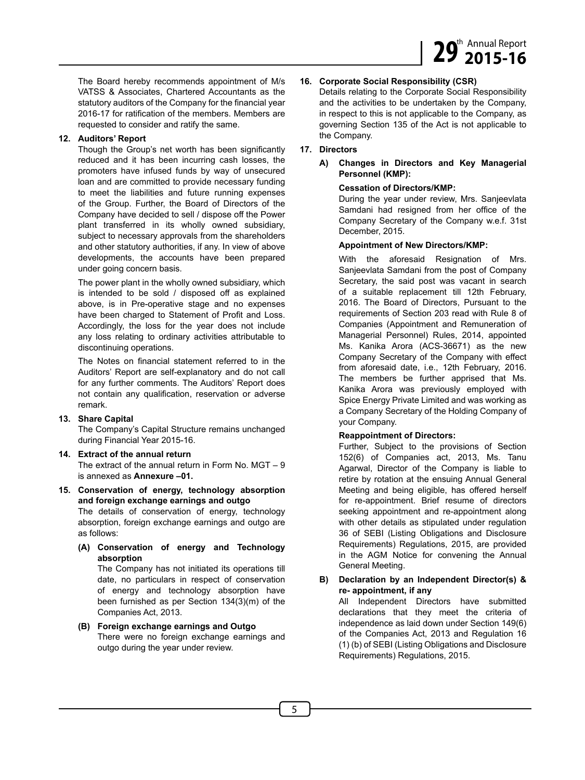The Board hereby recommends appointment of M/s VATSS & Associates, Chartered Accountants as the statutory auditors of the Company for the financial year 2016-17 for ratification of the members. Members are requested to consider and ratify the same.

#### **12. Auditors' Report**

Though the Group's net worth has been significantly reduced and it has been incurring cash losses, the promoters have infused funds by way of unsecured loan and are committed to provide necessary funding to meet the liabilities and future running expenses of the Group. Further, the Board of Directors of the Company have decided to sell / dispose off the Power plant transferred in its wholly owned subsidiary, subject to necessary approvals from the shareholders and other statutory authorities, if any. In view of above developments, the accounts have been prepared under going concern basis.

The power plant in the wholly owned subsidiary, which is intended to be sold / disposed off as explained above, is in Pre-operative stage and no expenses have been charged to Statement of Profit and Loss. Accordingly, the loss for the year does not include any loss relating to ordinary activities attributable to discontinuing operations.

The Notes on financial statement referred to in the Auditors' Report are self-explanatory and do not call for any further comments. The Auditors' Report does not contain any qualification, reservation or adverse remark.

#### **13. Share Capital**

The Company's Capital Structure remains unchanged during Financial Year 2015-16.

**14. Extract of the annual return**

The extract of the annual return in Form No.  $MGT - 9$ is annexed as **Annexure –01.**

**15. Conservation of energy, technology absorption and foreign exchange earnings and outgo** The details of conservation of energy, technology

absorption, foreign exchange earnings and outgo are as follows:

**(A) Conservation of energy and Technology absorption** 

The Company has not initiated its operations till date, no particulars in respect of conservation of energy and technology absorption have been furnished as per Section 134(3)(m) of the Companies Act, 2013.

**(B) Foreign exchange earnings and Outgo** There were no foreign exchange earnings and outgo during the year under review.

#### **16. Corporate Social Responsibility (CSR)**

Details relating to the Corporate Social Responsibility and the activities to be undertaken by the Company, in respect to this is not applicable to the Company, as governing Section 135 of the Act is not applicable to the Company.

#### **17. Directors**

#### **A) Changes in Directors and Key Managerial Personnel (KMP):**

#### **Cessation of Directors/KMP:**

During the year under review, Mrs. Sanjeevlata Samdani had resigned from her office of the Company Secretary of the Company w.e.f. 31st December, 2015.

#### **Appointment of New Directors/KMP:**

With the aforesaid Resignation of Mrs. Sanjeevlata Samdani from the post of Company Secretary, the said post was vacant in search of a suitable replacement till 12th February, 2016. The Board of Directors, Pursuant to the requirements of Section 203 read with Rule 8 of Companies (Appointment and Remuneration of Managerial Personnel) Rules, 2014, appointed Ms. Kanika Arora (ACS-36671) as the new Company Secretary of the Company with effect from aforesaid date, i.e., 12th February, 2016. The members be further apprised that Ms. Kanika Arora was previously employed with Spice Energy Private Limited and was working as a Company Secretary of the Holding Company of your Company.

#### **Reappointment of Directors:**

Further, Subject to the provisions of Section 152(6) of Companies act, 2013, Ms. Tanu Agarwal, Director of the Company is liable to retire by rotation at the ensuing Annual General Meeting and being eligible, has offered herself for re-appointment. Brief resume of directors seeking appointment and re-appointment along with other details as stipulated under regulation 36 of SEBI (Listing Obligations and Disclosure Requirements) Regulations, 2015, are provided in the AGM Notice for convening the Annual General Meeting.

#### **B) Declaration by an Independent Director(s) & re- appointment, if any**

All Independent Directors have submitted declarations that they meet the criteria of independence as laid down under Section 149(6) of the Companies Act, 2013 and Regulation 16 (1) (b) of SEBI (Listing Obligations and Disclosure Requirements) Regulations, 2015.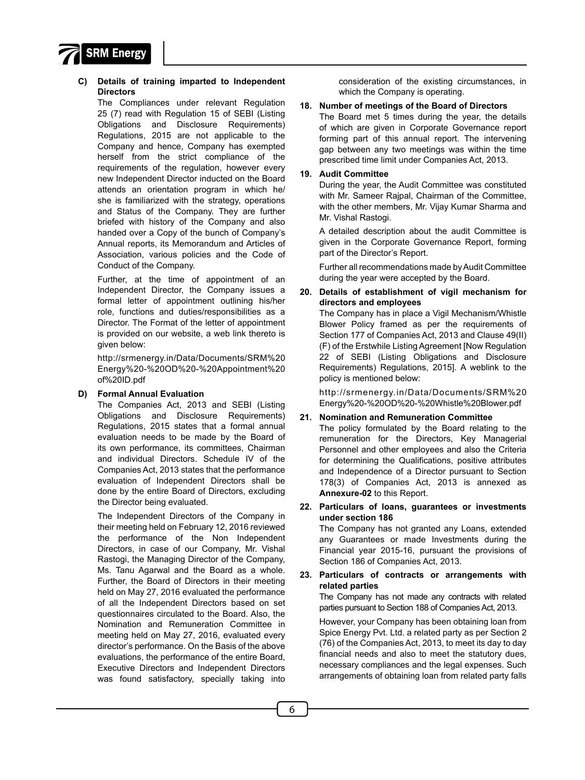

#### **C) Details of training imparted to Independent Directors**

The Compliances under relevant Regulation 25 (7) read with Regulation 15 of SEBI (Listing Obligations and Disclosure Requirements) Regulations, 2015 are not applicable to the Company and hence, Company has exempted herself from the strict compliance of the requirements of the regulation, however every new Independent Director inducted on the Board attends an orientation program in which he/ she is familiarized with the strategy, operations and Status of the Company. They are further briefed with history of the Company and also handed over a Copy of the bunch of Company's Annual reports, its Memorandum and Articles of Association, various policies and the Code of Conduct of the Company.

Further, at the time of appointment of an Independent Director, the Company issues a formal letter of appointment outlining his/her role, functions and duties/responsibilities as a Director. The Format of the letter of appointment is provided on our website, a web link thereto is given below:

http://srmenergy.in/Data/Documents/SRM%20 Energy%20-%20OD%20-%20Appointment%20 of%20ID.pdf

#### **D) Formal Annual Evaluation**

The Companies Act, 2013 and SEBI (Listing Obligations and Disclosure Requirements) Regulations, 2015 states that a formal annual evaluation needs to be made by the Board of its own performance, its committees, Chairman and individual Directors. Schedule IV of the Companies Act, 2013 states that the performance evaluation of Independent Directors shall be done by the entire Board of Directors, excluding the Director being evaluated.

The Independent Directors of the Company in their meeting held on February 12, 2016 reviewed the performance of the Non Independent Directors, in case of our Company, Mr. Vishal Rastogi, the Managing Director of the Company, Ms. Tanu Agarwal and the Board as a whole. Further, the Board of Directors in their meeting held on May 27, 2016 evaluated the performance of all the Independent Directors based on set questionnaires circulated to the Board. Also, the Nomination and Remuneration Committee in meeting held on May 27, 2016, evaluated every director's performance. On the Basis of the above evaluations, the performance of the entire Board, Executive Directors and Independent Directors was found satisfactory, specially taking into

consideration of the existing circumstances, in which the Company is operating.

#### **18. Number of meetings of the Board of Directors**

The Board met 5 times during the year, the details of which are given in Corporate Governance report forming part of this annual report. The intervening gap between any two meetings was within the time prescribed time limit under Companies Act, 2013.

#### **19. Audit Committee**

During the year, the Audit Committee was constituted with Mr. Sameer Rajpal, Chairman of the Committee, with the other members, Mr. Vijay Kumar Sharma and Mr. Vishal Rastogi.

A detailed description about the audit Committee is given in the Corporate Governance Report, forming part of the Director's Report.

Further all recommendations made by Audit Committee during the year were accepted by the Board.

**20. Details of establishment of vigil mechanism for directors and employees**

The Company has in place a Vigil Mechanism/Whistle Blower Policy framed as per the requirements of Section 177 of Companies Act, 2013 and Clause 49(II) (F) of the Erstwhile Listing Agreement [Now Regulation 22 of SEBI (Listing Obligations and Disclosure Requirements) Regulations, 2015]. A weblink to the policy is mentioned below:

http://srmenergy.in/Data/Documents/SRM%20 Energy%20-%20OD%20-%20Whistle%20Blower.pdf

#### **21. Nomination and Remuneration Committee**

The policy formulated by the Board relating to the remuneration for the Directors, Key Managerial Personnel and other employees and also the Criteria for determining the Qualifications, positive attributes and Independence of a Director pursuant to Section 178(3) of Companies Act, 2013 is annexed as **Annexure-02** to this Report.

**22. Particulars of loans, guarantees or investments under section 186** 

The Company has not granted any Loans, extended any Guarantees or made Investments during the Financial year 2015-16, pursuant the provisions of Section 186 of Companies Act, 2013.

#### **23. Particulars of contracts or arrangements with related parties**

The Company has not made any contracts with related parties pursuant to Section 188 of Companies Act, 2013.

However, your Company has been obtaining loan from Spice Energy Pvt. Ltd. a related party as per Section 2 (76) of the Companies Act, 2013, to meet its day to day financial needs and also to meet the statutory dues, necessary compliances and the legal expenses. Such arrangements of obtaining loan from related party falls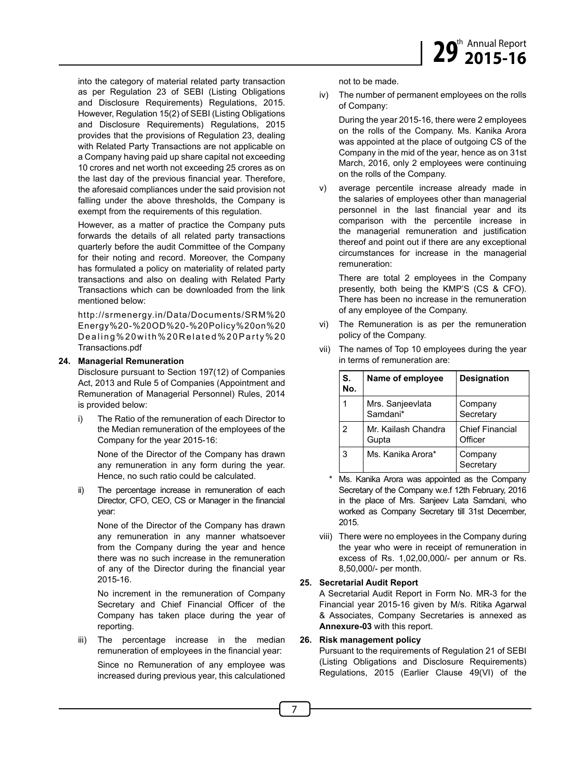

into the category of material related party transaction as per Regulation 23 of SEBI (Listing Obligations and Disclosure Requirements) Regulations, 2015. However, Regulation 15(2) of SEBI (Listing Obligations and Disclosure Requirements) Regulations, 2015 provides that the provisions of Regulation 23, dealing with Related Party Transactions are not applicable on a Company having paid up share capital not exceeding 10 crores and net worth not exceeding 25 crores as on the last day of the previous financial year. Therefore, the aforesaid compliances under the said provision not falling under the above thresholds, the Company is exempt from the requirements of this regulation.

However, as a matter of practice the Company puts forwards the details of all related party transactions quarterly before the audit Committee of the Company for their noting and record. Moreover, the Company has formulated a policy on materiality of related party transactions and also on dealing with Related Party Transactions which can be downloaded from the link mentioned below:

http://srmenergy.in/Data/Documents/SRM%20 Energy%20-%20OD%20-%20Policy%20on%20 Dealing%20with%20Related%20Party%20 Transactions.pdf

#### **24. Managerial Remuneration**

Disclosure pursuant to Section 197(12) of Companies Act, 2013 and Rule 5 of Companies (Appointment and Remuneration of Managerial Personnel) Rules, 2014 is provided below:

i) The Ratio of the remuneration of each Director to the Median remuneration of the employees of the Company for the year 2015-16:

None of the Director of the Company has drawn any remuneration in any form during the year. Hence, no such ratio could be calculated.

ii) The percentage increase in remuneration of each Director, CFO, CEO, CS or Manager in the financial year:

None of the Director of the Company has drawn any remuneration in any manner whatsoever from the Company during the year and hence there was no such increase in the remuneration of any of the Director during the financial year 2015-16.

No increment in the remuneration of Company Secretary and Chief Financial Officer of the Company has taken place during the year of reporting.

iii) The percentage increase in the median remuneration of employees in the financial year:

Since no Remuneration of any employee was increased during previous year, this calculationed not to be made.

iv) The number of permanent employees on the rolls of Company:

During the year 2015-16, there were 2 employees on the rolls of the Company. Ms. Kanika Arora was appointed at the place of outgoing CS of the Company in the mid of the year, hence as on 31st March, 2016, only 2 employees were continuing on the rolls of the Company.

v) average percentile increase already made in the salaries of employees other than managerial personnel in the last financial year and its comparison with the percentile increase in the managerial remuneration and justification thereof and point out if there are any exceptional circumstances for increase in the managerial remuneration:

There are total 2 employees in the Company presently, both being the KMP'S (CS & CFO). There has been no increase in the remuneration of any employee of the Company.

vi) The Remuneration is as per the remuneration policy of the Company.

| S.<br>No. | Name of employee             | <b>Designation</b>                |  |  |
|-----------|------------------------------|-----------------------------------|--|--|
|           | Mrs. Sanjeevlata<br>Samdani* | Company<br>Secretary              |  |  |
| 2         | Mr. Kailash Chandra<br>Gupta | <b>Chief Financial</b><br>Officer |  |  |
| 3         | Ms Kanika Arora*             | Company<br>Secretary              |  |  |

vii) The names of Top 10 employees during the year in terms of remuneration are:

Ms. Kanika Arora was appointed as the Company Secretary of the Company w.e.f 12th February, 2016 in the place of Mrs. Sanjeev Lata Samdani, who worked as Company Secretary till 31st December, 2015.

viii) There were no employees in the Company during the year who were in receipt of remuneration in excess of Rs. 1,02,00,000/- per annum or Rs. 8,50,000/- per month.

#### **25. Secretarial Audit Report**

A Secretarial Audit Report in Form No. MR-3 for the Financial year 2015-16 given by M/s. Ritika Agarwal & Associates, Company Secretaries is annexed as **Annexure-03** with this report.

#### **26. Risk management policy**

Pursuant to the requirements of Regulation 21 of SEBI (Listing Obligations and Disclosure Requirements) Regulations, 2015 (Earlier Clause 49(VI) of the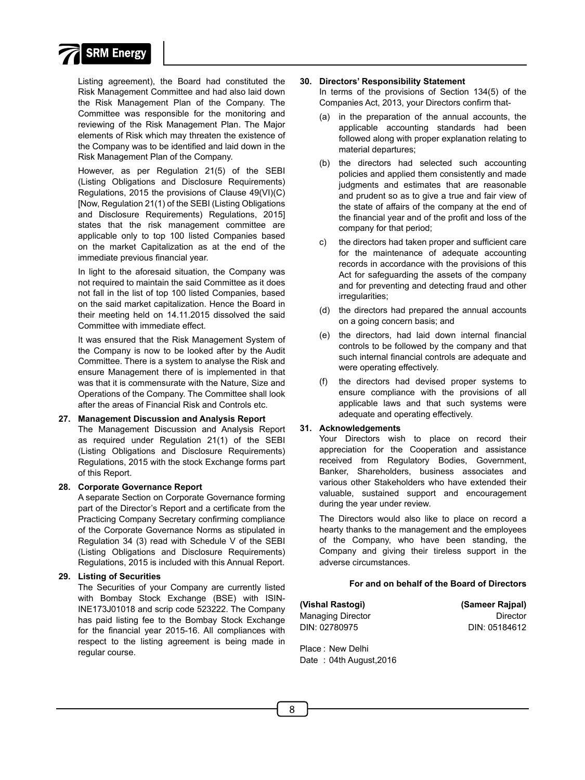

Listing agreement), the Board had constituted the Risk Management Committee and had also laid down the Risk Management Plan of the Company. The Committee was responsible for the monitoring and reviewing of the Risk Management Plan. The Major elements of Risk which may threaten the existence of the Company was to be identified and laid down in the Risk Management Plan of the Company.

However, as per Regulation 21(5) of the SEBI (Listing Obligations and Disclosure Requirements) Regulations, 2015 the provisions of Clause 49(VI)(C) [Now, Regulation 21(1) of the SEBI (Listing Obligations and Disclosure Requirements) Regulations, 2015] states that the risk management committee are applicable only to top 100 listed Companies based on the market Capitalization as at the end of the immediate previous financial year.

In light to the aforesaid situation, the Company was not required to maintain the said Committee as it does not fall in the list of top 100 listed Companies, based on the said market capitalization. Hence the Board in their meeting held on 14.11.2015 dissolved the said Committee with immediate effect.

It was ensured that the Risk Management System of the Company is now to be looked after by the Audit Committee. There is a system to analyse the Risk and ensure Management there of is implemented in that was that it is commensurate with the Nature, Size and Operations of the Company. The Committee shall look after the areas of Financial Risk and Controls etc.

#### **27. Management Discussion and Analysis Report**

The Management Discussion and Analysis Report as required under Regulation 21(1) of the SEBI (Listing Obligations and Disclosure Requirements) Regulations, 2015 with the stock Exchange forms part of this Report.

#### **28. Corporate Governance Report**

A separate Section on Corporate Governance forming part of the Director's Report and a certificate from the Practicing Company Secretary confirming compliance of the Corporate Governance Norms as stipulated in Regulation 34 (3) read with Schedule V of the SEBI (Listing Obligations and Disclosure Requirements) Regulations, 2015 is included with this Annual Report.

#### **29. Listing of Securities**

The Securities of your Company are currently listed with Bombay Stock Exchange (BSE) with ISIN-INE173J01018 and scrip code 523222. The Company has paid listing fee to the Bombay Stock Exchange for the financial year 2015-16. All compliances with respect to the listing agreement is being made in regular course.

#### **30. Directors' Responsibility Statement**

In terms of the provisions of Section 134(5) of the Companies Act, 2013, your Directors confirm that-

- (a) in the preparation of the annual accounts, the applicable accounting standards had been followed along with proper explanation relating to material departures;
- (b) the directors had selected such accounting policies and applied them consistently and made judgments and estimates that are reasonable and prudent so as to give a true and fair view of the state of affairs of the company at the end of the financial year and of the profit and loss of the company for that period;
- c) the directors had taken proper and sufficient care for the maintenance of adequate accounting records in accordance with the provisions of this Act for safeguarding the assets of the company and for preventing and detecting fraud and other irregularities;
- (d) the directors had prepared the annual accounts on a going concern basis; and
- (e) the directors, had laid down internal financial controls to be followed by the company and that such internal financial controls are adequate and were operating effectively.
- (f) the directors had devised proper systems to ensure compliance with the provisions of all applicable laws and that such systems were adequate and operating effectively.

#### **31. Acknowledgements**

Your Directors wish to place on record their appreciation for the Cooperation and assistance received from Regulatory Bodies, Government, Banker, Shareholders, business associates and various other Stakeholders who have extended their valuable, sustained support and encouragement during the year under review.

The Directors would also like to place on record a hearty thanks to the management and the employees of the Company, who have been standing, the Company and giving their tireless support in the adverse circumstances.

#### **For and on behalf of the Board of Directors**

| (Vishal Rastogi)  |  |
|-------------------|--|
| Managing Director |  |
| DIN: 02780975     |  |

**(Vishal Rastogi) (Sameer Rajpal)** Director DIN: 05184612

Place : New Delhi Date: 04th August, 2016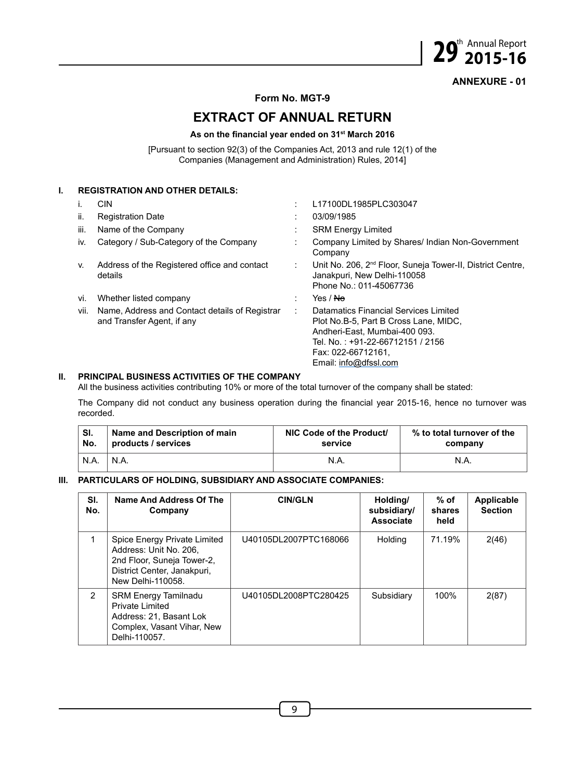29<sup>th</sup> Annual Report **29**<sup>th</sup> 2015-16

**ANNEXURE - 01**

**Form No. MGT-9**

# **EXTRACT OF ANNUAL RETURN**

#### **As on the financial year ended on 31st March 2016**

[Pursuant to section 92(3) of the Companies Act, 2013 and rule 12(1) of the Companies (Management and Administration) Rules, 2014]

#### **I. REGISTRATION AND OTHER DETAILS:**

| Ť.   | <b>CIN</b>                                                                   |   | L17100DL1985PLC303047                                                                                                                                                                              |
|------|------------------------------------------------------------------------------|---|----------------------------------------------------------------------------------------------------------------------------------------------------------------------------------------------------|
| ii.  | <b>Registration Date</b>                                                     |   | 03/09/1985                                                                                                                                                                                         |
| iii. | Name of the Company                                                          |   | <b>SRM Energy Limited</b>                                                                                                                                                                          |
| İV.  | Category / Sub-Category of the Company                                       |   | Company Limited by Shares/ Indian Non-Government<br>Company                                                                                                                                        |
| V.   | Address of the Registered office and contact<br>details                      | ÷ | Unit No. 206, 2 <sup>nd</sup> Floor, Suneja Tower-II, District Centre,<br>Janakpuri, New Delhi-110058<br>Phone No.: 011-45067736                                                                   |
| vi.  | Whether listed company                                                       | ٠ | Yes / <del>No</del>                                                                                                                                                                                |
| VII. | Name, Address and Contact details of Registrar<br>and Transfer Agent, if any |   | Datamatics Financial Services Limited<br>Plot No.B-5, Part B Cross Lane, MIDC,<br>Andheri-East, Mumbai-400 093.<br>Tel. No.: +91-22-66712151 / 2156<br>Fax: 022-66712161,<br>Email: info@dfssl.com |

#### **II. PRINCIPAL BUSINESS ACTIVITIES OF THE COMPANY**

All the business activities contributing 10% or more of the total turnover of the company shall be stated:

The Company did not conduct any business operation during the financial year 2015-16, hence no turnover was recorded.

| SI.   | Name and Description of main | NIC Code of the Product/ | % to total turnover of the |  |
|-------|------------------------------|--------------------------|----------------------------|--|
| ' No. | products / services          | service                  | company                    |  |
| NA.   | N.A.                         | N.A.                     | N.A.                       |  |

#### **III. PARTICULARS OF HOLDING, SUBSIDIARY AND ASSOCIATE COMPANIES:**

| SI.<br>No. | Name And Address Of The<br>Company                                                                                                       | <b>CIN/GLN</b>        | Holding/<br>subsidiary/<br><b>Associate</b> | $%$ of<br>shares<br>held | Applicable<br><b>Section</b> |
|------------|------------------------------------------------------------------------------------------------------------------------------------------|-----------------------|---------------------------------------------|--------------------------|------------------------------|
|            | Spice Energy Private Limited<br>Address: Unit No. 206,<br>2nd Floor, Suneja Tower-2,<br>District Center, Janakpuri,<br>New Delhi-110058. | U40105DL2007PTC168066 | Holding                                     | 71.19%                   | 2(46)                        |
| 2          | <b>SRM Energy Tamilnadu</b><br><b>Private Limited</b><br>Address: 21, Basant Lok<br>Complex, Vasant Vihar, New<br>Delhi-110057.          | U40105DL2008PTC280425 | Subsidiary                                  | 100%                     | 2(87)                        |

9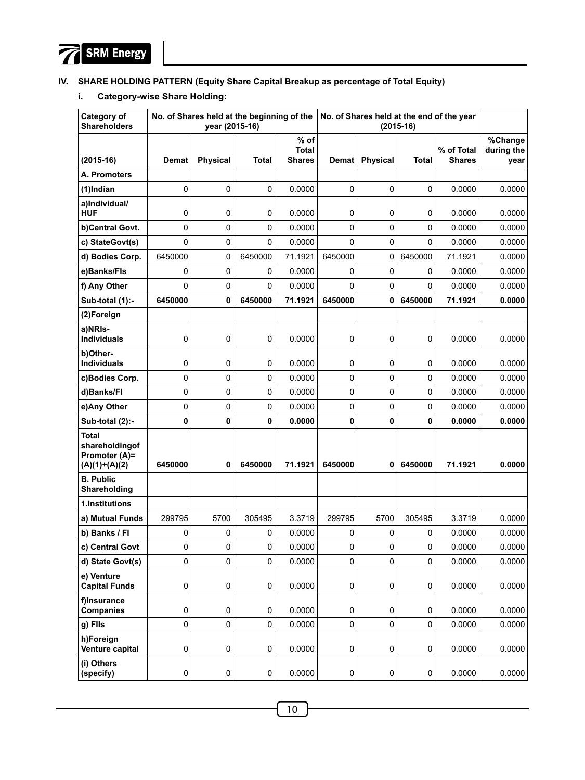#### **IV. SHARE HOLDING PATTERN (Equity Share Capital Breakup as percentage of Total Equity)**

**i. Category-wise Share Holding:**

| Category of<br><b>Shareholders</b>                                 |         | No. of Shares held at the beginning of the<br>year (2015-16) |             |                               | No. of Shares held at the end of the year |                 |           |                             |                    |
|--------------------------------------------------------------------|---------|--------------------------------------------------------------|-------------|-------------------------------|-------------------------------------------|-----------------|-----------|-----------------------------|--------------------|
|                                                                    |         |                                                              |             | $%$ of                        |                                           |                 |           |                             | %Change            |
| $(2015-16)$                                                        | Demat   | Physical                                                     | Total       | <b>Total</b><br><b>Shares</b> | Demat                                     | <b>Physical</b> | Total     | % of Total<br><b>Shares</b> | during the<br>year |
| A. Promoters                                                       |         |                                                              |             |                               |                                           |                 |           |                             |                    |
| (1)Indian                                                          | 0       | 0                                                            | $\Omega$    | 0.0000                        | 0                                         | 0               | 0         | 0.0000                      | 0.0000             |
| a)Individual/<br><b>HUF</b>                                        | 0       | 0                                                            | 0           | 0.0000                        | 0                                         | 0               | 0         | 0.0000                      | 0.0000             |
| b)Central Govt.                                                    | 0       | 0                                                            | $\mathbf 0$ | 0.0000                        | 0                                         | 0               | 0         | 0.0000                      | 0.0000             |
| c) StateGovt(s)                                                    | 0       | 0                                                            | $\Omega$    | 0.0000                        | 0                                         | 0               | 0         | 0.0000                      | 0.0000             |
| d) Bodies Corp.                                                    | 6450000 | 0                                                            | 6450000     | 71.1921                       | 6450000                                   | 0               | 6450000   | 71.1921                     | 0.0000             |
| e)Banks/Fls                                                        | 0       | 0                                                            | 0           | 0.0000                        | 0                                         | 0               | 0         | 0.0000                      | 0.0000             |
| f) Any Other                                                       | 0       | 0                                                            | $\Omega$    | 0.0000                        | 0                                         | 0               | 0         | 0.0000                      | 0.0000             |
| Sub-total (1):-                                                    | 6450000 | 0                                                            | 6450000     | 71.1921                       | 6450000                                   | 0               | 6450000   | 71.1921                     | 0.0000             |
| (2)Foreign                                                         |         |                                                              |             |                               |                                           |                 |           |                             |                    |
| a)NRIs-<br><b>Individuals</b>                                      | 0       | 0                                                            | $\mathbf 0$ | 0.0000                        | 0                                         | 0               | 0         | 0.0000                      | 0.0000             |
| b)Other-<br><b>Individuals</b>                                     | 0       | 0                                                            | 0           | 0.0000                        | 0                                         | 0               | 0         | 0.0000                      | 0.0000             |
| c)Bodies Corp.                                                     | 0       | 0                                                            | $\mathbf 0$ | 0.0000                        | 0                                         | 0               | 0         | 0.0000                      | 0.0000             |
| d)Banks/Fl                                                         | 0       | 0                                                            | $\mathbf 0$ | 0.0000                        | 0                                         | 0               | 0         | 0.0000                      | 0.0000             |
| e)Any Other                                                        | 0       | 0                                                            | $\mathbf 0$ | 0.0000                        | 0                                         | 0               | 0         | 0.0000                      | 0.0000             |
| Sub-total (2):-                                                    | 0       | 0                                                            | 0           | 0.0000                        | 0                                         | 0               | 0         | 0.0000                      | 0.0000             |
| <b>Total</b><br>shareholdingof<br>Promoter (A)=<br>$(A)(1)+(A)(2)$ | 6450000 | 0                                                            | 6450000     | 71.1921                       | 6450000                                   | 0               | 6450000   | 71.1921                     | 0.0000             |
| <b>B. Public</b><br>Shareholding                                   |         |                                                              |             |                               |                                           |                 |           |                             |                    |
| 1.Institutions                                                     |         |                                                              |             |                               |                                           |                 |           |                             |                    |
| a) Mutual Funds                                                    | 299795  | 5700                                                         | 305495      | 3.3719                        | 299795                                    | 5700            | 305495    | 3.3719                      | 0.0000             |
| b) Banks / Fl                                                      | 0       | 0                                                            | 0           | 0.0000                        | 0                                         | 0               | 0         | 0.0000                      | 0.0000             |
| c) Central Govt                                                    | 0       | 0                                                            | $\mathbf 0$ | 0.0000                        | 0                                         | 0               | 0         | 0.0000                      | 0.0000             |
| d) State Govt(s)                                                   | 0       | 0                                                            | $\mathbf 0$ | 0.0000                        | 0                                         | 0               | 0         | 0.0000                      | 0.0000             |
| e) Venture<br><b>Capital Funds</b>                                 | 0       | 0                                                            | 0           | 0.0000                        | 0                                         | 0               | 0         | 0.0000                      | 0.0000             |
| f)Insurance<br>Companies                                           | 0       | 0                                                            | 0           | 0.0000                        | 0                                         | 0               | $\pmb{0}$ | 0.0000                      | 0.0000             |
| g) Fils                                                            | 0       | 0                                                            | $\mathbf 0$ | 0.0000                        | 0                                         | 0               | 0         | 0.0000                      | 0.0000             |
| h)Foreign<br>Venture capital                                       | 0       | 0                                                            | 0           | 0.0000                        | 0                                         | 0               | 0         | 0.0000                      | 0.0000             |
| (i) Others<br>(specify)                                            | 0       | 0                                                            | $\mathsf 0$ | 0.0000                        | $\pmb{0}$                                 | 0               | $\pmb{0}$ | 0.0000                      | 0.0000             |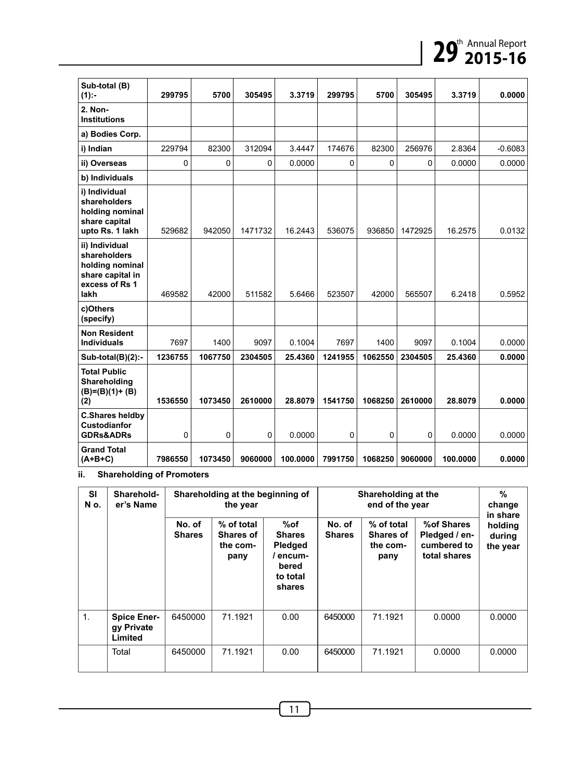

| Sub-total (B)<br>$(1)$ :-                                                                       | 299795  | 5700    | 305495  | 3.3719   | 299795  | 5700    | 305495  | 3.3719   | 0.0000    |
|-------------------------------------------------------------------------------------------------|---------|---------|---------|----------|---------|---------|---------|----------|-----------|
| 2. Non-<br><b>Institutions</b>                                                                  |         |         |         |          |         |         |         |          |           |
| a) Bodies Corp.                                                                                 |         |         |         |          |         |         |         |          |           |
| i) Indian                                                                                       | 229794  | 82300   | 312094  | 3.4447   | 174676  | 82300   | 256976  | 2.8364   | $-0.6083$ |
| ii) Overseas                                                                                    | 0       | 0       | 0       | 0.0000   | 0       | 0       | 0       | 0.0000   | 0.0000    |
| b) Individuals                                                                                  |         |         |         |          |         |         |         |          |           |
| i) Individual<br>shareholders<br>holding nominal<br>share capital<br>upto Rs. 1 lakh            | 529682  | 942050  | 1471732 | 16.2443  | 536075  | 936850  | 1472925 | 16.2575  | 0.0132    |
| ii) Individual<br>shareholders<br>holding nominal<br>share capital in<br>excess of Rs 1<br>lakh | 469582  | 42000   | 511582  | 5.6466   | 523507  | 42000   | 565507  | 6.2418   | 0.5952    |
| c)Others<br>(specify)                                                                           |         |         |         |          |         |         |         |          |           |
| <b>Non Resident</b><br><b>Individuals</b>                                                       | 7697    | 1400    | 9097    | 0.1004   | 7697    | 1400    | 9097    | 0.1004   | 0.0000    |
| $Sub-total(B)(2)$ :-                                                                            | 1236755 | 1067750 | 2304505 | 25.4360  | 1241955 | 1062550 | 2304505 | 25.4360  | 0.0000    |
| <b>Total Public</b><br>Shareholding<br>$(B)=(B)(1)+(B)$<br>(2)                                  | 1536550 | 1073450 | 2610000 | 28.8079  | 1541750 | 1068250 | 2610000 | 28.8079  | 0.0000    |
| <b>C.Shares heldby</b><br>Custodianfor<br><b>GDRs&amp;ADRs</b>                                  | 0       | 0       | 0       | 0.0000   | 0       | 0       | 0       | 0.0000   | 0.0000    |
| <b>Grand Total</b><br>$(A+B+C)$                                                                 | 7986550 | 1073450 | 9060000 | 100.0000 | 7991750 | 1068250 | 9060000 | 100.0000 | 0.0000    |

**ii. Shareholding of Promoters**

| <b>SI</b><br>N 0. | Sharehold-<br>er's Name                     | Shareholding at the beginning of<br>the year |                                                    |                                                                          | Shareholding at the     | %<br>change<br>in share                            |                                                            |                               |
|-------------------|---------------------------------------------|----------------------------------------------|----------------------------------------------------|--------------------------------------------------------------------------|-------------------------|----------------------------------------------------|------------------------------------------------------------|-------------------------------|
|                   |                                             | No. of<br><b>Shares</b>                      | % of total<br><b>Shares of</b><br>the com-<br>pany | %of<br><b>Shares</b><br>Pledged<br>encum-<br>bered<br>to total<br>shares | No. of<br><b>Shares</b> | % of total<br><b>Shares of</b><br>the com-<br>pany | %of Shares<br>Pledged / en-<br>cumbered to<br>total shares | holding<br>during<br>the year |
| 1.                | <b>Spice Ener-</b><br>gy Private<br>Limited | 6450000                                      | 71.1921                                            | 0.00                                                                     | 6450000                 | 71.1921                                            | 0.0000                                                     | 0.0000                        |
|                   | Total                                       | 6450000                                      | 71.1921                                            | 0.00                                                                     | 6450000                 | 71.1921                                            | 0.0000                                                     | 0.0000                        |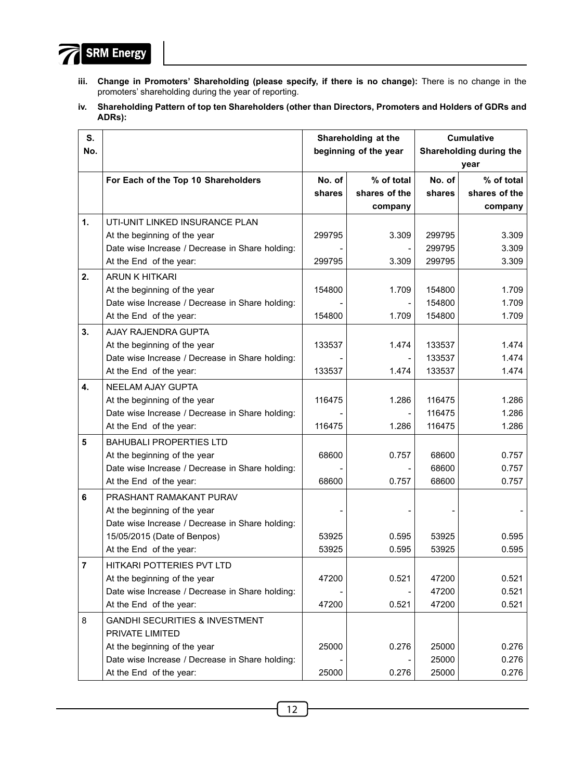

- **iii. Change in Promoters' Shareholding (please specify, if there is no change):** There is no change in the promoters' shareholding during the year of reporting.
- **iv. Shareholding Pattern of top ten Shareholders (other than Directors, Promoters and Holders of GDRs and ADRs):**

| S.<br>No.      |                                                 |                  | Shareholding at the<br>beginning of the year | <b>Cumulative</b><br>Shareholding during the |                             |  |
|----------------|-------------------------------------------------|------------------|----------------------------------------------|----------------------------------------------|-----------------------------|--|
|                |                                                 |                  |                                              | year                                         |                             |  |
|                | For Each of the Top 10 Shareholders             | No. of<br>shares | % of total<br>shares of the                  | No. of<br>shares                             | % of total<br>shares of the |  |
|                |                                                 |                  | company                                      |                                              | company                     |  |
| 1.             | UTI-UNIT LINKED INSURANCE PLAN                  |                  |                                              |                                              |                             |  |
|                | At the beginning of the year                    | 299795           | 3.309                                        | 299795                                       | 3.309                       |  |
|                | Date wise Increase / Decrease in Share holding: |                  |                                              | 299795                                       | 3.309                       |  |
|                | At the End of the year:                         | 299795           | 3.309                                        | 299795                                       | 3.309                       |  |
| 2.             | <b>ARUN K HITKARI</b>                           |                  |                                              |                                              |                             |  |
|                | At the beginning of the year                    | 154800           | 1.709                                        | 154800                                       | 1.709                       |  |
|                | Date wise Increase / Decrease in Share holding: |                  |                                              | 154800                                       | 1.709                       |  |
|                | At the End of the year:                         | 154800           | 1.709                                        | 154800                                       | 1.709                       |  |
| 3.             | AJAY RAJENDRA GUPTA                             |                  |                                              |                                              |                             |  |
|                | At the beginning of the year                    | 133537           | 1.474                                        | 133537                                       | 1.474                       |  |
|                | Date wise Increase / Decrease in Share holding: |                  |                                              | 133537                                       | 1.474                       |  |
|                | At the End of the year:                         | 133537           | 1.474                                        | 133537                                       | 1.474                       |  |
| 4.             | <b>NEELAM AJAY GUPTA</b>                        |                  |                                              |                                              |                             |  |
|                | At the beginning of the year                    | 116475           | 1.286                                        | 116475                                       | 1.286                       |  |
|                | Date wise Increase / Decrease in Share holding: |                  |                                              | 116475                                       | 1.286                       |  |
|                | At the End of the year:                         | 116475           | 1.286                                        | 116475                                       | 1.286                       |  |
| 5              | <b>BAHUBALI PROPERTIES LTD</b>                  |                  |                                              |                                              |                             |  |
|                | At the beginning of the year                    | 68600            | 0.757                                        | 68600                                        | 0.757                       |  |
|                | Date wise Increase / Decrease in Share holding: |                  |                                              | 68600                                        | 0.757                       |  |
|                | At the End of the year:                         | 68600            | 0.757                                        | 68600                                        | 0.757                       |  |
| 6              | PRASHANT RAMAKANT PURAV                         |                  |                                              |                                              |                             |  |
|                | At the beginning of the year                    |                  |                                              |                                              |                             |  |
|                | Date wise Increase / Decrease in Share holding: |                  |                                              |                                              |                             |  |
|                | 15/05/2015 (Date of Benpos)                     | 53925            | 0.595                                        | 53925                                        | 0.595                       |  |
|                | At the End of the year:                         | 53925            | 0.595                                        | 53925                                        | 0.595                       |  |
| $\overline{7}$ | HITKARI POTTERIES PVT LTD                       |                  |                                              |                                              |                             |  |
|                | At the beginning of the year                    | 47200            | 0.521                                        | 47200                                        | 0.521                       |  |
|                | Date wise Increase / Decrease in Share holding: |                  |                                              | 47200                                        | 0.521                       |  |
|                | At the End of the year:                         | 47200            | 0.521                                        | 47200                                        | 0.521                       |  |
| 8              | <b>GANDHI SECURITIES &amp; INVESTMENT</b>       |                  |                                              |                                              |                             |  |
|                | PRIVATE LIMITED                                 |                  |                                              |                                              |                             |  |
|                | At the beginning of the year                    | 25000            | 0.276                                        | 25000                                        | 0.276                       |  |
|                | Date wise Increase / Decrease in Share holding: |                  |                                              | 25000                                        | 0.276                       |  |
|                | At the End of the year:                         | 25000            | 0.276                                        | 25000                                        | 0.276                       |  |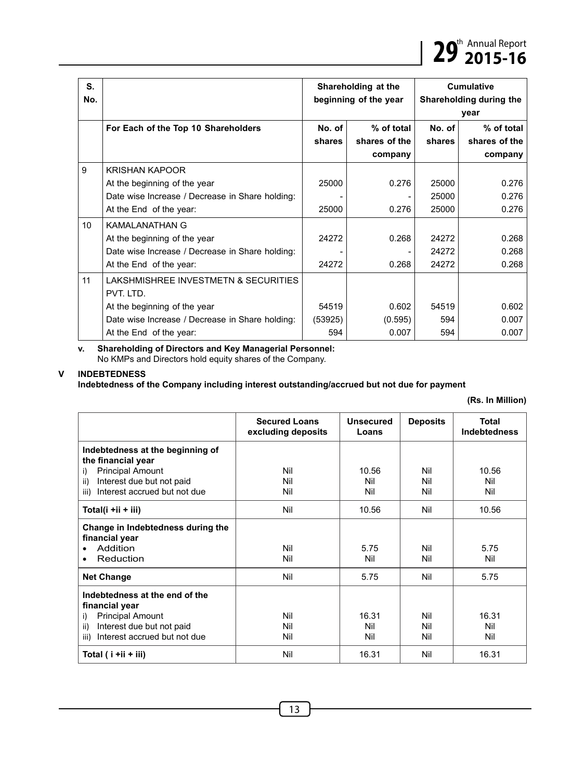| S.  |                                                 |         | Shareholding at the   | <b>Cumulative</b>       |               |  |
|-----|-------------------------------------------------|---------|-----------------------|-------------------------|---------------|--|
| No. |                                                 |         | beginning of the year | Shareholding during the |               |  |
|     |                                                 |         |                       |                         | year          |  |
|     | For Each of the Top 10 Shareholders             | No. of  | % of total            | No. of                  | % of total    |  |
|     |                                                 | shares  | shares of the         | shares                  | shares of the |  |
|     |                                                 |         | company               |                         | company       |  |
| 9   | <b>KRISHAN KAPOOR</b>                           |         |                       |                         |               |  |
|     | At the beginning of the year                    | 25000   | 0.276                 | 25000                   | 0.276         |  |
|     | Date wise Increase / Decrease in Share holding: |         |                       | 25000                   | 0.276         |  |
|     | At the End of the year:                         | 25000   | 0.276                 | 25000                   | 0.276         |  |
| 10  | KAMAI ANATHAN G                                 |         |                       |                         |               |  |
|     | At the beginning of the year                    | 24272   | 0.268                 | 24272                   | 0.268         |  |
|     | Date wise Increase / Decrease in Share holding: |         |                       | 24272                   | 0.268         |  |
|     | At the End of the year:                         | 24272   | 0.268                 | 24272                   | 0.268         |  |
| 11  | LAKSHMISHREE INVESTMETN & SECURITIES            |         |                       |                         |               |  |
|     | PVT. LTD.                                       |         |                       |                         |               |  |
|     | At the beginning of the year                    | 54519   | 0.602                 | 54519                   | 0.602         |  |
|     | Date wise Increase / Decrease in Share holding: | (53925) | (0.595)               | 594                     | 0.007         |  |
|     | At the End of the year:                         | 594     | 0.007                 | 594                     | 0.007         |  |

**v. Shareholding of Directors and Key Managerial Personnel:** No KMPs and Directors hold equity shares of the Company.

#### **V INDEBTEDNESS**

 **Indebtedness of the Company including interest outstanding/accrued but not due for payment**

|                                                        | <b>Secured Loans</b><br>excluding deposits | Unsecured<br>Loans | <b>Deposits</b> | Total<br><b>Indebtedness</b> |
|--------------------------------------------------------|--------------------------------------------|--------------------|-----------------|------------------------------|
| Indebtedness at the beginning of<br>the financial year |                                            |                    |                 |                              |
| <b>Principal Amount</b><br>i)                          | Nil                                        | 10.56              | Nil             | 10.56                        |
| Interest due but not paid<br>ii)                       | Nil                                        | Nil                | Nil             | Nil                          |
| Interest accrued but not due<br>iii)                   | Nil                                        | Nil                | Nil             | Nil                          |
| Total(i +ii + iii)                                     | Nil                                        | 10.56              | Nil             | 10.56                        |
| Change in Indebtedness during the<br>financial year    |                                            |                    |                 |                              |
| Addition                                               | Nil                                        | 5.75               | Nil             | 5.75                         |
| Reduction                                              | Nil                                        | Nil                | Nil             | Nil                          |
| <b>Net Change</b>                                      | Nil                                        | 5.75               | Nil             | 5.75                         |
| Indebtedness at the end of the<br>financial year       |                                            |                    |                 |                              |
| <b>Principal Amount</b><br>i)                          | Nil                                        | 16.31              | Nil             | 16.31                        |
| Interest due but not paid<br>ii)                       | Nil                                        | Nil                | Nil             | Nil                          |
| Interest accrued but not due<br>iii)                   | Nil                                        | Nil                | Nil             | Nil                          |
| Total (i +ii + iii)                                    | Nil                                        | 16.31              | Nil             | 16.31                        |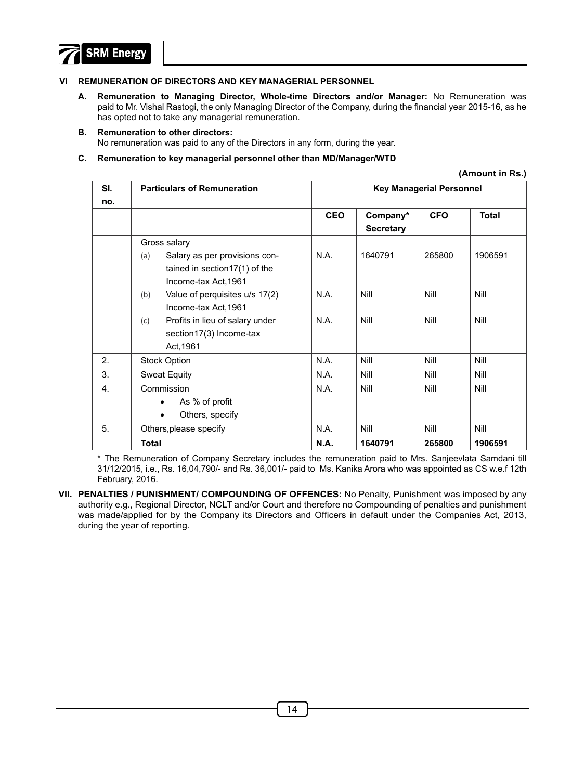

#### **VI REMUNERATION OF DIRECTORS AND KEY MANAGERIAL PERSONNEL**

- **A. Remuneration to Managing Director, Whole-time Directors and/or Manager:** No Remuneration was paid to Mr. Vishal Rastogi, the only Managing Director of the Company, during the financial year 2015-16, as he has opted not to take any managerial remuneration.
- **B. Remuneration to other directors:** No remuneration was paid to any of the Directors in any form, during the year.
- **C. Remuneration to key managerial personnel other than MD/Manager/WTD**

**(Amount in Rs.)**

| SI. | <b>Particulars of Remuneration</b>     |             | <b>Key Managerial Personnel</b> |             |              |
|-----|----------------------------------------|-------------|---------------------------------|-------------|--------------|
| no. |                                        |             |                                 |             |              |
|     |                                        | <b>CEO</b>  | Company*                        | <b>CFO</b>  | <b>Total</b> |
|     |                                        |             | <b>Secretary</b>                |             |              |
|     | Gross salary                           |             |                                 |             |              |
|     | Salary as per provisions con-<br>(a)   | N.A.        | 1640791                         | 265800      | 1906591      |
|     | tained in section17(1) of the          |             |                                 |             |              |
|     | Income-tax Act, 1961                   |             |                                 |             |              |
|     | Value of perquisites u/s 17(2)<br>(b)  | N.A.        | Nill                            | Nill        | Nill         |
|     | Income-tax Act, 1961                   |             |                                 |             |              |
|     | Profits in lieu of salary under<br>(c) | N.A.        | Nill                            | Nill        | Nill         |
|     | section17(3) Income-tax                |             |                                 |             |              |
|     | Act, 1961                              |             |                                 |             |              |
| 2.  | <b>Stock Option</b>                    | N.A.        | Nill                            | <b>Nill</b> | Nill         |
| 3.  | <b>Sweat Equity</b>                    | N.A.        | Nill                            | <b>Nill</b> | Nill         |
| 4.  | Commission                             | N.A.        | Nill                            | <b>Nill</b> | Nill         |
|     | As % of profit<br>$\bullet$            |             |                                 |             |              |
|     | Others, specify<br>$\bullet$           |             |                                 |             |              |
| 5.  | Others, please specify                 | N.A.        | Nill                            | Nill        | Nill         |
|     | <b>Total</b>                           | <b>N.A.</b> | 1640791                         | 265800      | 1906591      |

\* The Remuneration of Company Secretary includes the remuneration paid to Mrs. Sanjeevlata Samdani till 31/12/2015, i.e., Rs. 16,04,790/- and Rs. 36,001/- paid to Ms. Kanika Arora who was appointed as CS w.e.f 12th February, 2016.

**VII. PENALTIES / PUNISHMENT/ COMPOUNDING OF OFFENCES:** No Penalty, Punishment was imposed by any authority e.g., Regional Director, NCLT and/or Court and therefore no Compounding of penalties and punishment was made/applied for by the Company its Directors and Officers in default under the Companies Act, 2013, during the year of reporting.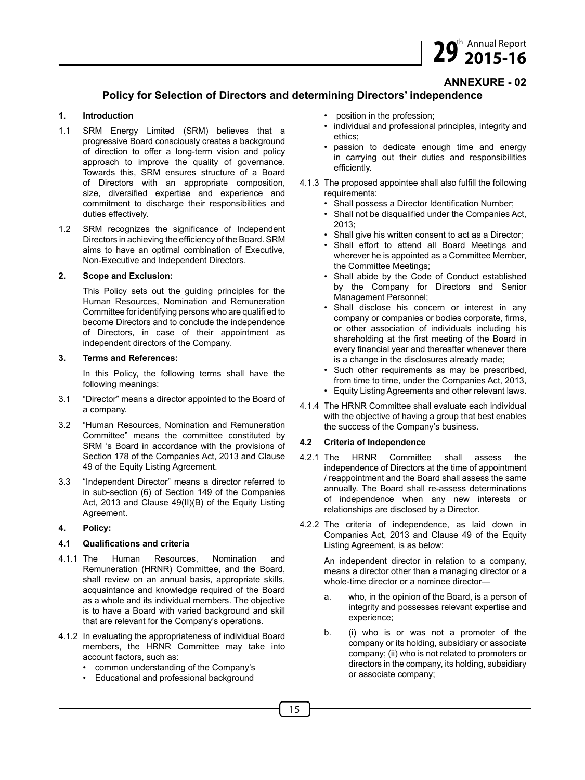29<sup>th</sup> Annual Report **29**<sup>th</sup> 2015-16

### **ANNEXURE - 02**

#### **Policy for Selection of Directors and determining Directors' independence**

#### **1. Introduction**

- 1.1 SRM Energy Limited (SRM) believes that a progressive Board consciously creates a background of direction to offer a long-term vision and policy approach to improve the quality of governance. Towards this, SRM ensures structure of a Board of Directors with an appropriate composition, size, diversified expertise and experience and commitment to discharge their responsibilities and duties effectively.
- 1.2 SRM recognizes the significance of Independent Directors in achieving the efficiency of the Board. SRM aims to have an optimal combination of Executive, Non-Executive and Independent Directors.

#### **2. Scope and Exclusion:**

This Policy sets out the guiding principles for the Human Resources, Nomination and Remuneration Committee for identifying persons who are qualifi ed to become Directors and to conclude the independence of Directors, in case of their appointment as independent directors of the Company.

#### **3. Terms and References:**

In this Policy, the following terms shall have the following meanings:

- 3.1 "Director" means a director appointed to the Board of a company.
- 3.2 "Human Resources, Nomination and Remuneration Committee" means the committee constituted by SRM 's Board in accordance with the provisions of Section 178 of the Companies Act, 2013 and Clause 49 of the Equity Listing Agreement.
- 3.3 "Independent Director" means a director referred to in sub-section (6) of Section 149 of the Companies Act, 2013 and Clause 49(II)(B) of the Equity Listing Agreement.

#### **4. Policy:**

#### **4.1 Qualifications and criteria**

- 4.1.1 The Human Resources, Nomination and Remuneration (HRNR) Committee, and the Board, shall review on an annual basis, appropriate skills, acquaintance and knowledge required of the Board as a whole and its individual members. The objective is to have a Board with varied background and skill that are relevant for the Company's operations.
- 4.1.2 In evaluating the appropriateness of individual Board members, the HRNR Committee may take into account factors, such as:
	- common understanding of the Company's
	- Educational and professional background
- position in the profession;
- individual and professional principles, integrity and ethics;
- passion to dedicate enough time and energy in carrying out their duties and responsibilities efficiently.
- 4.1.3 The proposed appointee shall also fulfill the following requirements:
	- Shall possess a Director Identification Number;
	- Shall not be disqualified under the Companies Act, 2013;
	- Shall give his written consent to act as a Director;
	- Shall effort to attend all Board Meetings and wherever he is appointed as a Committee Member, the Committee Meetings;
	- Shall abide by the Code of Conduct established by the Company for Directors and Senior Management Personnel;
	- Shall disclose his concern or interest in any company or companies or bodies corporate, firms, or other association of individuals including his shareholding at the first meeting of the Board in every financial year and thereafter whenever there is a change in the disclosures already made;
	- Such other requirements as may be prescribed, from time to time, under the Companies Act, 2013, • Equity Listing Agreements and other relevant laws.
- 4.1.4 The HRNR Committee shall evaluate each individual with the objective of having a group that best enables the success of the Company's business.

#### **4.2 Criteria of Independence**

- 4.2.1 The HRNR Committee shall assess the independence of Directors at the time of appointment / reappointment and the Board shall assess the same annually. The Board shall re-assess determinations of independence when any new interests or relationships are disclosed by a Director.
- 4.2.2 The criteria of independence, as laid down in Companies Act, 2013 and Clause 49 of the Equity Listing Agreement, is as below:

An independent director in relation to a company, means a director other than a managing director or a whole-time director or a nominee director—

- a. who, in the opinion of the Board, is a person of integrity and possesses relevant expertise and experience;
- b. (i) who is or was not a promoter of the company or its holding, subsidiary or associate company; (ii) who is not related to promoters or directors in the company, its holding, subsidiary or associate company;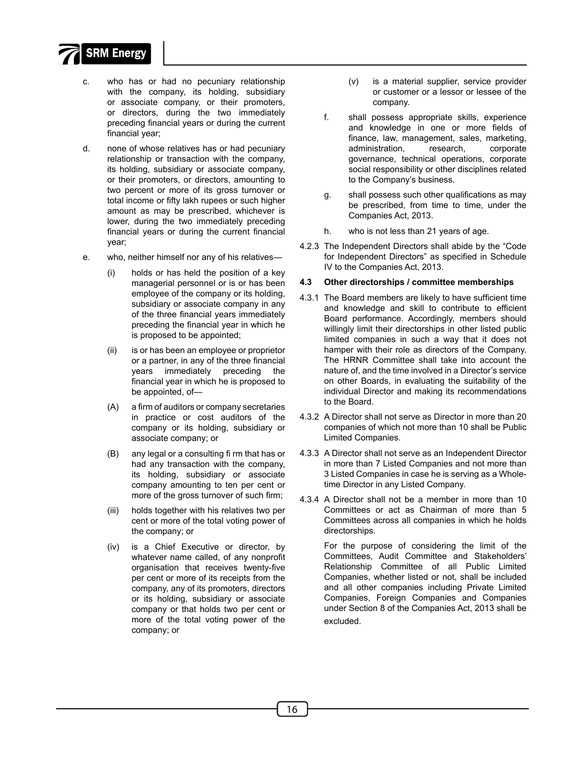

- c. who has or had no pecuniary relationship with the company, its holding, subsidiary or associate company, or their promoters, or directors, during the two immediately preceding financial years or during the current financial year;
- d. none of whose relatives has or had pecuniary relationship or transaction with the company, its holding, subsidiary or associate company, or their promoters, or directors, amounting to two percent or more of its gross turnover or total income or fifty lakh rupees or such higher amount as may be prescribed, whichever is lower, during the two immediately preceding financial years or during the current financial year;
- e. who, neither himself nor any of his relatives—
	- (i) holds or has held the position of a key managerial personnel or is or has been employee of the company or its holding, subsidiary or associate company in any of the three financial years immediately preceding the financial year in which he is proposed to be appointed;
	- (ii) is or has been an employee or proprietor or a partner, in any of the three financial years immediately preceding the financial year in which he is proposed to be appointed, of—
	- (A) a firm of auditors or company secretaries in practice or cost auditors of the company or its holding, subsidiary or associate company; or
	- (B) any legal or a consulting fi rm that has or had any transaction with the company, its holding, subsidiary or associate company amounting to ten per cent or more of the gross turnover of such firm;
	- (iii) holds together with his relatives two per cent or more of the total voting power of the company; or
	- (iv) is a Chief Executive or director, by whatever name called, of any nonprofit organisation that receives twenty-five per cent or more of its receipts from the company, any of its promoters, directors or its holding, subsidiary or associate company or that holds two per cent or more of the total voting power of the company; or
- (v) is a material supplier, service provider or customer or a lessor or lessee of the company.
- f. shall possess appropriate skills, experience and knowledge in one or more fields of finance, law, management, sales, marketing, administration, research, corporate governance, technical operations, corporate social responsibility or other disciplines related to the Company's business.
- g. shall possess such other qualifications as may be prescribed, from time to time, under the Companies Act, 2013.
- h. who is not less than 21 years of age.
- 4.2.3 The Independent Directors shall abide by the "Code for Independent Directors" as specified in Schedule IV to the Companies Act, 2013.

#### **4.3 Other directorships / committee memberships**

- 4.3.1 The Board members are likely to have sufficient time and knowledge and skill to contribute to efficient Board performance. Accordingly, members should willingly limit their directorships in other listed public limited companies in such a way that it does not hamper with their role as directors of the Company. The HRNR Committee shall take into account the nature of, and the time involved in a Director's service on other Boards, in evaluating the suitability of the individual Director and making its recommendations to the Board.
- 4.3.2 A Director shall not serve as Director in more than 20 companies of which not more than 10 shall be Public Limited Companies.
- 4.3.3 A Director shall not serve as an Independent Director in more than 7 Listed Companies and not more than 3 Listed Companies in case he is serving as a Wholetime Director in any Listed Company.
- 4.3.4 A Director shall not be a member in more than 10 Committees or act as Chairman of more than 5 Committees across all companies in which he holds directorships.

For the purpose of considering the limit of the Committees, Audit Committee and Stakeholders' Relationship Committee of all Public Limited Companies, whether listed or not, shall be included and all other companies including Private Limited Companies, Foreign Companies and Companies under Section 8 of the Companies Act, 2013 shall be excluded.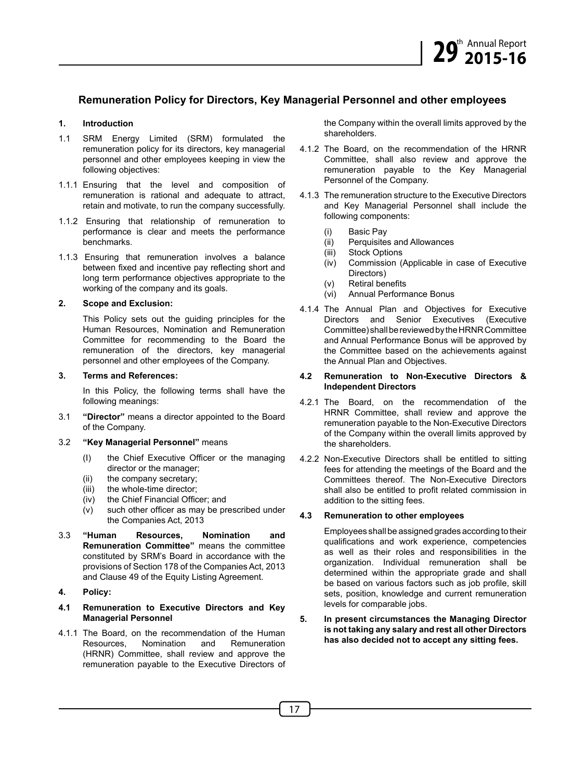### **Remuneration Policy for Directors, Key Managerial Personnel and other employees**

#### **1. Introduction**

- 1.1 SRM Energy Limited (SRM) formulated the remuneration policy for its directors, key managerial personnel and other employees keeping in view the following objectives:
- 1.1.1 Ensuring that the level and composition of remuneration is rational and adequate to attract, retain and motivate, to run the company successfully.
- 1.1.2 Ensuring that relationship of remuneration to performance is clear and meets the performance benchmarks.
- 1.1.3 Ensuring that remuneration involves a balance between fixed and incentive pay reflecting short and long term performance objectives appropriate to the working of the company and its goals.

#### **2. Scope and Exclusion:**

This Policy sets out the guiding principles for the Human Resources, Nomination and Remuneration Committee for recommending to the Board the remuneration of the directors, key managerial personnel and other employees of the Company.

#### **3. Terms and References:**

In this Policy, the following terms shall have the following meanings:

3.1 **"Director"** means a director appointed to the Board of the Company.

#### 3.2 **"Key Managerial Personnel"** means

- (I) the Chief Executive Officer or the managing director or the manager;
- (ii) the company secretary;
- (iii) the whole-time director;
- (iv) the Chief Financial Officer; and
- (v) such other officer as may be prescribed under the Companies Act, 2013
- 3.3 **"Human Resources, Nomination and Remuneration Committee"** means the committee constituted by SRM's Board in accordance with the provisions of Section 178 of the Companies Act, 2013 and Clause 49 of the Equity Listing Agreement.
- **4. Policy:**
- **4.1 Remuneration to Executive Directors and Key Managerial Personnel**
- 4.1.1 The Board, on the recommendation of the Human Resources, Nomination and Remuneration (HRNR) Committee, shall review and approve the remuneration payable to the Executive Directors of

the Company within the overall limits approved by the shareholders.

- 4.1.2 The Board, on the recommendation of the HRNR Committee, shall also review and approve the remuneration payable to the Key Managerial Personnel of the Company.
- 4.1.3 The remuneration structure to the Executive Directors and Key Managerial Personnel shall include the following components:
	- (i) Basic Pay<br>(ii) Perquisites
	- (ii) Perquisites and Allowances<br>(iii) Stock Options
	- Stock Options
	- (iv) Commission (Applicable in case of Executive Directors)
	- (v) Retiral benefits<br>(vi) Annual Perform
	- Annual Performance Bonus
- 4.1.4 The Annual Plan and Objectives for Executive Directors and Senior Executives (Executive Committee) shall be reviewed by the HRNR Committee and Annual Performance Bonus will be approved by the Committee based on the achievements against the Annual Plan and Objectives.

#### **4.2 Remuneration to Non-Executive Directors & Independent Directors**

- 4.2.1 The Board, on the recommendation of the HRNR Committee, shall review and approve the remuneration payable to the Non-Executive Directors of the Company within the overall limits approved by the shareholders.
- 4.2.2 Non-Executive Directors shall be entitled to sitting fees for attending the meetings of the Board and the Committees thereof. The Non-Executive Directors shall also be entitled to profit related commission in addition to the sitting fees.

#### **4.3 Remuneration to other employees**

Employees shall be assigned grades according to their qualifications and work experience, competencies as well as their roles and responsibilities in the organization. Individual remuneration shall be determined within the appropriate grade and shall be based on various factors such as job profile, skill sets, position, knowledge and current remuneration levels for comparable jobs.

**5. In present circumstances the Managing Director is not taking any salary and rest all other Directors has also decided not to accept any sitting fees.**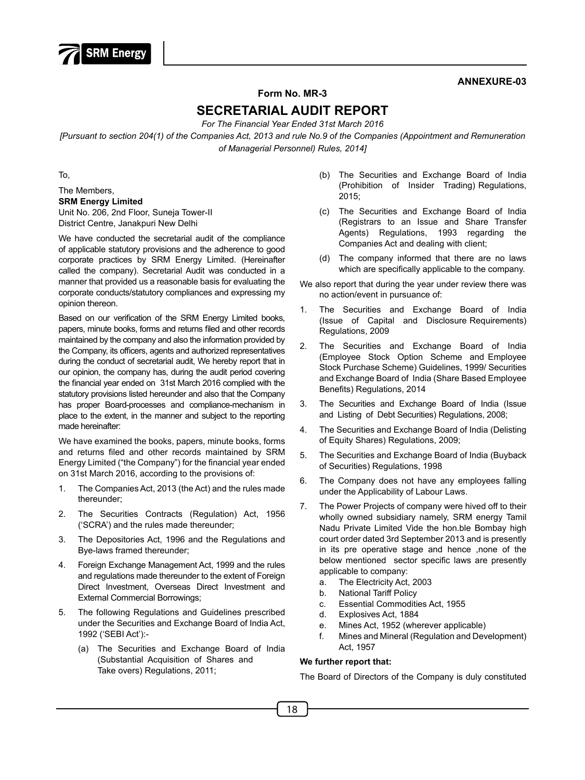

#### **Annexure-03**

#### **Form No. MR-3**

# **SECRETARIAL AUDIT REPORT**

*For The Financial Year Ended 31st March 2016*

*[Pursuant to section 204(1) of the Companies Act, 2013 and rule No.9 of the Companies (Appointment and Remuneration of Managerial Personnel) Rules, 2014]*

To,

#### The Members, **SRM Energy Limited** Unit No. 206, 2nd Floor, Suneja Tower-II

District Centre, Janakpuri New Delhi

We have conducted the secretarial audit of the compliance of applicable statutory provisions and the adherence to good corporate practices by SRM Energy Limited. (Hereinafter called the company). Secretarial Audit was conducted in a manner that provided us a reasonable basis for evaluating the corporate conducts/statutory compliances and expressing my opinion thereon.

Based on our verification of the SRM Energy Limited books, papers, minute books, forms and returns filed and other records maintained by the company and also the information provided by the Company, its officers, agents and authorized representatives during the conduct of secretarial audit, We hereby report that in our opinion, the company has, during the audit period covering the financial year ended on 31st March 2016 complied with the statutory provisions listed hereunder and also that the Company has proper Board-processes and compliance-mechanism in place to the extent, in the manner and subject to the reporting made hereinafter:

We have examined the books, papers, minute books, forms and returns filed and other records maintained by SRM Energy Limited ("the Company") for the financial year ended on 31st March 2016, according to the provisions of:

- 1. The Companies Act, 2013 (the Act) and the rules made thereunder;
- 2. The Securities Contracts (Regulation) Act, 1956 ('SCRA') and the rules made thereunder;
- 3. The Depositories Act, 1996 and the Regulations and Bye-laws framed thereunder;
- 4. Foreign Exchange Management Act, 1999 and the rules and regulations made thereunder to the extent of Foreign Direct Investment, Overseas Direct Investment and External Commercial Borrowings;
- 5. The following Regulations and Guidelines prescribed under the Securities and Exchange Board of India Act, 1992 ('SEBI Act'):-
	- (a) The Securities and Exchange Board of India (Substantial Acquisition of Shares and Take overs) Regulations, 2011;
- (b) The Securities and Exchange Board of India (Prohibition of Insider Trading) Regulations, 2015;
- (c) The Securities and Exchange Board of India (Registrars to an Issue and Share Transfer Agents) Regulations, 1993 regarding the Companies Act and dealing with client;
- (d) The company informed that there are no laws which are specifically applicable to the company.
- We also report that during the year under review there was no action/event in pursuance of:
- 1. The Securities and Exchange Board of India (Issue of Capital and Disclosure Requirements) Regulations, 2009
- 2. The Securities and Exchange Board of India (Employee Stock Option Scheme and Employee Stock Purchase Scheme) Guidelines, 1999/ Securities and Exchange Board of India (Share Based Employee Benefits) Regulations, 2014
- 3. The Securities and Exchange Board of India (Issue and Listing of Debt Securities) Regulations, 2008;
- 4. The Securities and Exchange Board of India (Delisting of Equity Shares) Regulations, 2009;
- 5. The Securities and Exchange Board of India (Buyback of Securities) Regulations, 1998
- 6. The Company does not have any employees falling under the Applicability of Labour Laws.
- 7. The Power Projects of company were hived off to their wholly owned subsidiary namely, SRM energy Tamil Nadu Private Limited Vide the hon.ble Bombay high court order dated 3rd September 2013 and is presently in its pre operative stage and hence ,none of the below mentioned sector specific laws are presently applicable to company:
	- a. The Electricity Act, 2003
	- b. National Tariff Policy
	- c. Essential Commodities Act, 1955
	- d. Explosives Act, 1884
	- e. Mines Act, 1952 (wherever applicable)
	- f. Mines and Mineral (Regulation and Development) Act, 1957

#### **We further report that:**

The Board of Directors of the Company is duly constituted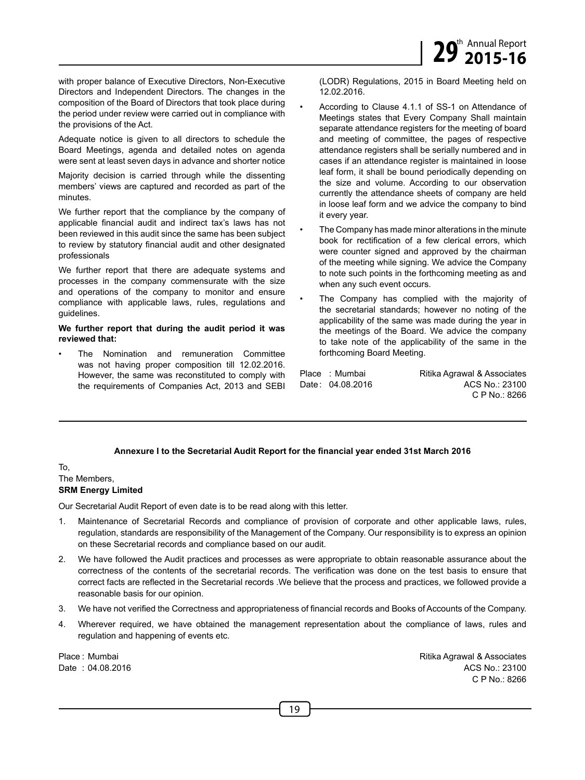with proper balance of Executive Directors, Non-Executive Directors and Independent Directors. The changes in the composition of the Board of Directors that took place during the period under review were carried out in compliance with the provisions of the Act.

Adequate notice is given to all directors to schedule the Board Meetings, agenda and detailed notes on agenda were sent at least seven days in advance and shorter notice

Majority decision is carried through while the dissenting members' views are captured and recorded as part of the minutes.

We further report that the compliance by the company of applicable financial audit and indirect tax's laws has not been reviewed in this audit since the same has been subject to review by statutory financial audit and other designated professionals

We further report that there are adequate systems and processes in the company commensurate with the size and operations of the company to monitor and ensure compliance with applicable laws, rules, regulations and guidelines.

#### **We further report that during the audit period it was reviewed that:**

The Nomination and remuneration Committee was not having proper composition till 12.02.2016. However, the same was reconstituted to comply with the requirements of Companies Act, 2013 and SEBI

(LODR) Regulations, 2015 in Board Meeting held on 12.02.2016.

- According to Clause 4.1.1 of SS-1 on Attendance of Meetings states that Every Company Shall maintain separate attendance registers for the meeting of board and meeting of committee, the pages of respective attendance registers shall be serially numbered and in cases if an attendance register is maintained in loose leaf form, it shall be bound periodically depending on the size and volume. According to our observation currently the attendance sheets of company are held in loose leaf form and we advice the company to bind it every year.
- The Company has made minor alterations in the minute book for rectification of a few clerical errors, which were counter signed and approved by the chairman of the meeting while signing. We advice the Company to note such points in the forthcoming meeting as and when any such event occurs.
- The Company has complied with the majority of the secretarial standards; however no noting of the applicability of the same was made during the year in the meetings of the Board. We advice the company to take note of the applicability of the same in the forthcoming Board Meeting.

Place : Mumbai Ritika Agrawal & Associates Date: 04.08.2016 ACS No.: 23100 C P No.: 8266

#### **Annexure I to the Secretarial Audit Report for the financial year ended 31st March 2016**

#### To,

#### The Members, **SRM Energy Limited**

Our Secretarial Audit Report of even date is to be read along with this letter.

- 1. Maintenance of Secretarial Records and compliance of provision of corporate and other applicable laws, rules, regulation, standards are responsibility of the Management of the Company. Our responsibility is to express an opinion on these Secretarial records and compliance based on our audit.
- 2. We have followed the Audit practices and processes as were appropriate to obtain reasonable assurance about the correctness of the contents of the secretarial records. The verification was done on the test basis to ensure that correct facts are reflected in the Secretarial records .We believe that the process and practices, we followed provide a reasonable basis for our opinion.
- 3. We have not verified the Correctness and appropriateness of financial records and Books of Accounts of the Company.
- 4. Wherever required, we have obtained the management representation about the compliance of laws, rules and regulation and happening of events etc.

Place : Mumbai Ritika Agrawal & Associates Date : 04.08.2016 ACS No.: 23100 C P No.: 8266

19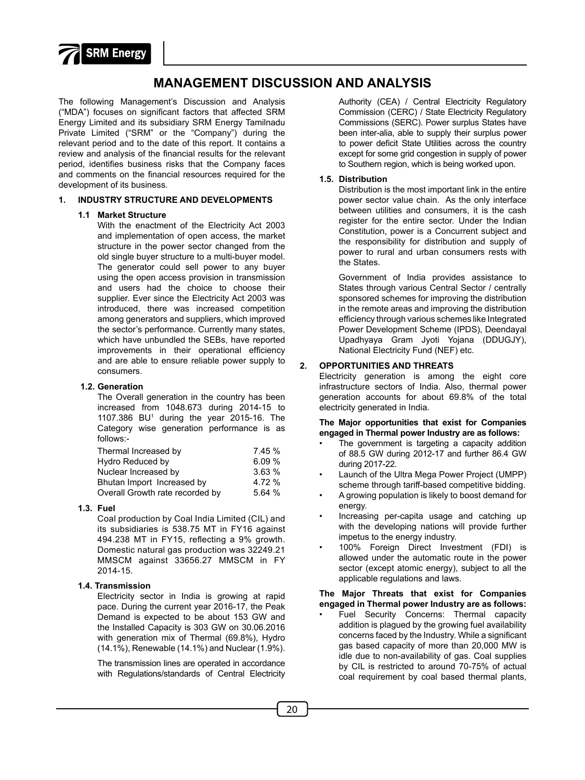

# **Management Discussion and Analysis**

The following Management's Discussion and Analysis ("MDA") focuses on significant factors that affected SRM Energy Limited and its subsidiary SRM Energy Tamilnadu Private Limited ("SRM" or the "Company") during the relevant period and to the date of this report. It contains a review and analysis of the financial results for the relevant period, identifies business risks that the Company faces and comments on the financial resources required for the development of its business.

#### **1. INDUSTRY STRUCTURE AND DEVELOPMENTS**

#### **1.1 Market Structure**

With the enactment of the Electricity Act 2003 and implementation of open access, the market structure in the power sector changed from the old single buyer structure to a multi-buyer model. The generator could sell power to any buyer using the open access provision in transmission and users had the choice to choose their supplier. Ever since the Electricity Act 2003 was introduced, there was increased competition among generators and suppliers, which improved the sector's performance. Currently many states, which have unbundled the SEBs, have reported improvements in their operational efficiency and are able to ensure reliable power supply to consumers.

#### **1.2. Generation**

The Overall generation in the country has been increased from 1048.673 during 2014-15 to 1107.386 BU1 during the year 2015-16. The Category wise generation performance is as follows:-

| Thermal Increased by            | 7.45 % |
|---------------------------------|--------|
| <b>Hydro Reduced by</b>         | 6.09%  |
| Nuclear Increased by            | 3.63%  |
| Bhutan Import Increased by      | 4.72 % |
| Overall Growth rate recorded by | 5.64%  |

#### **1.3. Fuel**

Coal production by Coal India Limited (CIL) and its subsidiaries is 538.75 MT in FY16 against 494.238 MT in FY15, reflecting a 9% growth. Domestic natural gas production was 32249.21 MMSCM against 33656.27 MMSCM in FY 2014-15.

#### **1.4. Transmission**

Electricity sector in India is growing at rapid pace. During the current year 2016-17, the Peak Demand is expected to be about 153 GW and the Installed Capacity is 303 GW on 30.06.2016 with generation mix of Thermal (69.8%), Hydro (14.1%), Renewable (14.1%) and Nuclear (1.9%).

The transmission lines are operated in accordance with Regulations/standards of Central Electricity Authority (CEA) / Central Electricity Regulatory Commission (CERC) / State Electricity Regulatory Commissions (SERC). Power surplus States have been inter-alia, able to supply their surplus power to power deficit State Utilities across the country except for some grid congestion in supply of power to Southern region, which is being worked upon.

#### **1.5. Distribution**

Distribution is the most important link in the entire power sector value chain. As the only interface between utilities and consumers, it is the cash register for the entire sector. Under the Indian Constitution, power is a Concurrent subject and the responsibility for distribution and supply of power to rural and urban consumers rests with the States.

Government of India provides assistance to States through various Central Sector / centrally sponsored schemes for improving the distribution in the remote areas and improving the distribution efficiency through various schemes like Integrated Power Development Scheme (IPDS), Deendayal Upadhyaya Gram Jyoti Yojana (DDUGJY), National Electricity Fund (NEF) etc.

#### **2. OPPORTUNITIES AND THREATS**

Electricity generation is among the eight core infrastructure sectors of India. Also, thermal power generation accounts for about 69.8% of the total electricity generated in India.

 **The Major opportunities that exist for Companies engaged in Thermal power Industry are as follows:**

- The government is targeting a capacity addition of 88.5 GW during 2012-17 and further 86.4 GW during 2017-22.
- Launch of the Ultra Mega Power Project (UMPP) scheme through tariff-based competitive bidding.
- A growing population is likely to boost demand for energy.
- Increasing per-capita usage and catching up with the developing nations will provide further impetus to the energy industry.
- 100% Foreign Direct Investment (FDI) is allowed under the automatic route in the power sector (except atomic energy), subject to all the applicable regulations and laws.

#### **The Major Threats that exist for Companies engaged in Thermal power Industry are as follows:**

Fuel Security Concerns: Thermal capacity addition is plagued by the growing fuel availability concerns faced by the Industry. While a significant gas based capacity of more than 20,000 MW is idle due to non-availability of gas. Coal supplies by CIL is restricted to around 70-75% of actual coal requirement by coal based thermal plants,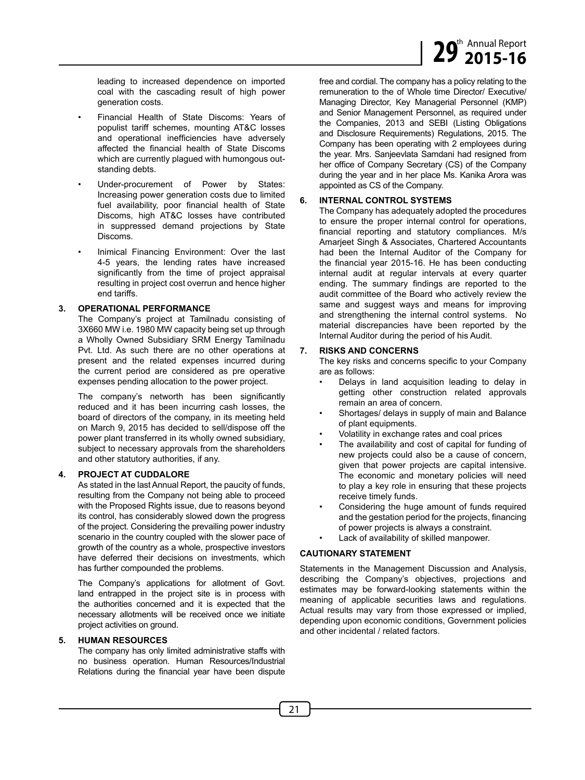leading to increased dependence on imported coal with the cascading result of high power generation costs.

- Financial Health of State Discoms: Years of populist tariff schemes, mounting AT&C losses and operational inefficiencies have adversely affected the financial health of State Discoms which are currently plagued with humongous outstanding debts.
- Under-procurement of Power by States: Increasing power generation costs due to limited fuel availability, poor financial health of State Discoms, high AT&C losses have contributed in suppressed demand projections by State Discoms.
- Inimical Financing Environment: Over the last 4-5 years, the lending rates have increased significantly from the time of project appraisal resulting in project cost overrun and hence higher end tariffs.

#### **3. OPERATIONAL PERFORMANCE**

The Company's project at Tamilnadu consisting of 3X660 MW i.e. 1980 MW capacity being set up through a Wholly Owned Subsidiary SRM Energy Tamilnadu Pvt. Ltd. As such there are no other operations at present and the related expenses incurred during the current period are considered as pre operative expenses pending allocation to the power project.

The company's networth has been significantly reduced and it has been incurring cash losses, the board of directors of the company, in its meeting held on March 9, 2015 has decided to sell/dispose off the power plant transferred in its wholly owned subsidiary, subject to necessary approvals from the shareholders and other statutory authorities, if any.

#### **4. PROJECT AT CUDDALORE**

As stated in the last Annual Report, the paucity of funds, resulting from the Company not being able to proceed with the Proposed Rights issue, due to reasons beyond its control, has considerably slowed down the progress of the project. Considering the prevailing power industry scenario in the country coupled with the slower pace of growth of the country as a whole, prospective investors have deferred their decisions on investments, which has further compounded the problems.

The Company's applications for allotment of Govt. land entrapped in the project site is in process with the authorities concerned and it is expected that the necessary allotments will be received once we initiate project activities on ground.

#### **5. HUMAN RESOURCES**

The company has only limited administrative staffs with no business operation. Human Resources/Industrial Relations during the financial year have been dispute free and cordial. The company has a policy relating to the remuneration to the of Whole time Director/ Executive/ Managing Director, Key Managerial Personnel (KMP) and Senior Management Personnel, as required under the Companies, 2013 and SEBI (Listing Obligations and Disclosure Requirements) Regulations, 2015. The Company has been operating with 2 employees during the year. Mrs. Sanjeevlata Samdani had resigned from her office of Company Secretary (CS) of the Company during the year and in her place Ms. Kanika Arora was appointed as CS of the Company.

#### **6. INTERNAL CONTROL SYSTEMS**

The Company has adequately adopted the procedures to ensure the proper internal control for operations, financial reporting and statutory compliances. M/s Amarjeet Singh & Associates, Chartered Accountants had been the Internal Auditor of the Company for the financial year 2015-16. He has been conducting internal audit at regular intervals at every quarter ending. The summary findings are reported to the audit committee of the Board who actively review the same and suggest ways and means for improving and strengthening the internal control systems. No material discrepancies have been reported by the Internal Auditor during the period of his Audit.

#### **7. RISKS AND CONCERNS**

The key risks and concerns specific to your Company are as follows:

- Delays in land acquisition leading to delay in getting other construction related approvals remain an area of concern.
- Shortages/ delays in supply of main and Balance of plant equipments.
- Volatility in exchange rates and coal prices
- The availability and cost of capital for funding of new projects could also be a cause of concern, given that power projects are capital intensive. The economic and monetary policies will need to play a key role in ensuring that these projects receive timely funds.
- Considering the huge amount of funds required and the gestation period for the projects, financing of power projects is always a constraint.
- Lack of availability of skilled manpower.

#### **CAUTIONARY STATEMENT**

Statements in the Management Discussion and Analysis, describing the Company's objectives, projections and estimates may be forward-looking statements within the meaning of applicable securities laws and regulations. Actual results may vary from those expressed or implied, depending upon economic conditions, Government policies and other incidental / related factors.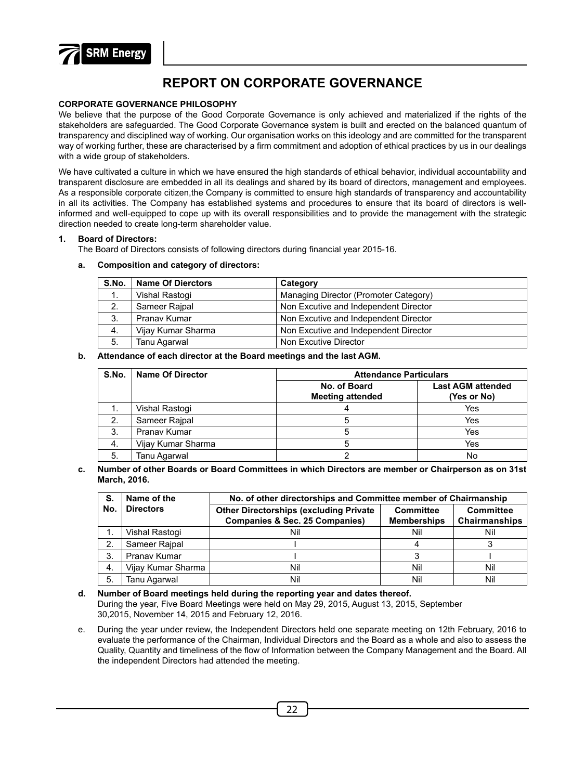

# **REPORT ON CORPORATE GOVERNANCE**

#### **CORPORATE GOVERNANCE PHILOSOPHY**

We believe that the purpose of the Good Corporate Governance is only achieved and materialized if the rights of the stakeholders are safeguarded. The Good Corporate Governance system is built and erected on the balanced quantum of transparency and disciplined way of working. Our organisation works on this ideology and are committed for the transparent way of working further, these are characterised by a firm commitment and adoption of ethical practices by us in our dealings with a wide group of stakeholders.

We have cultivated a culture in which we have ensured the high standards of ethical behavior, individual accountability and transparent disclosure are embedded in all its dealings and shared by its board of directors, management and employees. As a responsible corporate citizen,the Company is committed to ensure high standards of transparency and accountability in all its activities. The Company has established systems and procedures to ensure that its board of directors is wellinformed and well-equipped to cope up with its overall responsibilities and to provide the management with the strategic direction needed to create long-term shareholder value.

#### **1. Board of Directors:**

The Board of Directors consists of following directors during financial year 2015-16.

#### **a. Composition and category of directors:**

| S.No. | <b>Name Of Dierctors</b> | Category                              |
|-------|--------------------------|---------------------------------------|
| 1.    | Vishal Rastoqi           | Managing Director (Promoter Category) |
| 2.    | Sameer Rajpal            | Non Excutive and Independent Director |
| 3.    | Pranav Kumar             | Non Excutive and Independent Director |
| 4.    | Vijay Kumar Sharma       | Non Excutive and Independent Director |
| -5.   | Tanu Agarwal             | Non Excutive Director                 |

#### **b. Attendance of each director at the Board meetings and the last AGM.**

| S.No. | <b>Name Of Director</b> | <b>Attendance Particulars</b>           |                                         |  |
|-------|-------------------------|-----------------------------------------|-----------------------------------------|--|
|       |                         | No. of Board<br><b>Meeting attended</b> | <b>Last AGM attended</b><br>(Yes or No) |  |
|       | Vishal Rastogi          |                                         | Yes                                     |  |
| 2.    | Sameer Rajpal           |                                         | Yes                                     |  |
| 3.    | Pranav Kumar            |                                         | Yes                                     |  |
| 4.    | Vijay Kumar Sharma      |                                         | Yes                                     |  |
| 5.    | Tanu Agarwal            |                                         | No                                      |  |

**c. Number of other Boards or Board Committees in which Directors are member or Chairperson as on 31st March, 2016.**

| Name of the<br>S. |                    | No. of other directorships and Committee member of Chairmanship                             |                                 |                            |  |
|-------------------|--------------------|---------------------------------------------------------------------------------------------|---------------------------------|----------------------------|--|
| No.               | <b>Directors</b>   | <b>Other Directorships (excluding Private)</b><br><b>Companies &amp; Sec. 25 Companies)</b> | Committee<br><b>Memberships</b> | Committee<br>Chairmanships |  |
|                   | Vishal Rastoqi     | Nil                                                                                         | Nil                             | Nil                        |  |
| 2.                | Sameer Raipal      |                                                                                             |                                 |                            |  |
| 3.                | Pranav Kumar       |                                                                                             |                                 |                            |  |
| 4.                | Vijay Kumar Sharma | Nil                                                                                         | Nil                             | Nil                        |  |
| 5.                | Tanu Agarwal       | Nil                                                                                         | Nil                             | Nil                        |  |

- **d. Number of Board meetings held during the reporting year and dates thereof.** During the year, Five Board Meetings were held on May 29, 2015, August 13, 2015, September 30,2015, November 14, 2015 and February 12, 2016.
- e. During the year under review, the Independent Directors held one separate meeting on 12th February, 2016 to evaluate the performance of the Chairman, Individual Directors and the Board as a whole and also to assess the Quality, Quantity and timeliness of the flow of Information between the Company Management and the Board. All the independent Directors had attended the meeting.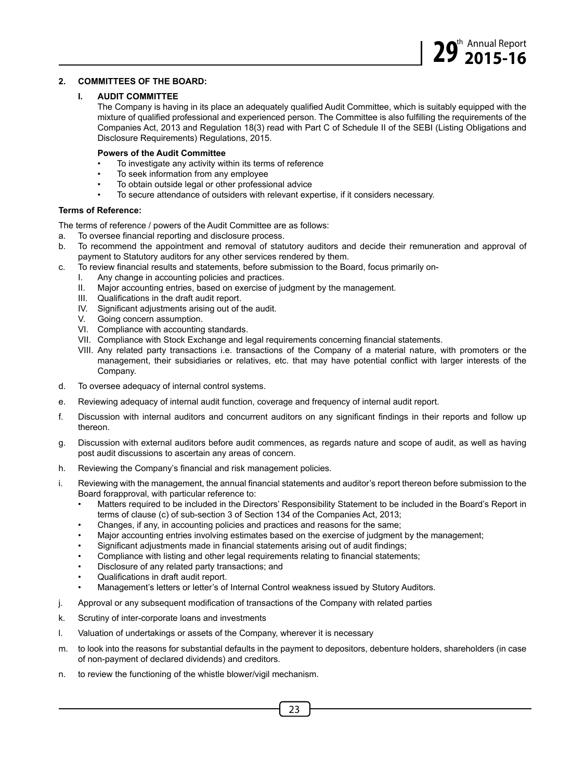#### **2. COMMITTEES OF THE BOARD:**

#### **I. AUDIT COMMITTEE**

The Company is having in its place an adequately qualified Audit Committee, which is suitably equipped with the mixture of qualified professional and experienced person. The Committee is also fulfilling the requirements of the Companies Act, 2013 and Regulation 18(3) read with Part C of Schedule II of the SEBI (Listing Obligations and Disclosure Requirements) Regulations, 2015.

#### **Powers of the Audit Committee**

- To investigate any activity within its terms of reference
- To seek information from any employee
- To obtain outside legal or other professional advice
- To secure attendance of outsiders with relevant expertise, if it considers necessary.

#### **Terms of Reference:**

The terms of reference / powers of the Audit Committee are as follows:

- a. To oversee financial reporting and disclosure process.
- b. To recommend the appointment and removal of statutory auditors and decide their remuneration and approval of payment to Statutory auditors for any other services rendered by them.
- c. To review financial results and statements, before submission to the Board, focus primarily on-
	- I. Any change in accounting policies and practices.
	- II. Major accounting entries, based on exercise of judgment by the management.
	- III. Qualifications in the draft audit report.
	- IV. Significant adjustments arising out of the audit.
	- V. Going concern assumption.
	- VI. Compliance with accounting standards.
	- VII. Compliance with Stock Exchange and legal requirements concerning financial statements.
	- VIII. Any related party transactions i.e. transactions of the Company of a material nature, with promoters or the management, their subsidiaries or relatives, etc. that may have potential conflict with larger interests of the Company.
- d. To oversee adequacy of internal control systems.
- e. Reviewing adequacy of internal audit function, coverage and frequency of internal audit report.
- f. Discussion with internal auditors and concurrent auditors on any significant findings in their reports and follow up thereon.
- g. Discussion with external auditors before audit commences, as regards nature and scope of audit, as well as having post audit discussions to ascertain any areas of concern.
- h. Reviewing the Company's financial and risk management policies.
- i. Reviewing with the management, the annual financial statements and auditor's report thereon before submission to the Board forapproval, with particular reference to:
	- Matters required to be included in the Directors' Responsibility Statement to be included in the Board's Report in terms of clause (c) of sub-section 3 of Section 134 of the Companies Act, 2013;
	- Changes, if any, in accounting policies and practices and reasons for the same;
	- Major accounting entries involving estimates based on the exercise of judgment by the management;
	- Significant adjustments made in financial statements arising out of audit findings;
	- Compliance with listing and other legal requirements relating to financial statements;
	- Disclosure of any related party transactions; and
	- Qualifications in draft audit report.
	- Management's letters or letter's of Internal Control weakness issued by Stutory Auditors.
- j. Approval or any subsequent modification of transactions of the Company with related parties
- k. Scrutiny of inter-corporate loans and investments
- l. Valuation of undertakings or assets of the Company, wherever it is necessary
- m. to look into the reasons for substantial defaults in the payment to depositors, debenture holders, shareholders (in case of non-payment of declared dividends) and creditors.
- n. to review the functioning of the whistle blower/vigil mechanism.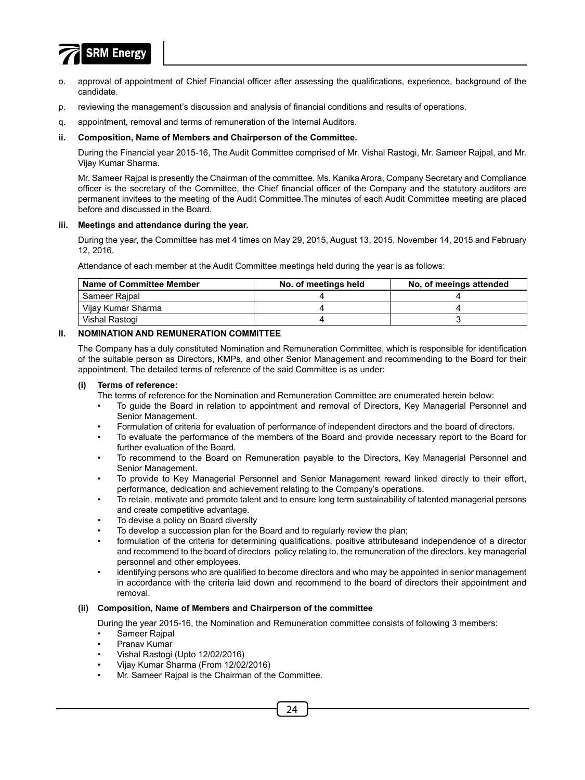

- o. approval of appointment of Chief Financial officer after assessing the qualifications, experience, background of the candidate.
- p. reviewing the management's discussion and analysis of financial conditions and results of operations.
- q. appointment, removal and terms of remuneration of the Internal Auditors.

#### **ii. Composition, Name of Members and Chairperson of the Committee.**

During the Financial year 2015-16, The Audit Committee comprised of Mr. Vishal Rastogi, Mr. Sameer Rajpal, and Mr. Vijay Kumar Sharma.

Mr. Sameer Rajpal is presently the Chairman of the committee. Ms. Kanika Arora, Company Secretary and Compliance officer is the secretary of the Committee, the Chief financial officer of the Company and the statutory auditors are permanent invitees to the meeting of the Audit Committee.The minutes of each Audit Committee meeting are placed before and discussed in the Board.

#### **iii. Meetings and attendance during the year.**

During the year, the Committee has met 4 times on May 29, 2015, August 13, 2015, November 14, 2015 and February 12, 2016.

Attendance of each member at the Audit Committee meetings held during the year is as follows:

| <b>Name of Committee Member</b> | No. of meetings held | No, of meeings attended |
|---------------------------------|----------------------|-------------------------|
| Sameer Raipal                   |                      |                         |
| Vijay Kumar Sharma              |                      |                         |
| Vishal Rastoqi                  |                      |                         |

#### **II. NOMINATION AND REMUNERATION COMMITTEE**

The Company has a duly constituted Nomination and Remuneration Committee, which is responsible for identification of the suitable person as Directors, KMPs, and other Senior Management and recommending to the Board for their appointment. The detailed terms of reference of the said Committee is as under:

#### **(i) Terms of reference:**

The terms of reference for the Nomination and Remuneration Committee are enumerated herein below:

- To guide the Board in relation to appointment and removal of Directors, Key Managerial Personnel and Senior Management.
- Formulation of criteria for evaluation of performance of independent directors and the board of directors.
- To evaluate the performance of the members of the Board and provide necessary report to the Board for further evaluation of the Board.
- To recommend to the Board on Remuneration payable to the Directors, Key Managerial Personnel and Senior Management.
- To provide to Key Managerial Personnel and Senior Management reward linked directly to their effort, performance, dedication and achievement relating to the Company's operations.
- To retain, motivate and promote talent and to ensure long term sustainability of talented managerial persons and create competitive advantage.
- To devise a policy on Board diversity
- To develop a succession plan for the Board and to regularly review the plan;
- formulation of the criteria for determining qualifications, positive attributesand independence of a director and recommend to the board of directors policy relating to, the remuneration of the directors, key managerial personnel and other employees.
- identifying persons who are qualified to become directors and who may be appointed in senior management in accordance with the criteria laid down and recommend to the board of directors their appointment and removal.

#### **(ii) Composition, Name of Members and Chairperson of the committee**

During the year 2015-16, the Nomination and Remuneration committee consists of following 3 members:

- Sameer Raipal
- Pranav Kumar
- Vishal Rastogi (Upto 12/02/2016)
- Vijay Kumar Sharma (From 12/02/2016)
- Mr. Sameer Rajpal is the Chairman of the Committee.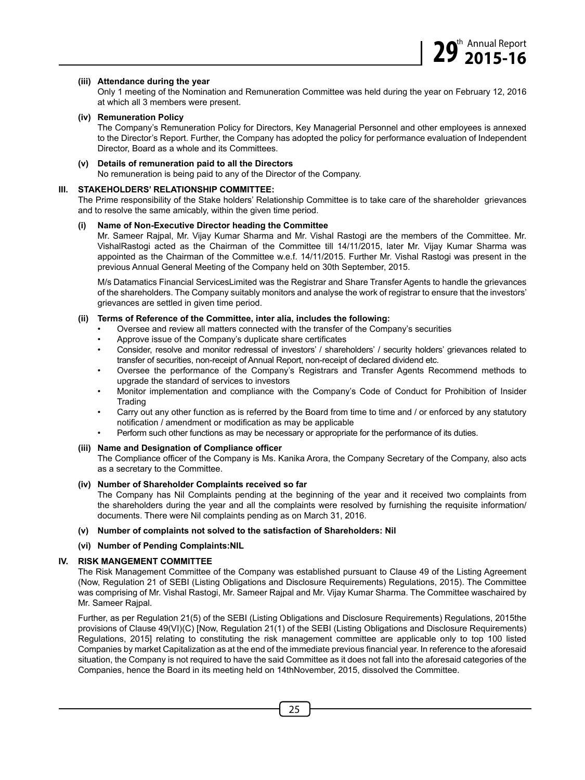#### **(iii) Attendance during the year**

Only 1 meeting of the Nomination and Remuneration Committee was held during the year on February 12, 2016 at which all 3 members were present.

#### **(iv) Remuneration Policy**

The Company's Remuneration Policy for Directors, Key Managerial Personnel and other employees is annexed to the Director's Report. Further, the Company has adopted the policy for performance evaluation of Independent Director, Board as a whole and its Committees.

#### **(v) Details of remuneration paid to all the Directors**

No remuneration is being paid to any of the Director of the Company.

#### **III. STAKEHOLDERS' RELATIONSHIP COMMITTEE:**

The Prime responsibility of the Stake holders' Relationship Committee is to take care of the shareholder grievances and to resolve the same amicably, within the given time period.

#### **(i) Name of Non-Executive Director heading the Committee**

Mr. Sameer Rajpal, Mr. Vijay Kumar Sharma and Mr. Vishal Rastogi are the members of the Committee. Mr. VishalRastogi acted as the Chairman of the Committee till 14/11/2015, later Mr. Vijay Kumar Sharma was appointed as the Chairman of the Committee w.e.f. 14/11/2015. Further Mr. Vishal Rastogi was present in the previous Annual General Meeting of the Company held on 30th September, 2015.

M/s Datamatics Financial ServicesLimited was the Registrar and Share Transfer Agents to handle the grievances of the shareholders. The Company suitably monitors and analyse the work of registrar to ensure that the investors' grievances are settled in given time period.

#### **(ii) Terms of Reference of the Committee, inter alia, includes the following:**

- Oversee and review all matters connected with the transfer of the Company's securities
- Approve issue of the Company's duplicate share certificates
- Consider, resolve and monitor redressal of investors' / shareholders' / security holders' grievances related to transfer of securities, non-receipt of Annual Report, non-receipt of declared dividend etc.
- Oversee the performance of the Company's Registrars and Transfer Agents Recommend methods to upgrade the standard of services to investors
- Monitor implementation and compliance with the Company's Code of Conduct for Prohibition of Insider **Trading**
- Carry out any other function as is referred by the Board from time to time and / or enforced by any statutory notification / amendment or modification as may be applicable
- Perform such other functions as may be necessary or appropriate for the performance of its duties.

#### **(iii) Name and Designation of Compliance officer**

The Compliance officer of the Company is Ms. Kanika Arora, the Company Secretary of the Company, also acts as a secretary to the Committee.

#### **(iv) Number of Shareholder Complaints received so far**

The Company has Nil Complaints pending at the beginning of the year and it received two complaints from the shareholders during the year and all the complaints were resolved by furnishing the requisite information/ documents. There were Nil complaints pending as on March 31, 2016.

#### **(v) Number of complaints not solved to the satisfaction of Shareholders: Nil**

#### **(vi) Number of Pending Complaints:NIL**

#### **IV. RISK MANGEMENT COMMITTEE**

The Risk Management Committee of the Company was established pursuant to Clause 49 of the Listing Agreement (Now, Regulation 21 of SEBI (Listing Obligations and Disclosure Requirements) Regulations, 2015). The Committee was comprising of Mr. Vishal Rastogi, Mr. Sameer Rajpal and Mr. Vijay Kumar Sharma. The Committee waschaired by Mr. Sameer Rajpal.

Further, as per Regulation 21(5) of the SEBI (Listing Obligations and Disclosure Requirements) Regulations, 2015the provisions of Clause 49(VI)(C) [Now, Regulation 21(1) of the SEBI (Listing Obligations and Disclosure Requirements) Regulations, 2015] relating to constituting the risk management committee are applicable only to top 100 listed Companies by market Capitalization as at the end of the immediate previous financial year. In reference to the aforesaid situation, the Company is not required to have the said Committee as it does not fall into the aforesaid categories of the Companies, hence the Board in its meeting held on 14thNovember, 2015, dissolved the Committee.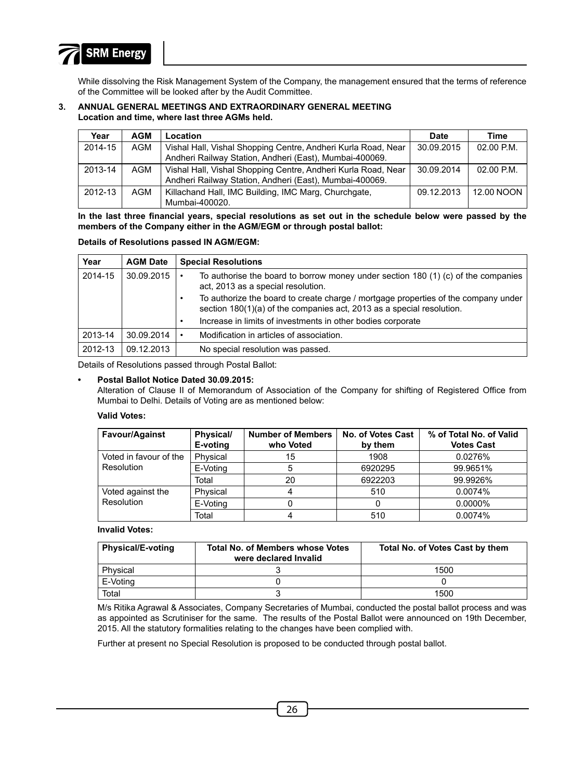

While dissolving the Risk Management System of the Company, the management ensured that the terms of reference of the Committee will be looked after by the Audit Committee.

#### **3. ANNUAL GENERAL MEETINGS AND EXTRAORDINARY GENERAL MEETING Location and time, where last three AGMs held.**

| Year    | AGM | ∟ocation                                                                                                                 | Date       | Time         |
|---------|-----|--------------------------------------------------------------------------------------------------------------------------|------------|--------------|
| 2014-15 | AGM | Vishal Hall, Vishal Shopping Centre, Andheri Kurla Road, Near<br>Andheri Railway Station, Andheri (East), Mumbai-400069. | 30.09.2015 | 02.00 P.M.   |
| 2013-14 | AGM | Vishal Hall, Vishal Shopping Centre, Andheri Kurla Road, Near<br>Andheri Railway Station, Andheri (East), Mumbai-400069. | 30.09.2014 | 02.00 PM     |
| 2012-13 | AGM | Killachand Hall, IMC Building, IMC Marg, Churchgate,<br>Mumbai-400020.                                                   | 09.12.2013 | 12.00 NOON 1 |

**In the last three financial years, special resolutions as set out in the schedule below were passed by the members of the Company either in the AGM/EGM or through postal ballot:**

#### **Details of Resolutions passed IN AGM/EGM:**

| Year    | <b>AGM Date</b> | <b>Special Resolutions</b>                                                                                                                                  |
|---------|-----------------|-------------------------------------------------------------------------------------------------------------------------------------------------------------|
| 2014-15 | 30.09.2015      | To authorise the board to borrow money under section 180 $(1)$ (c) of the companies<br>٠<br>act, 2013 as a special resolution.                              |
|         |                 | To authorize the board to create charge / mortgage properties of the company under<br>section 180(1)(a) of the companies act, 2013 as a special resolution. |
|         |                 | Increase in limits of investments in other bodies corporate<br>٠                                                                                            |
| 2013-14 | 30.09.2014      | Modification in articles of association.                                                                                                                    |
| 2012-13 | 09 12 2013      | No special resolution was passed.                                                                                                                           |

Details of Resolutions passed through Postal Ballot:

#### **• Postal Ballot Notice Dated 30.09.2015:**

Alteration of Clause II of Memorandum of Association of the Company for shifting of Registered Office from Mumbai to Delhi. Details of Voting are as mentioned below:

#### **Valid Votes:**

| <b>Favour/Against</b>  | Physical/<br>E-voting | <b>Number of Members</b><br>who Voted | No. of Votes Cast<br>by them | % of Total No. of Valid<br><b>Votes Cast</b> |
|------------------------|-----------------------|---------------------------------------|------------------------------|----------------------------------------------|
| Voted in favour of the | Physical              | 15                                    | 1908                         | 0.0276%                                      |
| Resolution             | E-Voting              | 5                                     | 6920295                      | 99.9651%                                     |
|                        | Total                 | 20                                    | 6922203                      | 99.9926%                                     |
| Voted against the      | Physical              | 4                                     | 510                          | 0.0074%                                      |
| Resolution             | E-Voting              |                                       |                              | 0.0000%                                      |
|                        | Total                 |                                       | 510                          | 0.0074%                                      |

**Invalid Votes:**

| <b>Total No. of Members whose Votes</b><br><b>Physical/E-voting</b><br>were declared Invalid |  | Total No. of Votes Cast by them |
|----------------------------------------------------------------------------------------------|--|---------------------------------|
| Physical                                                                                     |  | 1500                            |
| E-Voting                                                                                     |  |                                 |
| Total                                                                                        |  | 1500                            |

M/s Ritika Agrawal & Associates, Company Secretaries of Mumbai, conducted the postal ballot process and was as appointed as Scrutiniser for the same. The results of the Postal Ballot were announced on 19th December, 2015. All the statutory formalities relating to the changes have been complied with.

Further at present no Special Resolution is proposed to be conducted through postal ballot.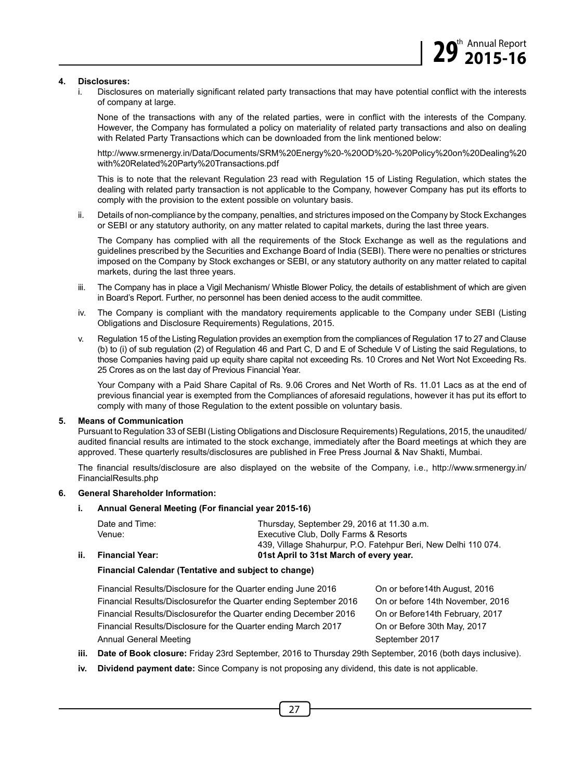#### **4. Disclosures:**

i. Disclosures on materially significant related party transactions that may have potential conflict with the interests of company at large.

None of the transactions with any of the related parties, were in conflict with the interests of the Company. However, the Company has formulated a policy on materiality of related party transactions and also on dealing with Related Party Transactions which can be downloaded from the link mentioned below:

http://www.srmenergy.in/Data/Documents/SRM%20Energy%20-%20OD%20-%20Policy%20on%20Dealing%20 with%20Related%20Party%20Transactions.pdf

This is to note that the relevant Regulation 23 read with Regulation 15 of Listing Regulation, which states the dealing with related party transaction is not applicable to the Company, however Company has put its efforts to comply with the provision to the extent possible on voluntary basis.

ii. Details of non-compliance by the company, penalties, and strictures imposed on the Company by Stock Exchanges or SEBI or any statutory authority, on any matter related to capital markets, during the last three years.

The Company has complied with all the requirements of the Stock Exchange as well as the regulations and guidelines prescribed by the Securities and Exchange Board of India (SEBI). There were no penalties or strictures imposed on the Company by Stock exchanges or SEBI, or any statutory authority on any matter related to capital markets, during the last three years.

- iii. The Company has in place a Vigil Mechanism/ Whistle Blower Policy, the details of establishment of which are given in Board's Report. Further, no personnel has been denied access to the audit committee.
- iv. The Company is compliant with the mandatory requirements applicable to the Company under SEBI (Listing Obligations and Disclosure Requirements) Regulations, 2015.
- v. Regulation 15 of the Listing Regulation provides an exemption from the compliances of Regulation 17 to 27 and Clause (b) to (i) of sub regulation (2) of Regulation 46 and Part C, D and E of Schedule V of Listing the said Regulations, to those Companies having paid up equity share capital not exceeding Rs. 10 Crores and Net Wort Not Exceeding Rs. 25 Crores as on the last day of Previous Financial Year.

Your Company with a Paid Share Capital of Rs. 9.06 Crores and Net Worth of Rs. 11.01 Lacs as at the end of previous financial year is exempted from the Compliances of aforesaid regulations, however it has put its effort to comply with many of those Regulation to the extent possible on voluntary basis.

#### **5. Means of Communication**

Pursuant to Regulation 33 of SEBI (Listing Obligations and Disclosure Requirements) Regulations, 2015, the unaudited/ audited financial results are intimated to the stock exchange, immediately after the Board meetings at which they are approved. These quarterly results/disclosures are published in Free Press Journal & Nav Shakti, Mumbai.

The financial results/disclosure are also displayed on the website of the Company, i.e., http://www.srmenergy.in/ FinancialResults.php

#### **6. General Shareholder Information:**

#### **i. Annual General Meeting (For financial year 2015-16)**

| ii. | Financial Year: | 01st April to 31st March of every year.                        |
|-----|-----------------|----------------------------------------------------------------|
|     |                 | 439, Village Shahurpur, P.O. Fatehpur Beri, New Delhi 110 074. |
|     | Venue:          | Executive Club, Dolly Farms & Resorts                          |
|     | Date and Time:  | Thursday, September 29, 2016 at 11.30 a.m.                     |

# **Financial Calendar (Tentative and subject to change)**

| Financial Results/Disclosure for the Quarter ending June 2016     | On or before 14th August, 2016   |
|-------------------------------------------------------------------|----------------------------------|
| Financial Results/Disclosurefor the Quarter ending September 2016 | On or before 14th November, 2016 |
| Financial Results/Disclosurefor the Quarter ending December 2016  | On or Before 14th February, 2017 |
| Financial Results/Disclosure for the Quarter ending March 2017    | On or Before 30th May, 2017      |
| Annual General Meeting                                            | September 2017                   |

- **iii. Date of Book closure:** Friday 23rd September, 2016 to Thursday 29th September, 2016 (both days inclusive).
- **iv. Dividend payment date:** Since Company is not proposing any dividend, this date is not applicable.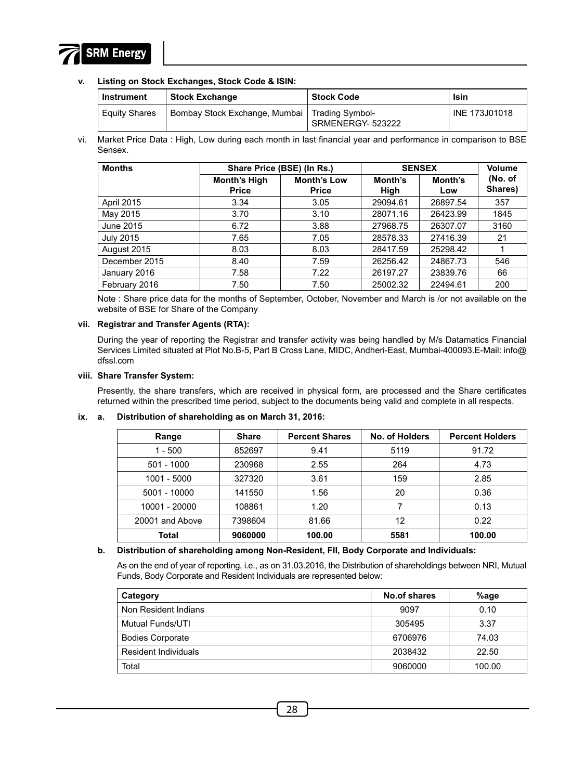

#### **v. Listing on Stock Exchanges, Stock Code & ISIN:**

| Instrument           | <b>Stock Exchange</b>                           | <b>Stock Code</b> | Isin          |
|----------------------|-------------------------------------------------|-------------------|---------------|
| <b>Equity Shares</b> | Bombay Stock Exchange, Mumbai   Trading Symbol- | SRMENERGY- 523222 | INE 173J01018 |

vi. Market Price Data : High, Low during each month in last financial year and performance in comparison to BSE Sensex.

| <b>Months</b>    |                              | Share Price (BSE) (In Rs.)         |                 | <b>SENSEX</b>  |                    |
|------------------|------------------------------|------------------------------------|-----------------|----------------|--------------------|
|                  | Month's High<br><b>Price</b> | <b>Month's Low</b><br><b>Price</b> | Month's<br>High | Month's<br>Low | (No. of<br>Shares) |
| April 2015       | 3.34                         | 3.05                               | 29094.61        | 26897.54       | 357                |
| May 2015         | 3.70                         | 3.10                               | 28071.16        | 26423.99       | 1845               |
| June 2015        | 6.72                         | 3.88                               | 27968.75        | 26307.07       | 3160               |
| <b>July 2015</b> | 7.65                         | 7.05                               | 28578.33        | 27416.39       | 21                 |
| August 2015      | 8.03                         | 8.03                               | 28417.59        | 25298.42       |                    |
| December 2015    | 8.40                         | 7.59                               | 26256.42        | 24867.73       | 546                |
| January 2016     | 7.58                         | 7.22                               | 26197.27        | 23839.76       | 66                 |
| February 2016    | 7.50                         | 7.50                               | 25002.32        | 22494.61       | 200                |

Note : Share price data for the months of September, October, November and March is /or not available on the website of BSE for Share of the Company

#### **vii. Registrar and Transfer Agents (RTA):**

During the year of reporting the Registrar and transfer activity was being handled by M/s Datamatics Financial Services Limited situated at Plot No.B-5, Part B Cross Lane, MIDC, Andheri-East, Mumbai-400093.E-Mail: info@ dfssl.com

#### **viii. Share Transfer System:**

Presently, the share transfers, which are received in physical form, are processed and the Share certificates returned within the prescribed time period, subject to the documents being valid and complete in all respects.

#### **ix. a. Distribution of shareholding as on March 31, 2016:**

| Range           | <b>Share</b> | <b>Percent Shares</b> | No. of Holders | <b>Percent Holders</b> |
|-----------------|--------------|-----------------------|----------------|------------------------|
| $1 - 500$       | 852697       | 9.41                  | 5119           | 91.72                  |
| $501 - 1000$    | 230968       | 2.55                  | 264            | 4.73                   |
| 1001 - 5000     | 327320       | 3.61                  | 159            | 2.85                   |
| 5001 - 10000    | 141550       | 1.56                  | 20             | 0.36                   |
| 10001 - 20000   | 108861       | 1.20                  | 7              | 0.13                   |
| 20001 and Above | 7398604      | 81.66                 | 12             | 0.22                   |
| Total           | 9060000      | 100.00                | 5581           | 100.00                 |

#### **b. Distribution of shareholding among Non-Resident, FII, Body Corporate and Individuals:**

As on the end of year of reporting, i.e., as on 31.03.2016, the Distribution of shareholdings between NRI, Mutual Funds, Body Corporate and Resident Individuals are represented below:

| Category                    | No.of shares | %age   |
|-----------------------------|--------------|--------|
| Non Resident Indians        | 9097         | 0.10   |
| <b>Mutual Funds/UTI</b>     | 305495       | 3.37   |
| <b>Bodies Corporate</b>     | 6706976      | 74.03  |
| <b>Resident Individuals</b> | 2038432      | 22.50  |
| Total                       | 9060000      | 100.00 |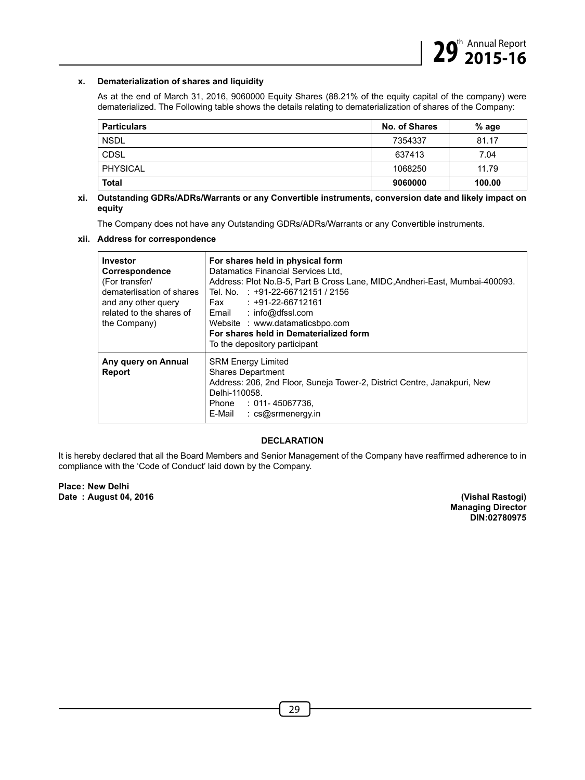#### **x. Dematerialization of shares and liquidity**

As at the end of March 31, 2016, 9060000 Equity Shares (88.21% of the equity capital of the company) were dematerialized. The Following table shows the details relating to dematerialization of shares of the Company:

| <b>Particulars</b> | <b>No. of Shares</b> | % age  |
|--------------------|----------------------|--------|
| <b>NSDL</b>        | 7354337              | 81.17  |
| <b>CDSL</b>        | 637413               | 7.04   |
| PHYSICAL           | 1068250              | 11.79  |
| <b>Total</b>       | 9060000              | 100.00 |

#### **xi. Outstanding GDRs/ADRs/Warrants or any Convertible instruments, conversion date and likely impact on equity**

The Company does not have any Outstanding GDRs/ADRs/Warrants or any Convertible instruments.

#### **xii. Address for correspondence**

| Investor<br>Correspondence<br>(For transfer/<br>dematerlisation of shares<br>and any other query<br>related to the shares of<br>the Company) | For shares held in physical form<br>Datamatics Financial Services Ltd.<br>Address: Plot No.B-5, Part B Cross Lane, MIDC, Andheri-East, Mumbai-400093.<br>Tel. No. : +91-22-66712151 / 2156<br>$: +91-22-66712161$<br>Fax<br>: info@dfssl.com<br>Email<br>Website : www.datamaticsbpo.com<br>For shares held in Dematerialized form<br>To the depository participant |
|----------------------------------------------------------------------------------------------------------------------------------------------|---------------------------------------------------------------------------------------------------------------------------------------------------------------------------------------------------------------------------------------------------------------------------------------------------------------------------------------------------------------------|
| Any query on Annual<br>Report                                                                                                                | <b>SRM Energy Limited</b><br><b>Shares Department</b><br>Address: 206, 2nd Floor, Suneja Tower-2, District Centre, Janakpuri, New<br>Delhi-110058.<br>Phone : 011-45067736,<br>E-Mail<br>: cs@smenerqv.in                                                                                                                                                           |

#### **DECLARATION**

It is hereby declared that all the Board Members and Senior Management of the Company have reaffirmed adherence to in compliance with the 'Code of Conduct' laid down by the Company.

**Place: New Delhi Date : August 04, 2016 (Vishal Rastogi)**

**Managing Director DIN:02780975**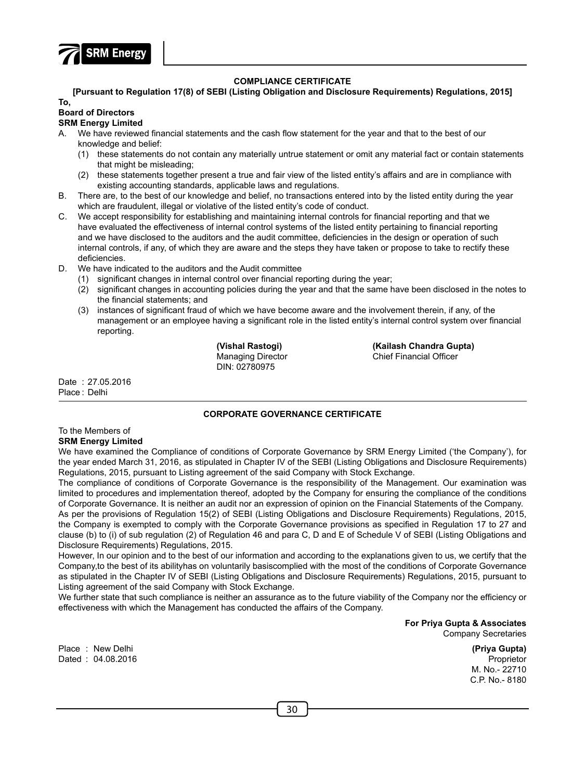

#### **COMPLIANCE CERTIFICATE**

# **[Pursuant to Regulation 17(8) of SEBI (Listing Obligation and Disclosure Requirements) Regulations, 2015]**

**To,** 

## **Board of Directors**

### **SRM Energy Limited**

- A. We have reviewed financial statements and the cash flow statement for the year and that to the best of our knowledge and belief:
	- (1) these statements do not contain any materially untrue statement or omit any material fact or contain statements that might be misleading;
	- (2) these statements together present a true and fair view of the listed entity's affairs and are in compliance with existing accounting standards, applicable laws and regulations.
- B. There are, to the best of our knowledge and belief, no transactions entered into by the listed entity during the year which are fraudulent, illegal or violative of the listed entity's code of conduct.
- C. We accept responsibility for establishing and maintaining internal controls for financial reporting and that we have evaluated the effectiveness of internal control systems of the listed entity pertaining to financial reporting and we have disclosed to the auditors and the audit committee, deficiencies in the design or operation of such internal controls, if any, of which they are aware and the steps they have taken or propose to take to rectify these deficiencies.
- D. We have indicated to the auditors and the Audit committee
	- (1) significant changes in internal control over financial reporting during the year;
	- (2) significant changes in accounting policies during the year and that the same have been disclosed in the notes to the financial statements; and
	- (3) instances of significant fraud of which we have become aware and the involvement therein, if any, of the management or an employee having a significant role in the listed entity's internal control system over financial reporting.

DIN: 02780975

 **(Vishal Rastogi) (Kailash Chandra Gupta)** Managing Director Chief Financial Officer

Date : 27.05.2016 Place : Delhi

#### **Corporate governance Certificate**

#### To the Members of **SRM Energy Limited**

We have examined the Compliance of conditions of Corporate Governance by SRM Energy Limited ('the Company'), for the year ended March 31, 2016, as stipulated in Chapter IV of the SEBI (Listing Obligations and Disclosure Requirements) Regulations, 2015, pursuant to Listing agreement of the said Company with Stock Exchange.

The compliance of conditions of Corporate Governance is the responsibility of the Management. Our examination was limited to procedures and implementation thereof, adopted by the Company for ensuring the compliance of the conditions of Corporate Governance. It is neither an audit nor an expression of opinion on the Financial Statements of the Company.

As per the provisions of Regulation 15(2) of SEBI (Listing Obligations and Disclosure Requirements) Regulations, 2015, the Company is exempted to comply with the Corporate Governance provisions as specified in Regulation 17 to 27 and clause (b) to (i) of sub regulation (2) of Regulation 46 and para C, D and E of Schedule V of SEBI (Listing Obligations and Disclosure Requirements) Regulations, 2015.

However, In our opinion and to the best of our information and according to the explanations given to us, we certify that the Company,to the best of its abilityhas on voluntarily basiscomplied with the most of the conditions of Corporate Governance as stipulated in the Chapter IV of SEBI (Listing Obligations and Disclosure Requirements) Regulations, 2015, pursuant to Listing agreement of the said Company with Stock Exchange.

We further state that such compliance is neither an assurance as to the future viability of the Company nor the efficiency or effectiveness with which the Management has conducted the affairs of the Company.

> **For Priya Gupta & Associates** Company Secretaries

Place : New Delhi **(Priya Gupta)**  $Dated : 04.08.2016$ 

 M. No.- 22710 C.P. No.- 8180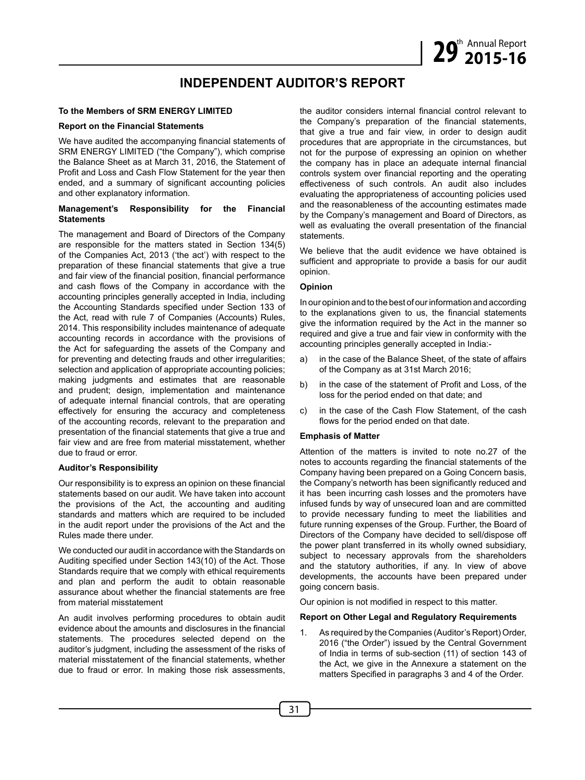# **INDEPENDENT AUDITOR'S REPORT**

#### **To the Members of SRM ENERGY LIMITED**

#### **Report on the Financial Statements**

We have audited the accompanying financial statements of SRM ENERGY LIMITED ("the Company"), which comprise the Balance Sheet as at March 31, 2016, the Statement of Profit and Loss and Cash Flow Statement for the year then ended, and a summary of significant accounting policies and other explanatory information.

#### **Management's Responsibility for the Financial Statements**

The management and Board of Directors of the Company are responsible for the matters stated in Section 134(5) of the Companies Act, 2013 ('the act') with respect to the preparation of these financial statements that give a true and fair view of the financial position, financial performance and cash flows of the Company in accordance with the accounting principles generally accepted in India, including the Accounting Standards specified under Section 133 of the Act, read with rule 7 of Companies (Accounts) Rules, 2014. This responsibility includes maintenance of adequate accounting records in accordance with the provisions of the Act for safeguarding the assets of the Company and for preventing and detecting frauds and other irregularities; selection and application of appropriate accounting policies; making judgments and estimates that are reasonable and prudent; design, implementation and maintenance of adequate internal financial controls, that are operating effectively for ensuring the accuracy and completeness of the accounting records, relevant to the preparation and presentation of the financial statements that give a true and fair view and are free from material misstatement, whether due to fraud or error.

#### **Auditor's Responsibility**

Our responsibility is to express an opinion on these financial statements based on our audit. We have taken into account the provisions of the Act, the accounting and auditing standards and matters which are required to be included in the audit report under the provisions of the Act and the Rules made there under.

We conducted our audit in accordance with the Standards on Auditing specified under Section 143(10) of the Act. Those Standards require that we comply with ethical requirements and plan and perform the audit to obtain reasonable assurance about whether the financial statements are free from material misstatement

An audit involves performing procedures to obtain audit evidence about the amounts and disclosures in the financial statements. The procedures selected depend on the auditor's judgment, including the assessment of the risks of material misstatement of the financial statements, whether due to fraud or error. In making those risk assessments, the auditor considers internal financial control relevant to the Company's preparation of the financial statements, that give a true and fair view, in order to design audit procedures that are appropriate in the circumstances, but not for the purpose of expressing an opinion on whether the company has in place an adequate internal financial controls system over financial reporting and the operating effectiveness of such controls. An audit also includes evaluating the appropriateness of accounting policies used and the reasonableness of the accounting estimates made by the Company's management and Board of Directors, as well as evaluating the overall presentation of the financial statements.

We believe that the audit evidence we have obtained is sufficient and appropriate to provide a basis for our audit opinion.

#### **Opinion**

In our opinion and to the best of our information and according to the explanations given to us, the financial statements give the information required by the Act in the manner so required and give a true and fair view in conformity with the accounting principles generally accepted in India:-

- a) in the case of the Balance Sheet, of the state of affairs of the Company as at 31st March 2016;
- b) in the case of the statement of Profit and Loss, of the loss for the period ended on that date; and
- c) in the case of the Cash Flow Statement, of the cash flows for the period ended on that date.

#### **Emphasis of Matter**

Attention of the matters is invited to note no.27 of the notes to accounts regarding the financial statements of the Company having been prepared on a Going Concern basis, the Company's networth has been significantly reduced and it has been incurring cash losses and the promoters have infused funds by way of unsecured loan and are committed to provide necessary funding to meet the liabilities and future running expenses of the Group. Further, the Board of Directors of the Company have decided to sell/dispose off the power plant transferred in its wholly owned subsidiary, subject to necessary approvals from the shareholders and the statutory authorities, if any. In view of above developments, the accounts have been prepared under going concern basis.

Our opinion is not modified in respect to this matter.

#### **Report on Other Legal and Regulatory Requirements**

1. As required by the Companies (Auditor's Report) Order, 2016 ("the Order") issued by the Central Government of India in terms of sub-section (11) of section 143 of the Act, we give in the Annexure a statement on the matters Specified in paragraphs 3 and 4 of the Order.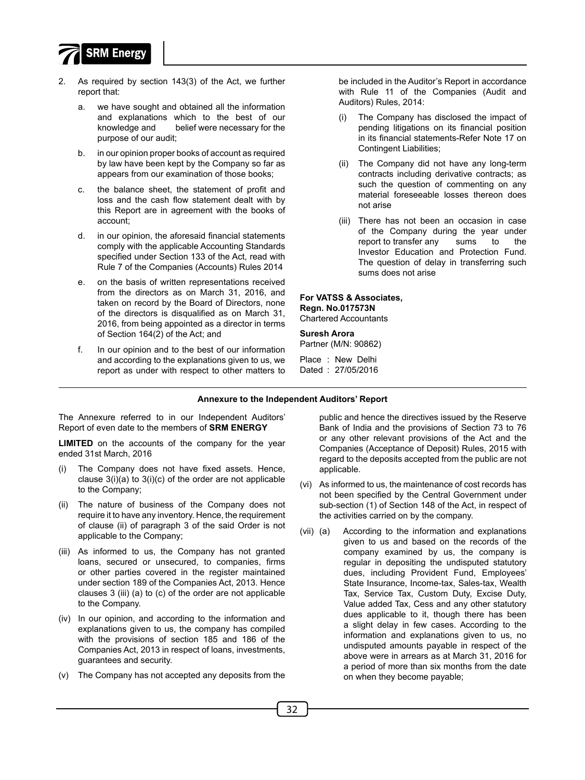

- 2. As required by section 143(3) of the Act, we further report that:
	- a. we have sought and obtained all the information and explanations which to the best of our knowledge and belief were necessary for the purpose of our audit;
	- b. in our opinion proper books of account as required by law have been kept by the Company so far as appears from our examination of those books;
	- c. the balance sheet, the statement of profit and loss and the cash flow statement dealt with by this Report are in agreement with the books of account;
	- d. in our opinion, the aforesaid financial statements comply with the applicable Accounting Standards specified under Section 133 of the Act, read with Rule 7 of the Companies (Accounts) Rules 2014
	- e. on the basis of written representations received from the directors as on March 31, 2016, and taken on record by the Board of Directors, none of the directors is disqualified as on March 31, 2016, from being appointed as a director in terms of Section 164(2) of the Act; and
	- f. In our opinion and to the best of our information and according to the explanations given to us, we report as under with respect to other matters to

be included in the Auditor's Report in accordance with Rule 11 of the Companies (Audit and Auditors) Rules, 2014:

- (i) The Company has disclosed the impact of pending litigations on its financial position in its financial statements-Refer Note 17 on Contingent Liabilities;
- (ii) The Company did not have any long-term contracts including derivative contracts; as such the question of commenting on any material foreseeable losses thereon does not arise
- (iii) There has not been an occasion in case of the Company during the year under<br>report to transfer any sums to the report to transfer any sums to the Investor Education and Protection Fund. The question of delay in transferring such sums does not arise

#### **For VATSS & Associates, Regn. No.017573N** Chartered Accountants

#### **Suresh Arora**

Partner (M/N: 90862)

Place : New Delhi Dated : 27/05/2016

#### **Annexure to the Independent Auditors' Report**

The Annexure referred to in our Independent Auditors' Report of even date to the members of **SRM ENERGY**

**LIMITED** on the accounts of the company for the year ended 31st March, 2016

- (i) The Company does not have fixed assets. Hence, clause  $3(i)(a)$  to  $3(i)(c)$  of the order are not applicable to the Company;
- (ii) The nature of business of the Company does not require it to have any inventory. Hence, the requirement of clause (ii) of paragraph 3 of the said Order is not applicable to the Company;
- (iii) As informed to us, the Company has not granted loans, secured or unsecured, to companies, firms or other parties covered in the register maintained under section 189 of the Companies Act, 2013. Hence clauses 3 (iii) (a) to (c) of the order are not applicable to the Company.
- (iv) In our opinion, and according to the information and explanations given to us, the company has compiled with the provisions of section 185 and 186 of the Companies Act, 2013 in respect of loans, investments, guarantees and security.
- (v) The Company has not accepted any deposits from the

public and hence the directives issued by the Reserve Bank of India and the provisions of Section 73 to 76 or any other relevant provisions of the Act and the Companies (Acceptance of Deposit) Rules, 2015 with regard to the deposits accepted from the public are not applicable.

- (vi) As informed to us, the maintenance of cost records has not been specified by the Central Government under sub-section (1) of Section 148 of the Act, in respect of the activities carried on by the company.
- (vii) (a) According to the information and explanations given to us and based on the records of the company examined by us, the company is regular in depositing the undisputed statutory dues, including Provident Fund, Employees' State Insurance, Income-tax, Sales-tax, Wealth Tax, Service Tax, Custom Duty, Excise Duty, Value added Tax, Cess and any other statutory dues applicable to it, though there has been a slight delay in few cases. According to the information and explanations given to us, no undisputed amounts payable in respect of the above were in arrears as at March 31, 2016 for a period of more than six months from the date on when they become payable;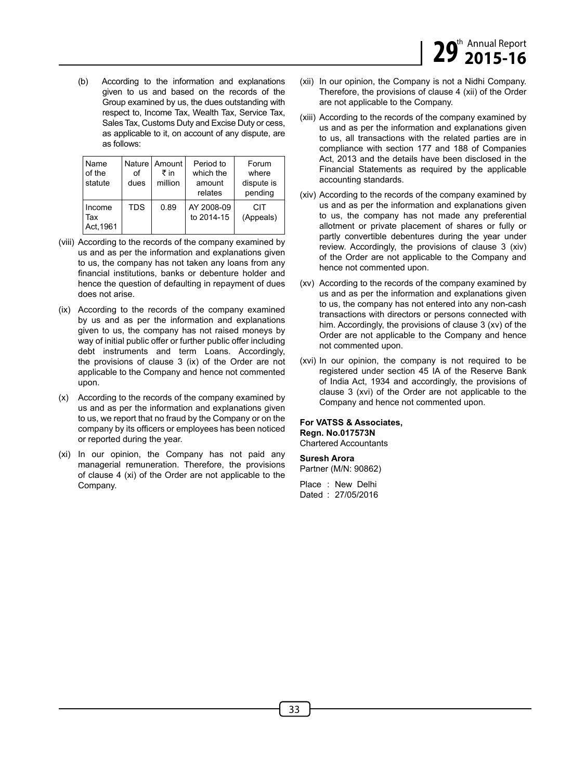(b) According to the information and explanations given to us and based on the records of the Group examined by us, the dues outstanding with respect to, Income Tax, Wealth Tax, Service Tax, Sales Tax, Customs Duty and Excise Duty or cess, as applicable to it, on account of any dispute, are as follows:

| Name<br>of the<br>statute  | Ωf<br>dues | Nature   Amount<br>₹in<br>million | Period to<br>which the<br>amount<br>relates | Forum<br>where<br>dispute is<br>pending |
|----------------------------|------------|-----------------------------------|---------------------------------------------|-----------------------------------------|
| Income<br>Tax<br>Act, 1961 | TDS        | 0.89                              | AY 2008-09<br>to 2014-15                    | CIT<br>(Appeals)                        |

- (viii) According to the records of the company examined by us and as per the information and explanations given to us, the company has not taken any loans from any financial institutions, banks or debenture holder and hence the question of defaulting in repayment of dues does not arise.
- (ix) According to the records of the company examined by us and as per the information and explanations given to us, the company has not raised moneys by way of initial public offer or further public offer including debt instruments and term Loans. Accordingly, the provisions of clause 3 (ix) of the Order are not applicable to the Company and hence not commented upon.
- (x) According to the records of the company examined by us and as per the information and explanations given to us, we report that no fraud by the Company or on the company by its officers or employees has been noticed or reported during the year.
- (xi) In our opinion, the Company has not paid any managerial remuneration. Therefore, the provisions of clause 4 (xi) of the Order are not applicable to the Company.
- (xii) In our opinion, the Company is not a Nidhi Company. Therefore, the provisions of clause 4 (xii) of the Order are not applicable to the Company.
- (xiii) According to the records of the company examined by us and as per the information and explanations given to us, all transactions with the related parties are in compliance with section 177 and 188 of Companies Act, 2013 and the details have been disclosed in the Financial Statements as required by the applicable accounting standards.
- (xiv) According to the records of the company examined by us and as per the information and explanations given to us, the company has not made any preferential allotment or private placement of shares or fully or partly convertible debentures during the year under review. Accordingly, the provisions of clause 3 (xiv) of the Order are not applicable to the Company and hence not commented upon.
- (xv) According to the records of the company examined by us and as per the information and explanations given to us, the company has not entered into any non-cash transactions with directors or persons connected with him. Accordingly, the provisions of clause 3 (xv) of the Order are not applicable to the Company and hence not commented upon.
- (xvi) In our opinion, the company is not required to be registered under section 45 IA of the Reserve Bank of India Act, 1934 and accordingly, the provisions of clause 3 (xvi) of the Order are not applicable to the Company and hence not commented upon.

#### **For VATSS & Associates, Regn. No.017573N** Chartered Accountants

#### **Suresh Arora**

Partner (M/N: 90862)

Place : New Delhi Dated : 27/05/2016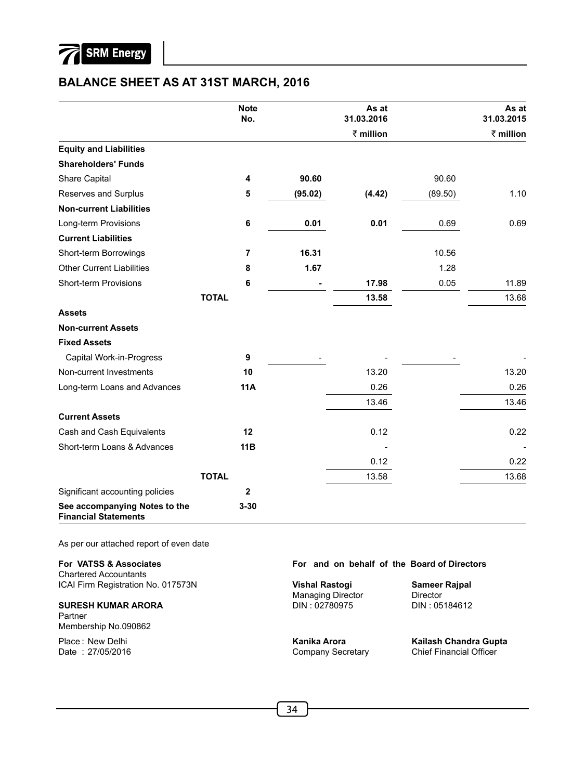

# **BALANCE SHEET AS AT 31ST MARCH, 2016**

|                                                              | <b>Note</b><br>No. |         | As at<br>31.03.2016 |         | As at<br>31.03.2015  |
|--------------------------------------------------------------|--------------------|---------|---------------------|---------|----------------------|
|                                                              |                    |         | $\bar{z}$ million   |         | $\bar{\tau}$ million |
| <b>Equity and Liabilities</b>                                |                    |         |                     |         |                      |
| <b>Shareholders' Funds</b>                                   |                    |         |                     |         |                      |
| Share Capital                                                | 4                  | 90.60   |                     | 90.60   |                      |
| Reserves and Surplus                                         | 5                  | (95.02) | (4.42)              | (89.50) | 1.10                 |
| <b>Non-current Liabilities</b>                               |                    |         |                     |         |                      |
| Long-term Provisions                                         | 6                  | 0.01    | 0.01                | 0.69    | 0.69                 |
| <b>Current Liabilities</b>                                   |                    |         |                     |         |                      |
| Short-term Borrowings                                        | $\overline{7}$     | 16.31   |                     | 10.56   |                      |
| <b>Other Current Liabilities</b>                             | 8                  | 1.67    |                     | 1.28    |                      |
| <b>Short-term Provisions</b>                                 | 6                  |         | 17.98               | 0.05    | 11.89                |
|                                                              | <b>TOTAL</b>       |         | 13.58               |         | 13.68                |
| <b>Assets</b>                                                |                    |         |                     |         |                      |
| <b>Non-current Assets</b>                                    |                    |         |                     |         |                      |
| <b>Fixed Assets</b>                                          |                    |         |                     |         |                      |
| Capital Work-in-Progress                                     | 9                  |         |                     |         |                      |
| Non-current Investments                                      | 10                 |         | 13.20               |         | 13.20                |
| Long-term Loans and Advances                                 | <b>11A</b>         |         | 0.26                |         | 0.26                 |
|                                                              |                    |         | 13.46               |         | 13.46                |
| <b>Current Assets</b>                                        |                    |         |                     |         |                      |
| Cash and Cash Equivalents                                    | 12                 |         | 0.12                |         | 0.22                 |
| Short-term Loans & Advances                                  | 11B                |         |                     |         |                      |
|                                                              |                    |         | 0.12                |         | 0.22                 |
|                                                              | <b>TOTAL</b>       |         | 13.58               |         | 13.68                |
| Significant accounting policies                              | 2                  |         |                     |         |                      |
| See accompanying Notes to the<br><b>Financial Statements</b> | $3 - 30$           |         |                     |         |                      |

As per our attached report of even date

Chartered Accountants<br>
ICAI Firm Registration No. 017573N **Sameer Rajpal Vishal Rastogi** Sameer Rajpal

**SURESH KUMAR ARORA** DIN : 02780975 DIN : 05184612 Partner Membership No.090862

#### **For VATSS & Associates For and on behalf of the Board of Directors**

ICAI Firm Registration No. 017573N **Vishal Rastogi Sameer Sameer Sametrical Rastogi Sametrical Rajpala**<br>Managing Director **Director** Managing Director

Place : New Delhi **Kanika Arora Kailash Chandra Gupta** Chief Financial Officer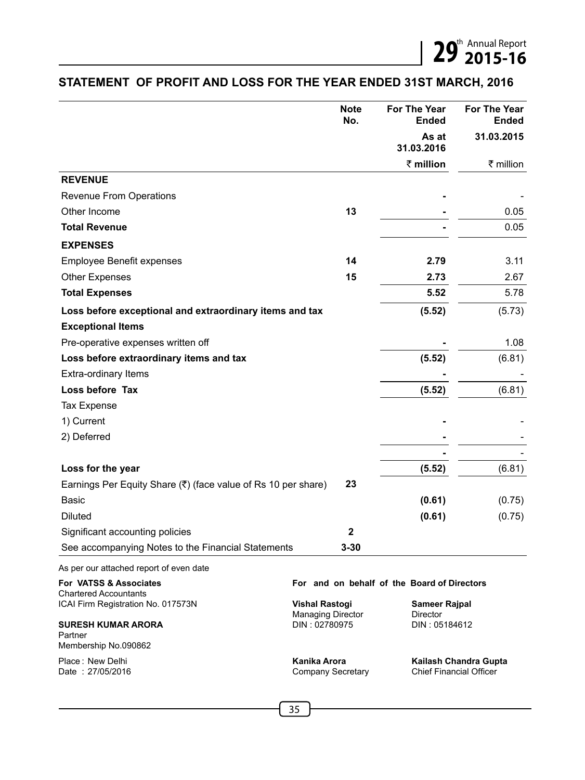# **STATEMENT OF PROFIT AND LOSS FOR THE YEAR ENDED 31ST MARCH, 2016**

|                                                                       | <b>Note</b><br>No.                                | <b>For The Year</b><br><b>Ended</b> | For The Year<br>Ended                                   |  |
|-----------------------------------------------------------------------|---------------------------------------------------|-------------------------------------|---------------------------------------------------------|--|
|                                                                       |                                                   | As at<br>31.03.2016                 | 31.03.2015                                              |  |
|                                                                       |                                                   | ₹ million                           | ₹ million                                               |  |
| <b>REVENUE</b>                                                        |                                                   |                                     |                                                         |  |
| Revenue From Operations                                               |                                                   |                                     |                                                         |  |
| Other Income                                                          | 13                                                |                                     | 0.05                                                    |  |
| <b>Total Revenue</b>                                                  |                                                   |                                     | 0.05                                                    |  |
| <b>EXPENSES</b>                                                       |                                                   |                                     |                                                         |  |
| <b>Employee Benefit expenses</b>                                      | 14                                                | 2.79                                | 3.11                                                    |  |
| <b>Other Expenses</b>                                                 | 15                                                | 2.73                                | 2.67                                                    |  |
| <b>Total Expenses</b>                                                 |                                                   | 5.52                                | 5.78                                                    |  |
| Loss before exceptional and extraordinary items and tax               |                                                   | (5.52)                              | (5.73)                                                  |  |
| <b>Exceptional Items</b>                                              |                                                   |                                     |                                                         |  |
| Pre-operative expenses written off                                    |                                                   |                                     | 1.08                                                    |  |
| Loss before extraordinary items and tax                               |                                                   | (5.52)                              | (6.81)                                                  |  |
| Extra-ordinary Items                                                  |                                                   |                                     |                                                         |  |
| Loss before Tax                                                       |                                                   | (5.52)                              | (6.81)                                                  |  |
| <b>Tax Expense</b>                                                    |                                                   |                                     |                                                         |  |
| 1) Current                                                            |                                                   |                                     |                                                         |  |
| 2) Deferred                                                           |                                                   |                                     |                                                         |  |
|                                                                       |                                                   |                                     |                                                         |  |
| Loss for the year                                                     |                                                   | (5.52)                              | (6.81)                                                  |  |
| Earnings Per Equity Share $(\bar{x})$ (face value of Rs 10 per share) | 23                                                |                                     |                                                         |  |
| <b>Basic</b>                                                          |                                                   | (0.61)                              | (0.75)                                                  |  |
| <b>Diluted</b>                                                        |                                                   | (0.61)                              | (0.75)                                                  |  |
| Significant accounting policies                                       | $\mathbf{2}$                                      |                                     |                                                         |  |
| See accompanying Notes to the Financial Statements                    | $3 - 30$                                          |                                     |                                                         |  |
| As per our attached report of even date                               |                                                   |                                     |                                                         |  |
| For VATSS & Associates                                                | For and on behalf of the Board of Directors       |                                     |                                                         |  |
| <b>Chartered Accountants</b><br>ICAI Firm Registration No. 017573N    | <b>Vishal Rastogi</b><br><b>Managing Director</b> | Sameer Rajpal<br>Director           |                                                         |  |
| <b>SURESH KUMAR ARORA</b><br>Partner<br>Membership No.090862          | DIN: 02780975                                     | DIN: 05184612                       |                                                         |  |
| Place: New Delhi<br>Date: 27/05/2016                                  | Kanika Arora<br>Company Secretary                 |                                     | Kailash Chandra Gupta<br><b>Chief Financial Officer</b> |  |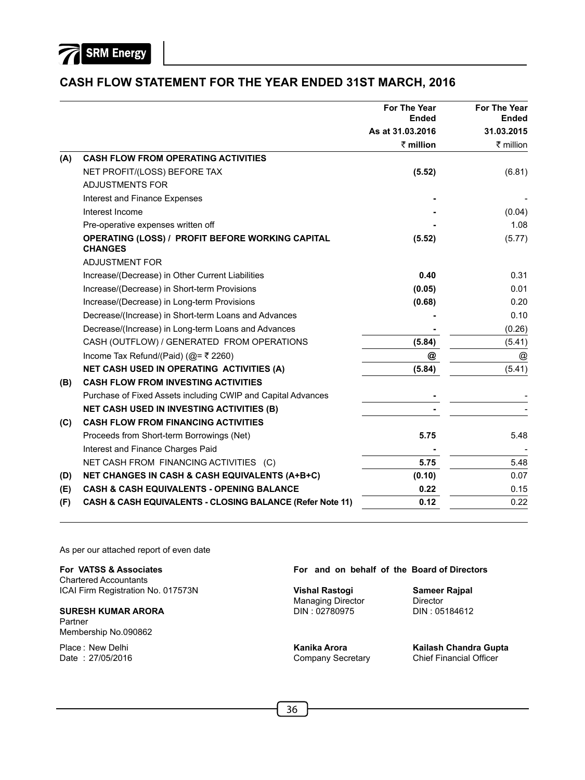

# **CASH FLOW STATEMENT FOR THE YEAR ENDED 31ST MARCH, 2016**

|     |                                                                    | For The Year<br>Ended | For The Year<br><b>Ended</b> |
|-----|--------------------------------------------------------------------|-----------------------|------------------------------|
|     |                                                                    | As at 31.03.2016      | 31.03.2015                   |
|     |                                                                    | $\bar{z}$ million     | $\bar{\tau}$ million         |
| (A) | <b>CASH FLOW FROM OPERATING ACTIVITIES</b>                         |                       |                              |
|     | NET PROFIT/(LOSS) BEFORE TAX                                       | (5.52)                | (6.81)                       |
|     | <b>ADJUSTMENTS FOR</b>                                             |                       |                              |
|     | Interest and Finance Expenses                                      |                       |                              |
|     | Interest Income                                                    |                       | (0.04)                       |
|     | Pre-operative expenses written off                                 |                       | 1.08                         |
|     | OPERATING (LOSS) / PROFIT BEFORE WORKING CAPITAL<br><b>CHANGES</b> | (5.52)                | (5.77)                       |
|     | <b>ADJUSTMENT FOR</b>                                              |                       |                              |
|     | Increase/(Decrease) in Other Current Liabilities                   | 0.40                  | 0.31                         |
|     | Increase/(Decrease) in Short-term Provisions                       | (0.05)                | 0.01                         |
|     | Increase/(Decrease) in Long-term Provisions                        | (0.68)                | 0.20                         |
|     | Decrease/(Increase) in Short-term Loans and Advances               |                       | 0.10                         |
|     | Decrease/(Increase) in Long-term Loans and Advances                |                       | (0.26)                       |
|     | CASH (OUTFLOW) / GENERATED FROM OPERATIONS                         | (5.84)                | (5.41)                       |
|     | Income Tax Refund/(Paid) ( $@=$ ₹ 2260)                            | @                     | @                            |
|     | <b>NET CASH USED IN OPERATING ACTIVITIES (A)</b>                   | (5.84)                | (5.41)                       |
| (B) | <b>CASH FLOW FROM INVESTING ACTIVITIES</b>                         |                       |                              |
|     | Purchase of Fixed Assets including CWIP and Capital Advances       |                       |                              |
|     | <b>NET CASH USED IN INVESTING ACTIVITIES (B)</b>                   |                       |                              |
| (C) | <b>CASH FLOW FROM FINANCING ACTIVITIES</b>                         |                       |                              |
|     | Proceeds from Short-term Borrowings (Net)                          | 5.75                  | 5.48                         |
|     | Interest and Finance Charges Paid                                  |                       |                              |
|     | NET CASH FROM FINANCING ACTIVITIES (C)                             | 5.75                  | 5.48                         |
| (D) | <b>NET CHANGES IN CASH &amp; CASH EQUIVALENTS (A+B+C)</b>          | (0.10)                | 0.07                         |
| (E) | <b>CASH &amp; CASH EQUIVALENTS - OPENING BALANCE</b>               | 0.22                  | 0.15                         |
| (F) | CASH & CASH EQUIVALENTS - CLOSING BALANCE (Refer Note 11)          | 0.12                  | 0.22                         |

As per our attached report of even date

Chartered Accountants<br>
ICAI Firm Registration No. 017573N **Sameer Rajpal Vishal Rastogi Sameer Rajpal** ICAI Firm Registration No. 017573N **Vishal Rastogi Sameer Sameer Sametrical Rastogi Sameer Sametrical Rastogi Sametrical Rastogi C Director Rajpala** 

**SURESH KUMAR ARORA** Partner Membership No.090862

**For VATSS & Associates For and on behalf of the Board of Directors**

Managing Director Director<br>DIN: 02780975 DIN: 05184612

Company Secretary

Place : New Delhi **Kanika Arora Kailash Chandra Gupta**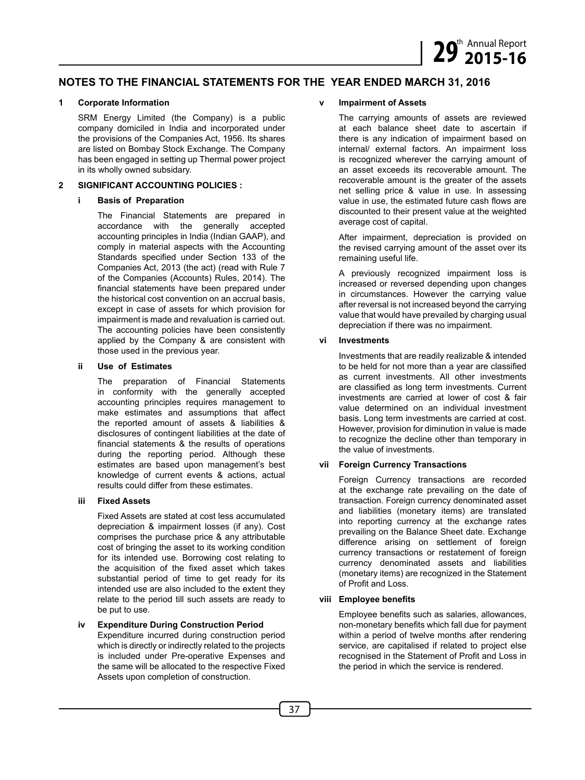#### **NOTES TO THE FINANCIAL STATEMENTS FOR THE YEAR ENDED MARCH 31, 2016**

#### **1 Corporate Information**

SRM Energy Limited (the Company) is a public company domiciled in India and incorporated under the provisions of the Companies Act, 1956. Its shares are listed on Bombay Stock Exchange. The Company has been engaged in setting up Thermal power project in its wholly owned subsidary.

#### **2 SIGNIFICANT ACCOUNTING POLICIES :**

#### **i Basis of Preparation**

The Financial Statements are prepared in accordance with the generally accepted accounting principles in India (Indian GAAP), and comply in material aspects with the Accounting Standards specified under Section 133 of the Companies Act, 2013 (the act) (read with Rule 7 of the Companies (Accounts) Rules, 2014). The financial statements have been prepared under the historical cost convention on an accrual basis, except in case of assets for which provision for impairment is made and revaluation is carried out. The accounting policies have been consistently applied by the Company & are consistent with those used in the previous year.

#### **ii Use of Estimates**

The preparation of Financial Statements in conformity with the generally accepted accounting principles requires management to make estimates and assumptions that affect the reported amount of assets & liabilities & disclosures of contingent liabilities at the date of financial statements & the results of operations during the reporting period. Although these estimates are based upon management's best knowledge of current events & actions, actual results could differ from these estimates.

#### **iii Fixed Assets**

Fixed Assets are stated at cost less accumulated depreciation & impairment losses (if any). Cost comprises the purchase price & any attributable cost of bringing the asset to its working condition for its intended use. Borrowing cost relating to the acquisition of the fixed asset which takes substantial period of time to get ready for its intended use are also included to the extent they relate to the period till such assets are ready to be put to use.

**iv Expenditure During Construction Period** Expenditure incurred during construction period which is directly or indirectly related to the projects is included under Pre-operative Expenses and the same will be allocated to the respective Fixed Assets upon completion of construction.

#### **v Impairment of Assets**

The carrying amounts of assets are reviewed at each balance sheet date to ascertain if there is any indication of impairment based on internal/ external factors. An impairment loss is recognized wherever the carrying amount of an asset exceeds its recoverable amount. The recoverable amount is the greater of the assets net selling price & value in use. In assessing value in use, the estimated future cash flows are discounted to their present value at the weighted average cost of capital.

After impairment, depreciation is provided on the revised carrying amount of the asset over its remaining useful life.

A previously recognized impairment loss is increased or reversed depending upon changes in circumstances. However the carrying value after reversal is not increased beyond the carrying value that would have prevailed by charging usual depreciation if there was no impairment.

#### **vi Investments**

Investments that are readily realizable & intended to be held for not more than a year are classified as current investments. All other investments are classified as long term investments. Current investments are carried at lower of cost & fair value determined on an individual investment basis. Long term investments are carried at cost. However, provision for diminution in value is made to recognize the decline other than temporary in the value of investments.

#### **vii Foreign Currency Transactions**

Foreign Currency transactions are recorded at the exchange rate prevailing on the date of transaction. Foreign currency denominated asset and liabilities (monetary items) are translated into reporting currency at the exchange rates prevailing on the Balance Sheet date. Exchange difference arising on settlement of foreign currency transactions or restatement of foreign currency denominated assets and liabilities (monetary items) are recognized in the Statement of Profit and Loss.

#### **viii Employee benefits**

Employee benefits such as salaries, allowances, non-monetary benefits which fall due for payment within a period of twelve months after rendering service, are capitalised if related to project else recognised in the Statement of Profit and Loss in the period in which the service is rendered.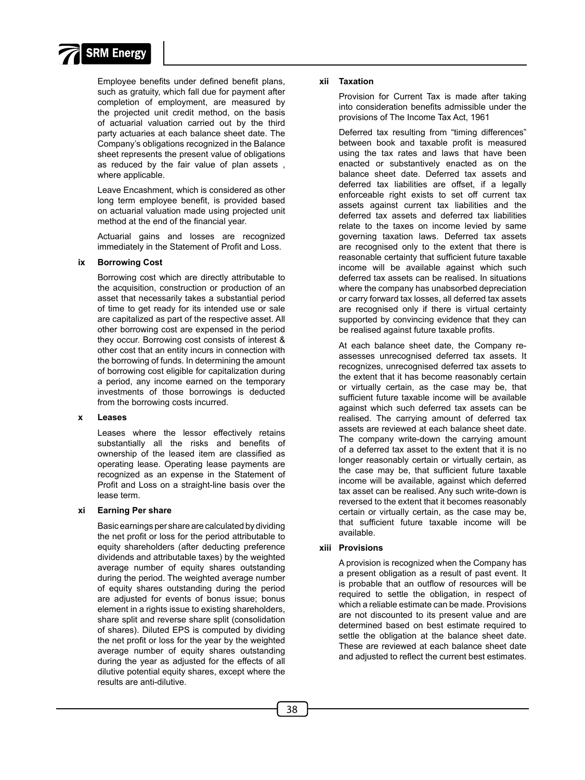

Employee benefits under defined benefit plans, such as gratuity, which fall due for payment after completion of employment, are measured by the projected unit credit method, on the basis of actuarial valuation carried out by the third party actuaries at each balance sheet date. The Company's obligations recognized in the Balance sheet represents the present value of obligations as reduced by the fair value of plan assets , where applicable.

Leave Encashment, which is considered as other long term employee benefit, is provided based on actuarial valuation made using projected unit method at the end of the financial year.

Actuarial gains and losses are recognized immediately in the Statement of Profit and Loss.

#### **ix Borrowing Cost**

Borrowing cost which are directly attributable to the acquisition, construction or production of an asset that necessarily takes a substantial period of time to get ready for its intended use or sale are capitalized as part of the respective asset. All other borrowing cost are expensed in the period they occur. Borrowing cost consists of interest & other cost that an entity incurs in connection with the borrowing of funds. In determining the amount of borrowing cost eligible for capitalization during a period, any income earned on the temporary investments of those borrowings is deducted from the borrowing costs incurred.

#### **x Leases**

Leases where the lessor effectively retains substantially all the risks and benefits of ownership of the leased item are classified as operating lease. Operating lease payments are recognized as an expense in the Statement of Profit and Loss on a straight-line basis over the lease term.

#### **xi Earning Per share**

Basic earnings per share are calculated by dividing the net profit or loss for the period attributable to equity shareholders (after deducting preference dividends and attributable taxes) by the weighted average number of equity shares outstanding during the period. The weighted average number of equity shares outstanding during the period are adjusted for events of bonus issue; bonus element in a rights issue to existing shareholders, share split and reverse share split (consolidation of shares). Diluted EPS is computed by dividing the net profit or loss for the year by the weighted average number of equity shares outstanding during the year as adjusted for the effects of all dilutive potential equity shares, except where the results are anti-dilutive.

#### **xii Taxation**

Provision for Current Tax is made after taking into consideration benefits admissible under the provisions of The Income Tax Act, 1961

Deferred tax resulting from "timing differences" between book and taxable profit is measured using the tax rates and laws that have been enacted or substantively enacted as on the balance sheet date. Deferred tax assets and deferred tax liabilities are offset, if a legally enforceable right exists to set off current tax assets against current tax liabilities and the deferred tax assets and deferred tax liabilities relate to the taxes on income levied by same governing taxation laws. Deferred tax assets are recognised only to the extent that there is reasonable certainty that sufficient future taxable income will be available against which such deferred tax assets can be realised. In situations where the company has unabsorbed depreciation or carry forward tax losses, all deferred tax assets are recognised only if there is virtual certainty supported by convincing evidence that they can be realised against future taxable profits.

At each balance sheet date, the Company reassesses unrecognised deferred tax assets. It recognizes, unrecognised deferred tax assets to the extent that it has become reasonably certain or virtually certain, as the case may be, that sufficient future taxable income will be available against which such deferred tax assets can be realised. The carrying amount of deferred tax assets are reviewed at each balance sheet date. The company write-down the carrying amount of a deferred tax asset to the extent that it is no longer reasonably certain or virtually certain, as the case may be, that sufficient future taxable income will be available, against which deferred tax asset can be realised. Any such write-down is reversed to the extent that it becomes reasonably certain or virtually certain, as the case may be, that sufficient future taxable income will be available.

#### **xiii Provisions**

A provision is recognized when the Company has a present obligation as a result of past event. It is probable that an outflow of resources will be required to settle the obligation, in respect of which a reliable estimate can be made. Provisions are not discounted to its present value and are determined based on best estimate required to settle the obligation at the balance sheet date. These are reviewed at each balance sheet date and adjusted to reflect the current best estimates.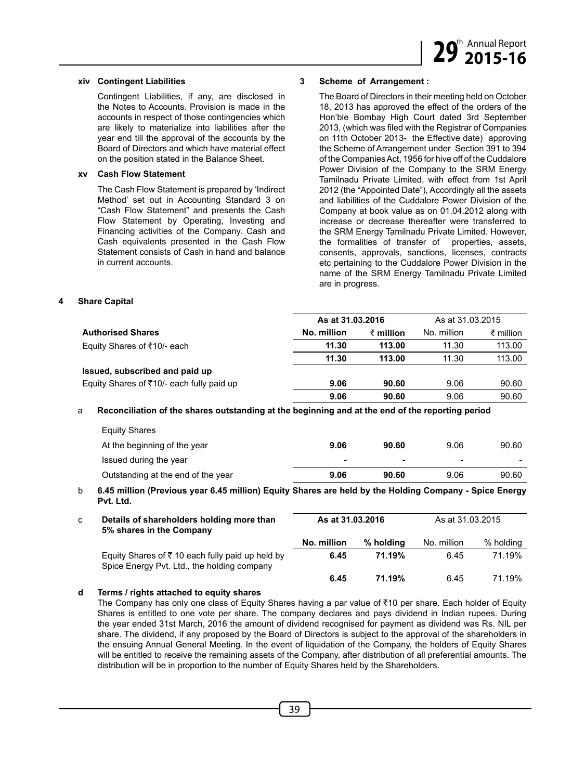

#### **xiv Contingent Liabilities**

Contingent Liabilities, if any, are disclosed in the Notes to Accounts. Provision is made in the accounts in respect of those contingencies which are likely to materialize into liabilities after the year end till the approval of the accounts by the Board of Directors and which have material effect on the position stated in the Balance Sheet.

#### **xv Cash Flow Statement**

The Cash Flow Statement is prepared by 'Indirect Method' set out in Accounting Standard 3 on "Cash Flow Statement" and presents the Cash Flow Statement by Operating, Investing and Financing activities of the Company. Cash and Cash equivalents presented in the Cash Flow Statement consists of Cash in hand and balance in current accounts.

#### **3 Scheme of Arrangement :**

The Board of Directors in their meeting held on October 18, 2013 has approved the effect of the orders of the Hon'ble Bombay High Court dated 3rd September 2013, (which was filed with the Registrar of Companies on 11th October 2013- the Effective date) approving the Scheme of Arrangement under Section 391 to 394 of the Companies Act, 1956 for hive off of the Cuddalore Power Division of the Company to the SRM Energy Tamilnadu Private Limited, with effect from 1st April 2012 (the "Appointed Date"), Accordingly all the assets and liabilities of the Cuddalore Power Division of the Company at book value as on 01.04.2012 along with increase or decrease thereafter were transferred to the SRM Energy Tamilnadu Private Limited. However, the formalities of transfer of properties, assets, consents, approvals, sanctions, licenses, contracts etc pertaining to the Cuddalore Power Division in the name of the SRM Energy Tamilnadu Private Limited are in progress.

#### **<sup>4</sup> Share Capital**

|                                           | As at 31.03.2016 | As at 31.03.2015 |             |           |
|-------------------------------------------|------------------|------------------|-------------|-----------|
| <b>Authorised Shares</b>                  | No. million      | रै million       | No. million | ₹ million |
| Equity Shares of ₹10/- each               | 11.30            | 113.00           | 11.30       | 113.00    |
|                                           | 11.30            | 113.00           | 11.30       | 113.00    |
| Issued, subscribed and paid up            |                  |                  |             |           |
| Equity Shares of ₹10/- each fully paid up | 9.06             | 90.60            | 9.06        | 90.60     |
|                                           | 9.06             | 90.60            | 9.06        | 90.60     |

#### a **Reconciliation of the shares outstanding at the beginning and at the end of the reporting period**

| <b>Equity Shares</b>               |      |       |                          |       |
|------------------------------------|------|-------|--------------------------|-------|
| At the beginning of the year       | 9.06 | 90.60 | 9.06                     | 90.60 |
| Issued during the year             |      |       | $\overline{\phantom{a}}$ |       |
| Outstanding at the end of the year | 9.06 | 90.60 | 9.06                     | 90.60 |

b **6.45 million (Previous year 6.45 million) Equity Shares are held by the Holding Company - Spice Energy Pvt. Ltd.** 

c **Details of shareholders holding more than 5% shares in the Company As at 31.03.2016** As at 31.03.2015 **No. million % holding** No. million % holding Equity Shares of  $\bar{\tau}$  10 each fully paid up held by Spice Energy Pvt. Ltd., the holding company **6.45 71.19%** 6.45 71.19% **6.45 71.19%** 6.45 71.19%

#### **d Terms / rights attached to equity shares**

The Company has only one class of Equity Shares having a par value of ₹10 per share. Each holder of Equity Shares is entitled to one vote per share. The company declares and pays dividend in Indian rupees. During the year ended 31st March, 2016 the amount of dividend recognised for payment as dividend was Rs. NIL per share. The dividend, if any proposed by the Board of Directors is subject to the approval of the shareholders in the ensuing Annual General Meeting. In the event of liquidation of the Company, the holders of Equity Shares will be entitled to receive the remaining assets of the Company, after distribution of all preferential amounts. The distribution will be in proportion to the number of Equity Shares held by the Shareholders.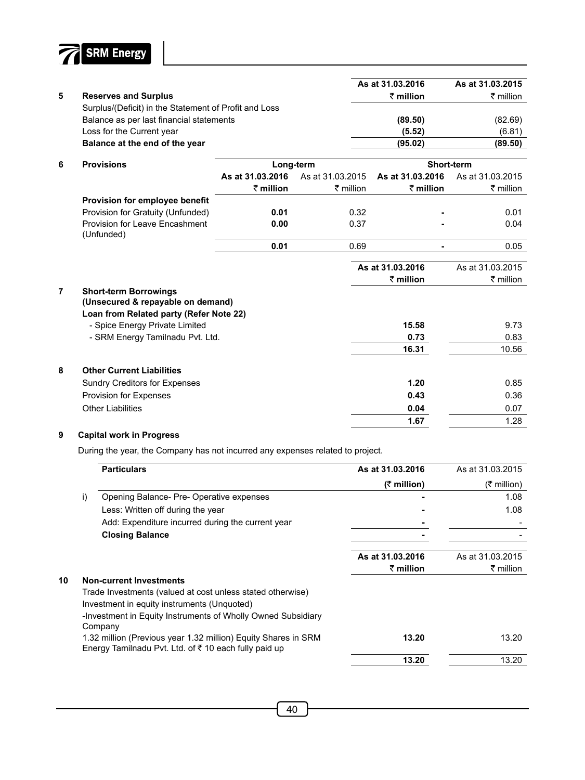

|   |                                                       |                   |                      | As at 31.03.2016     | As at 31.03.2015     |
|---|-------------------------------------------------------|-------------------|----------------------|----------------------|----------------------|
| 5 | <b>Reserves and Surplus</b>                           |                   |                      | $\bar{\tau}$ million | ₹ million            |
|   | Surplus/(Deficit) in the Statement of Profit and Loss |                   |                      |                      |                      |
|   | Balance as per last financial statements              |                   |                      | (89.50)              | (82.69)              |
|   | Loss for the Current year                             |                   |                      | (5.52)               | (6.81)               |
|   | Balance at the end of the year                        |                   |                      | (95.02)              | (89.50)              |
| 6 | <b>Provisions</b>                                     | Long-term         |                      |                      | Short-term           |
|   |                                                       | As at 31.03.2016  | As at 31.03.2015     | As at 31.03.2016     | As at 31.03.2015     |
|   |                                                       | $\bar{z}$ million | $\bar{\tau}$ million | $\bar{\tau}$ million | ₹ million            |
|   | Provision for employee benefit                        |                   |                      |                      |                      |
|   | Provision for Gratuity (Unfunded)                     | 0.01              | 0.32                 |                      | 0.01                 |
|   | Provision for Leave Encashment                        | 0.00              | 0.37                 |                      | 0.04                 |
|   | (Unfunded)                                            |                   |                      |                      |                      |
|   |                                                       | 0.01              | 0.69                 | $\blacksquare$       | 0.05                 |
|   |                                                       |                   |                      | As at 31.03.2016     | As at 31.03.2015     |
|   |                                                       |                   |                      | $\bar{\tau}$ million | $\bar{\tau}$ million |
| 7 | <b>Short-term Borrowings</b>                          |                   |                      |                      |                      |
|   | (Unsecured & repayable on demand)                     |                   |                      |                      |                      |
|   | Loan from Related party (Refer Note 22)               |                   |                      |                      |                      |
|   | - Spice Energy Private Limited                        |                   |                      | 15.58                | 9.73                 |
|   | - SRM Energy Tamilnadu Pvt. Ltd.                      |                   |                      | 0.73                 | 0.83                 |
|   |                                                       |                   |                      | 16.31                | 10.56                |
| 8 | <b>Other Current Liabilities</b>                      |                   |                      |                      |                      |
|   | <b>Sundry Creditors for Expenses</b>                  |                   |                      | 1.20                 | 0.85                 |
|   | Provision for Expenses                                |                   |                      | 0.43                 | 0.36                 |
|   | <b>Other Liabilities</b>                              |                   |                      | 0.04                 | 0.07                 |
|   |                                                       |                   |                      | 1.67                 | 1.28                 |
|   |                                                       |                   |                      |                      |                      |

#### **9 Capital work in Progress**

During the year, the Company has not incurred any expenses related to project.

|    |    | <b>Particulars</b>                                                                                                     | As at 31.03.2016     | As at 31.03.2015 |
|----|----|------------------------------------------------------------------------------------------------------------------------|----------------------|------------------|
|    |    |                                                                                                                        | (₹ million)          | (₹ million)      |
|    | i) | Opening Balance- Pre- Operative expenses                                                                               |                      | 1.08             |
|    |    | Less: Written off during the year                                                                                      |                      | 1.08             |
|    |    | Add: Expenditure incurred during the current year                                                                      |                      |                  |
|    |    | <b>Closing Balance</b>                                                                                                 |                      |                  |
|    |    |                                                                                                                        | As at 31.03.2016     | As at 31.03.2015 |
|    |    |                                                                                                                        | $\bar{\tau}$ million | ₹ million        |
| 10 |    | <b>Non-current Investments</b>                                                                                         |                      |                  |
|    |    | Trade Investments (valued at cost unless stated otherwise)                                                             |                      |                  |
|    |    | Investment in equity instruments (Unquoted)                                                                            |                      |                  |
|    |    | -Investment in Equity Instruments of Wholly Owned Subsidiary<br>Company                                                |                      |                  |
|    |    | 1.32 million (Previous year 1.32 million) Equity Shares in SRM<br>Energy Tamilnadu Pvt. Ltd. of ₹10 each fully paid up | 13.20                | 13.20            |
|    |    |                                                                                                                        | 13.20                | 13.20            |
|    |    |                                                                                                                        |                      |                  |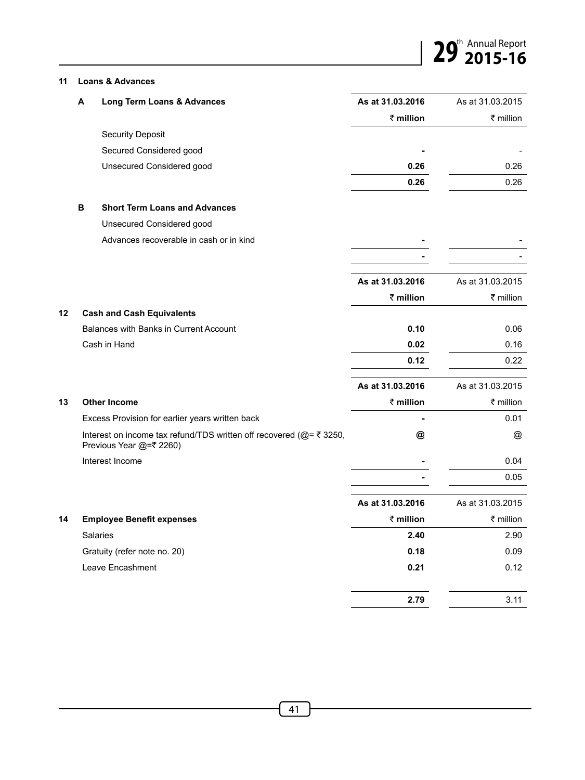#### **11 Loans & Advances**

|    | A | Long Term Loans & Advances                                                                     | As at 31.03.2016     | As at 31.03.2015 |
|----|---|------------------------------------------------------------------------------------------------|----------------------|------------------|
|    |   |                                                                                                | $\bar{\tau}$ million | ₹ million        |
|    |   | Security Deposit                                                                               |                      |                  |
|    |   | Secured Considered good                                                                        |                      |                  |
|    |   | Unsecured Considered good                                                                      | 0.26                 | 0.26             |
|    |   |                                                                                                | 0.26                 | 0.26             |
|    | в | <b>Short Term Loans and Advances</b>                                                           |                      |                  |
|    |   | Unsecured Considered good                                                                      |                      |                  |
|    |   | Advances recoverable in cash or in kind                                                        |                      |                  |
|    |   |                                                                                                |                      |                  |
|    |   |                                                                                                | As at 31.03.2016     | As at 31.03.2015 |
|    |   |                                                                                                | $\bar{z}$ million    | ₹ million        |
| 12 |   | <b>Cash and Cash Equivalents</b>                                                               |                      |                  |
|    |   | Balances with Banks in Current Account                                                         | 0.10                 | 0.06             |
|    |   | Cash in Hand                                                                                   | 0.02                 | 0.16             |
|    |   |                                                                                                | 0.12                 | 0.22             |
|    |   |                                                                                                | As at 31.03.2016     | As at 31.03.2015 |
| 13 |   | <b>Other Income</b>                                                                            | $\bar{z}$ million    | ₹ million        |
|    |   | Excess Provision for earlier years written back                                                |                      | 0.01             |
|    |   | Interest on income tax refund/TDS written off recovered (@= ₹ 3250,<br>Previous Year @=₹ 2260) | @                    | @                |
|    |   | Interest Income                                                                                |                      | 0.04             |
|    |   |                                                                                                |                      | 0.05             |
|    |   |                                                                                                | As at 31.03.2016     | As at 31.03.2015 |
| 14 |   | <b>Employee Benefit expenses</b>                                                               | $\bar{z}$ million    | ₹ million        |
|    |   | <b>Salaries</b>                                                                                | 2.40                 | 2.90             |
|    |   | Gratuity (refer note no. 20)                                                                   | 0.18                 | 0.09             |
|    |   | Leave Encashment                                                                               | 0.21                 | 0.12             |
|    |   |                                                                                                | 2.79                 | 3.11             |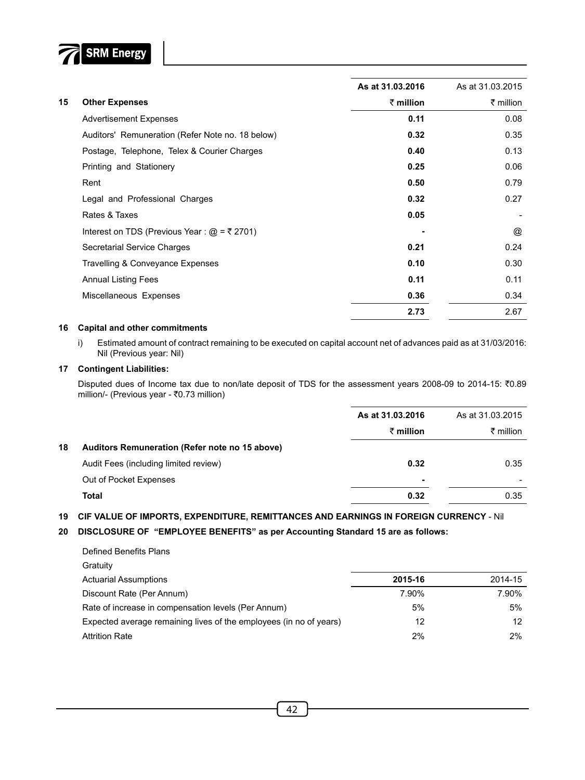

|    |                                                  | As at 31.03.2016     | As at 31.03.2015 |
|----|--------------------------------------------------|----------------------|------------------|
| 15 | <b>Other Expenses</b>                            | $\bar{\tau}$ million | ₹ million        |
|    | <b>Advertisement Expenses</b>                    | 0.11                 | 0.08             |
|    | Auditors' Remuneration (Refer Note no. 18 below) | 0.32                 | 0.35             |
|    | Postage, Telephone, Telex & Courier Charges      | 0.40                 | 0.13             |
|    | Printing and Stationery                          | 0.25                 | 0.06             |
|    | Rent                                             | 0.50                 | 0.79             |
|    | Legal and Professional Charges                   | 0.32                 | 0.27             |
|    | Rates & Taxes                                    | 0.05                 |                  |
|    | Interest on TDS (Previous Year : $@ = ₹ 2701$ )  |                      | @                |
|    | Secretarial Service Charges                      | 0.21                 | 0.24             |
|    | Travelling & Conveyance Expenses                 | 0.10                 | 0.30             |
|    | <b>Annual Listing Fees</b>                       | 0.11                 | 0.11             |
|    | Miscellaneous Expenses                           | 0.36                 | 0.34             |
|    |                                                  | 2.73                 | 2.67             |

#### **16 Capital and other commitments**

i) Estimated amount of contract remaining to be executed on capital account net of advances paid as at 31/03/2016: Nil (Previous year: Nil)

#### **17 Contingent Liabilities:**

Disputed dues of Income tax due to non/late deposit of TDS for the assessment years 2008-09 to 2014-15: `0.89 million/- (Previous year -  $\bar{z}$ 0.73 million)

|    |                                                | As at 31.03.2016     | As at 31.03.2015 |
|----|------------------------------------------------|----------------------|------------------|
|    |                                                | $\bar{\tau}$ million | ₹ million        |
| 18 | Auditors Remuneration (Refer note no 15 above) |                      |                  |
|    | Audit Fees (including limited review)          | 0.32                 | 0.35             |
|    | Out of Pocket Expenses                         | ۰                    |                  |
|    | <b>Total</b>                                   | 0.32                 | 0.35             |
|    |                                                |                      |                  |

#### **19 CIF VALUE OF IMPORTS, EXPENDITURE, REMITTANCES AND EARNINGS IN FOREIGN CURRENCY** - Nil

#### **20 DISCLOSURE OF "EMPLOYEE BENEFITS" as per Accounting Standard 15 are as follows:**

| Defined Benefits Plans                                             |         |         |
|--------------------------------------------------------------------|---------|---------|
| Gratuity                                                           |         |         |
| <b>Actuarial Assumptions</b>                                       | 2015-16 | 2014-15 |
| Discount Rate (Per Annum)                                          | 7.90%   | 7.90%   |
| Rate of increase in compensation levels (Per Annum)                | 5%      | 5%      |
| Expected average remaining lives of the employees (in no of years) | 12      | 12      |
| <b>Attrition Rate</b>                                              | 2%      | 2%      |
|                                                                    |         |         |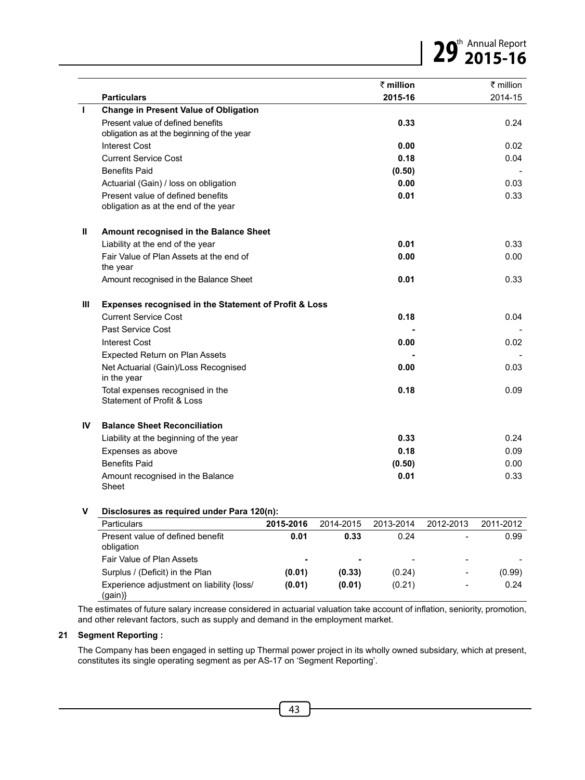# 29<sup>th</sup> Annual Report **29**<sup>th</sup> 2015-16

|              |                                                                  | $\bar{z}$ million | $\bar{\tau}$ million |
|--------------|------------------------------------------------------------------|-------------------|----------------------|
|              | <b>Particulars</b>                                               | 2015-16           | 2014-15              |
| Τ.           | <b>Change in Present Value of Obligation</b>                     |                   |                      |
|              | Present value of defined benefits                                | 0.33              | 0.24                 |
|              | obligation as at the beginning of the year                       |                   |                      |
|              | <b>Interest Cost</b>                                             | 0.00              | 0.02                 |
|              | <b>Current Service Cost</b>                                      | 0.18              | 0.04                 |
|              | <b>Benefits Paid</b>                                             | (0.50)            |                      |
|              | Actuarial (Gain) / loss on obligation                            | 0.00              | 0.03                 |
|              | Present value of defined benefits                                | 0.01              | 0.33                 |
|              | obligation as at the end of the year                             |                   |                      |
| $\mathbf{u}$ | Amount recognised in the Balance Sheet                           |                   |                      |
|              | Liability at the end of the year                                 | 0.01              | 0.33                 |
|              | Fair Value of Plan Assets at the end of                          | 0.00              | 0.00                 |
|              | the year                                                         |                   |                      |
|              | Amount recognised in the Balance Sheet                           | 0.01              | 0.33                 |
| Ш            | <b>Expenses recognised in the Statement of Profit &amp; Loss</b> |                   |                      |
|              | <b>Current Service Cost</b>                                      | 0.18              | 0.04                 |
|              | Past Service Cost                                                |                   |                      |
|              | Interest Cost                                                    | 0.00              | 0.02                 |
|              | Expected Return on Plan Assets                                   |                   |                      |
|              | Net Actuarial (Gain)/Loss Recognised<br>in the year              | 0.00              | 0.03                 |
|              | Total expenses recognised in the                                 | 0.18              | 0.09                 |
|              | <b>Statement of Profit &amp; Loss</b>                            |                   |                      |
| IV           | <b>Balance Sheet Reconciliation</b>                              |                   |                      |
|              | Liability at the beginning of the year                           | 0.33              | 0.24                 |
|              | Expenses as above                                                | 0.18              | 0.09                 |
|              | <b>Benefits Paid</b>                                             | (0.50)            | 0.00                 |
|              | Amount recognised in the Balance                                 | 0.01              | 0.33                 |
|              | Sheet                                                            |                   |                      |

#### **V Disclosures as required under Para 120(n):**

| <b>Particulars</b>                                   | 2015-2016 | 2014-2015 | 2013-2014 | 2012-2013                | 2011-2012 |
|------------------------------------------------------|-----------|-----------|-----------|--------------------------|-----------|
| Present value of defined benefit<br>obligation       | 0.01      | 0.33      | 0.24      | $\overline{\phantom{0}}$ | 0.99      |
| Fair Value of Plan Assets                            |           |           |           | $\overline{\phantom{a}}$ |           |
| Surplus / (Deficit) in the Plan                      | (0.01)    | (0.33)    | (0.24)    | $\overline{\phantom{a}}$ | (0.99)    |
| Experience adjustment on liability {loss/<br>(gain)} | (0.01)    | (0.01)    | (0.21)    | $\overline{\phantom{a}}$ | 0.24      |

The estimates of future salary increase considered in actuarial valuation take account of inflation, seniority, promotion, and other relevant factors, such as supply and demand in the employment market.

#### **21 Segment Reporting :**

The Company has been engaged in setting up Thermal power project in its wholly owned subsidary, which at present, constitutes its single operating segment as per AS-17 on 'Segment Reporting'.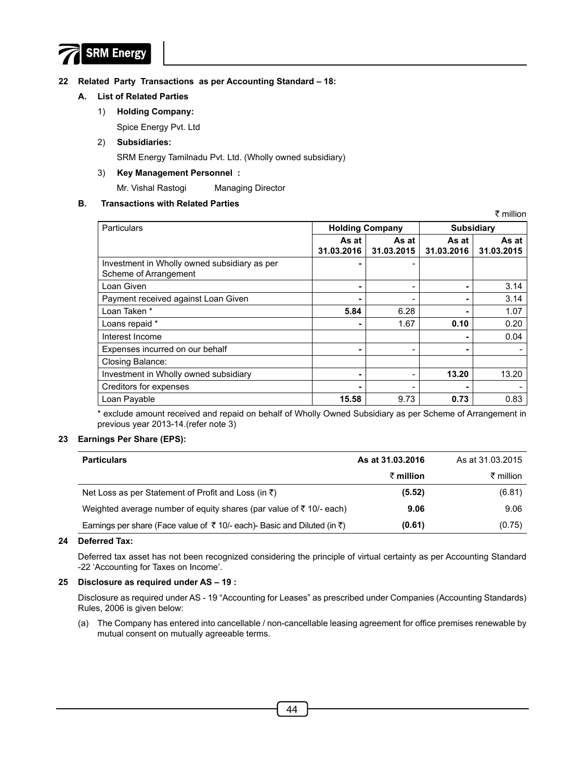

#### **22 Related Party Transactions as per Accounting Standard – 18:**

#### **A. List of Related Parties**

- 1) **Holding Company:** 
	- Spice Energy Pvt. Ltd
- 2) **Subsidiaries:**

SRM Energy Tamilnadu Pvt. Ltd. (Wholly owned subsidiary)

#### 3) **Key Management Personnel :**

Mr. Vishal Rastogi Managing Director

#### **B. Transactions with Related Parties**

₹ million **Particulars Company Company 1 Subsidiary Particulars 1 Subsidiary Subsidiary As at 31.03.2016 As at 31.03.2015 As at 31.03.2016 As at 31.03.2015** Investment in Wholly owned subsidiary as per Scheme of Arrangement  **-** - Loan Given **-** - **-** 3.14 Payment received against Loan Given **-** - **-** 3.14 Loan Taken \* **5.84** 6.28 **-** 1.07 Loans repaid \* **-** 1.67 **0.10** 0.20 **Interest Income**  0.04 Expenses incurred on our behalf **and the set of the set of the set of the set of the set of the set of the set of the set of the set of the set of the set of the set of the set of the set of the set of the set of the set o** Closing Balance: Investment in Wholly owned subsidiary **-** - **13.20** 13.20 Creditors for expenses **-** - **-** - Loan Payable **15.58** 9.73 **0.73** 0.83

\* exclude amount received and repaid on behalf of Wholly Owned Subsidiary as per Scheme of Arrangement in previous year 2013-14.(refer note 3)

#### **23 Earnings Per Share (EPS):**

| <b>Particulars</b>                                                                              | As at 31.03.2016 | As at 31.03.2015 |
|-------------------------------------------------------------------------------------------------|------------------|------------------|
|                                                                                                 | ₹ million        | ₹ million        |
| Net Loss as per Statement of Profit and Loss (in $\bar{z}$ )                                    | (5.52)           | (6.81)           |
| Weighted average number of equity shares (par value of $\bar{\tau}$ 10/- each)                  | 9.06             | 9.06             |
| Earnings per share (Face value of $\bar{\tau}$ 10/- each)- Basic and Diluted (in $\bar{\tau}$ ) | (0.61)           | (0.75)           |

#### **24 Deferred Tax:**

Deferred tax asset has not been recognized considering the principle of virtual certainty as per Accounting Standard -22 'Accounting for Taxes on Income'.

#### **25 Disclosure as required under AS – 19 :**

Disclosure as required under AS - 19 "Accounting for Leases" as prescribed under Companies (Accounting Standards) Rules, 2006 is given below:

(a) The Company has entered into cancellable / non-cancellable leasing agreement for office premises renewable by mutual consent on mutually agreeable terms.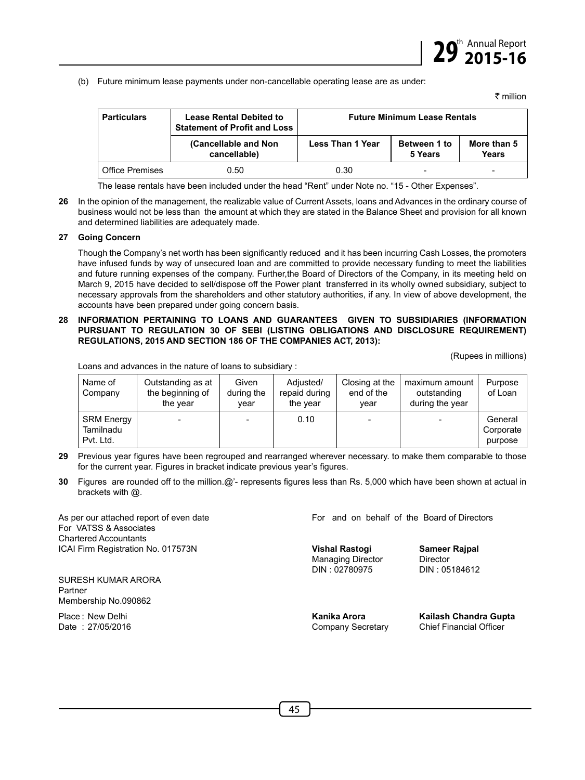

(b) Future minimum lease payments under non-cancellable operating lease are as under:

#### ₹ million

| <b>Particulars</b>     | Lease Rental Debited to<br><b>Statement of Profit and Loss</b> | <b>Future Minimum Lease Rentals</b> |                         |                          |
|------------------------|----------------------------------------------------------------|-------------------------------------|-------------------------|--------------------------|
|                        | (Cancellable and Non<br>cancellable)                           | Less Than 1 Year                    | Between 1 to<br>5 Years | More than 5<br>Years     |
| <b>Office Premises</b> | 0.50                                                           | 0.30                                |                         | $\overline{\phantom{a}}$ |

The lease rentals have been included under the head "Rent" under Note no. "15 - Other Expenses".

**26** In the opinion of the management, the realizable value of Current Assets, loans and Advances in the ordinary course of business would not be less than the amount at which they are stated in the Balance Sheet and provision for all known and determined liabilities are adequately made.

#### **27 Going Concern**

Though the Company's net worth has been significantly reduced and it has been incurring Cash Losses, the promoters have infused funds by way of unsecured loan and are committed to provide necessary funding to meet the liabilities and future running expenses of the company. Further,the Board of Directors of the Company, in its meeting held on March 9, 2015 have decided to sell/dispose off the Power plant transferred in its wholly owned subsidiary, subject to necessary approvals from the shareholders and other statutory authorities, if any. In view of above development, the accounts have been prepared under going concern basis.

#### **28 INFORMATION PERTAINING TO LOANS AND GUARANTEES GIVEN TO SUBSIDIARIES (INFORMATION PURSUANT TO REGULATION 30 OF SEBI (LISTING OBLIGATIONS AND DISCLOSURE REQUIREMENT) REGULATIONS, 2015 AND SECTION 186 OF THE COMPANIES ACT, 2013):**

(Rupees in millions)

Loans and advances in the nature of loans to subsidiary :

| Name of<br>Company                   | Outstanding as at<br>the beginning of<br>the year | Given<br>during the<br>vear | Adjusted/<br>repaid during<br>the year | Closing at the<br>end of the<br>vear | maximum amount<br>outstanding<br>during the year | Purpose<br>of Loan              |
|--------------------------------------|---------------------------------------------------|-----------------------------|----------------------------------------|--------------------------------------|--------------------------------------------------|---------------------------------|
| SRM Energy<br>Tamilnadu<br>Pvt. Ltd. |                                                   | -                           | 0.10                                   |                                      |                                                  | General<br>Corporate<br>purpose |

- **29** Previous year figures have been regrouped and rearranged wherever necessary. to make them comparable to those for the current year. Figures in bracket indicate previous year's figures.
- **30** Figures are rounded off to the million.@'- represents figures less than Rs. 5,000 which have been shown at actual in brackets with @.

For VATSS & Associates Chartered Accountants ICAI Firm Registration No. 017573N **Vishal Rastogi Sameer Rajpal**

SURESH KUMAR ARORA Partner Membership No.090862

As per our attached report of even date For and on behalf of the Board of Directors

 Managing Director Director DIN : 02780975 DIN : 05184612

Place : New Delhi **Kanika Arora Kailash Chandra Gupta** Chief Financial Officer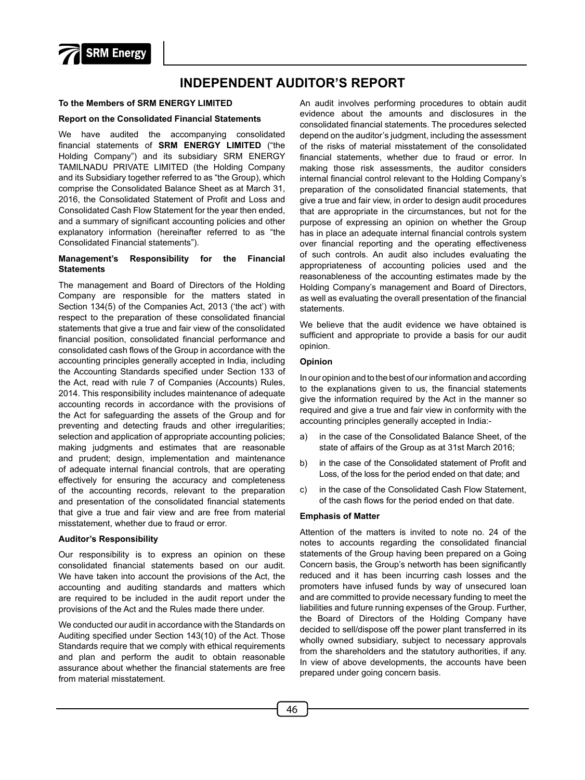

# **INDEPENDENT AUDITOR'S REPORT**

#### **To the Members of SRM ENERGY LIMITED**

#### **Report on the Consolidated Financial Statements**

We have audited the accompanying consolidated financial statements of **SRM ENERGY LIMITED** ("the Holding Company") and its subsidiary SRM ENERGY TAMILNADU PRIVATE LIMITED (the Holding Company and its Subsidiary together referred to as "the Group), which comprise the Consolidated Balance Sheet as at March 31, 2016, the Consolidated Statement of Profit and Loss and Consolidated Cash Flow Statement for the year then ended, and a summary of significant accounting policies and other explanatory information (hereinafter referred to as "the Consolidated Financial statements").

#### **Management's Responsibility for the Financial Statements**

The management and Board of Directors of the Holding Company are responsible for the matters stated in Section 134(5) of the Companies Act, 2013 ('the act') with respect to the preparation of these consolidated financial statements that give a true and fair view of the consolidated financial position, consolidated financial performance and consolidated cash flows of the Group in accordance with the accounting principles generally accepted in India, including the Accounting Standards specified under Section 133 of the Act, read with rule 7 of Companies (Accounts) Rules, 2014. This responsibility includes maintenance of adequate accounting records in accordance with the provisions of the Act for safeguarding the assets of the Group and for preventing and detecting frauds and other irregularities; selection and application of appropriate accounting policies; making judgments and estimates that are reasonable and prudent; design, implementation and maintenance of adequate internal financial controls, that are operating effectively for ensuring the accuracy and completeness of the accounting records, relevant to the preparation and presentation of the consolidated financial statements that give a true and fair view and are free from material misstatement, whether due to fraud or error.

#### **Auditor's Responsibility**

Our responsibility is to express an opinion on these consolidated financial statements based on our audit. We have taken into account the provisions of the Act, the accounting and auditing standards and matters which are required to be included in the audit report under the provisions of the Act and the Rules made there under.

We conducted our audit in accordance with the Standards on Auditing specified under Section 143(10) of the Act. Those Standards require that we comply with ethical requirements and plan and perform the audit to obtain reasonable assurance about whether the financial statements are free from material misstatement.

An audit involves performing procedures to obtain audit evidence about the amounts and disclosures in the consolidated financial statements. The procedures selected depend on the auditor's judgment, including the assessment of the risks of material misstatement of the consolidated financial statements, whether due to fraud or error. In making those risk assessments, the auditor considers internal financial control relevant to the Holding Company's preparation of the consolidated financial statements, that give a true and fair view, in order to design audit procedures that are appropriate in the circumstances, but not for the purpose of expressing an opinion on whether the Group has in place an adequate internal financial controls system over financial reporting and the operating effectiveness of such controls. An audit also includes evaluating the appropriateness of accounting policies used and the reasonableness of the accounting estimates made by the Holding Company's management and Board of Directors, as well as evaluating the overall presentation of the financial statements.

We believe that the audit evidence we have obtained is sufficient and appropriate to provide a basis for our audit opinion.

#### **Opinion**

In our opinion and to the best of our information and according to the explanations given to us, the financial statements give the information required by the Act in the manner so required and give a true and fair view in conformity with the accounting principles generally accepted in India:-

- a) in the case of the Consolidated Balance Sheet, of the state of affairs of the Group as at 31st March 2016;
- b) in the case of the Consolidated statement of Profit and Loss, of the loss for the period ended on that date; and
- c) in the case of the Consolidated Cash Flow Statement, of the cash flows for the period ended on that date.

#### **Emphasis of Matter**

Attention of the matters is invited to note no. 24 of the notes to accounts regarding the consolidated financial statements of the Group having been prepared on a Going Concern basis, the Group's networth has been significantly reduced and it has been incurring cash losses and the promoters have infused funds by way of unsecured loan and are committed to provide necessary funding to meet the liabilities and future running expenses of the Group. Further, the Board of Directors of the Holding Company have decided to sell/dispose off the power plant transferred in its wholly owned subsidiary, subject to necessary approvals from the shareholders and the statutory authorities, if any. In view of above developments, the accounts have been prepared under going concern basis.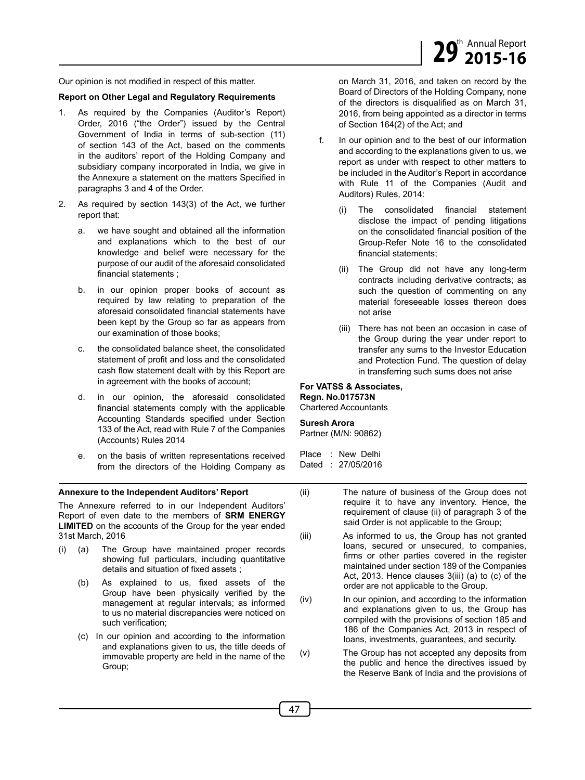Our opinion is not modified in respect of this matter.

#### **Report on Other Legal and Regulatory Requirements**

- 1. As required by the Companies (Auditor's Report) Order, 2016 ("the Order") issued by the Central Government of India in terms of sub-section (11) of section 143 of the Act, based on the comments in the auditors' report of the Holding Company and subsidiary company incorporated in India, we give in the Annexure a statement on the matters Specified in paragraphs 3 and 4 of the Order.
- 2. As required by section 143(3) of the Act, we further report that:
	- a. we have sought and obtained all the information and explanations which to the best of our knowledge and belief were necessary for the purpose of our audit of the aforesaid consolidated financial statements :
	- b. in our opinion proper books of account as required by law relating to preparation of the aforesaid consolidated financial statements have been kept by the Group so far as appears from our examination of those books;
	- c. the consolidated balance sheet, the consolidated statement of profit and loss and the consolidated cash flow statement dealt with by this Report are in agreement with the books of account;
	- d. in our opinion, the aforesaid consolidated financial statements comply with the applicable Accounting Standards specified under Section 133 of the Act, read with Rule 7 of the Companies (Accounts) Rules 2014
	- e. on the basis of written representations received from the directors of the Holding Company as

#### **Annexure to the Independent Auditors' Report**

The Annexure referred to in our Independent Auditors' Report of even date to the members of **SRM ENERGY LIMITED** on the accounts of the Group for the year ended 31st March, 2016

- (i) (a) The Group have maintained proper records showing full particulars, including quantitative details and situation of fixed assets ;
	- (b) As explained to us, fixed assets of the Group have been physically verified by the management at regular intervals; as informed to us no material discrepancies were noticed on such verification;
	- (c) In our opinion and according to the information and explanations given to us, the title deeds of immovable property are held in the name of the Group;

on March 31, 2016, and taken on record by the Board of Directors of the Holding Company, none of the directors is disqualified as on March 31, 2016, from being appointed as a director in terms of Section 164(2) of the Act; and

- f. In our opinion and to the best of our information and according to the explanations given to us, we report as under with respect to other matters to be included in the Auditor's Report in accordance with Rule 11 of the Companies (Audit and Auditors) Rules, 2014:
	- (i) The consolidated financial statement disclose the impact of pending litigations on the consolidated financial position of the Group-Refer Note 16 to the consolidated financial statements;
	- (ii) The Group did not have any long-term contracts including derivative contracts; as such the question of commenting on any material foreseeable losses thereon does not arise
	- (iii) There has not been an occasion in case of the Group during the year under report to transfer any sums to the Investor Education and Protection Fund. The question of delay in transferring such sums does not arise

#### **For VATSS & Associates, Regn. No.017573N** Chartered Accountants

#### **Suresh Arora**

Partner (M/N: 90862)

Place : New Delhi Dated : 27/05/2016

- (ii) The nature of business of the Group does not require it to have any inventory. Hence, the requirement of clause (ii) of paragraph 3 of the said Order is not applicable to the Group;
- (iii) As informed to us, the Group has not granted loans, secured or unsecured, to companies, firms or other parties covered in the register maintained under section 189 of the Companies Act, 2013. Hence clauses 3(iii) (a) to (c) of the order are not applicable to the Group.
- (iv) In our opinion, and according to the information and explanations given to us, the Group has compiled with the provisions of section 185 and 186 of the Companies Act, 2013 in respect of loans, investments, guarantees, and security.
- (v) The Group has not accepted any deposits from the public and hence the directives issued by the Reserve Bank of India and the provisions of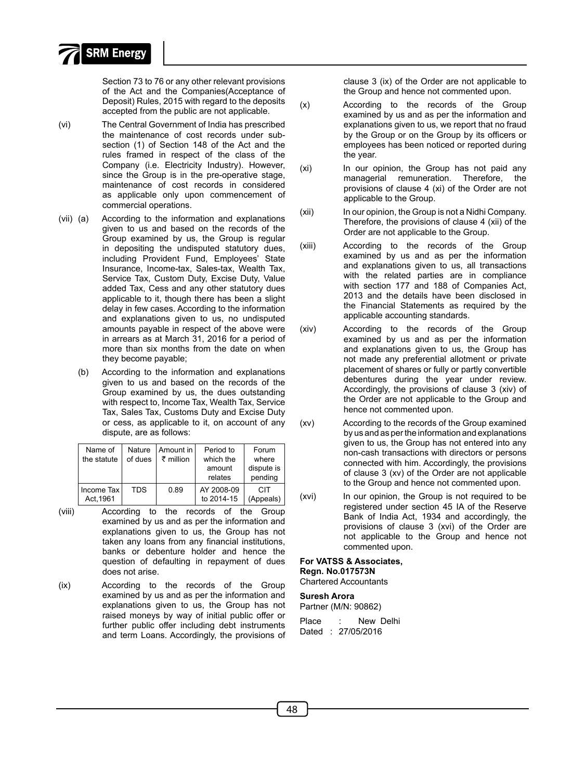

Section 73 to 76 or any other relevant provisions of the Act and the Companies(Acceptance of Deposit) Rules, 2015 with regard to the deposits accepted from the public are not applicable.

- (vi) The Central Government of India has prescribed the maintenance of cost records under subsection (1) of Section 148 of the Act and the rules framed in respect of the class of the Company (i.e. Electricity Industry). However, since the Group is in the pre-operative stage, maintenance of cost records in considered as applicable only upon commencement of commercial operations.
- (vii) (a) According to the information and explanations given to us and based on the records of the Group examined by us, the Group is regular in depositing the undisputed statutory dues, including Provident Fund, Employees' State Insurance, Income-tax, Sales-tax, Wealth Tax, Service Tax, Custom Duty, Excise Duty, Value added Tax, Cess and any other statutory dues applicable to it, though there has been a slight delay in few cases. According to the information and explanations given to us, no undisputed amounts payable in respect of the above were in arrears as at March 31, 2016 for a period of more than six months from the date on when they become payable;
	- (b) According to the information and explanations given to us and based on the records of the Group examined by us, the dues outstanding with respect to, Income Tax, Wealth Tax, Service Tax, Sales Tax, Customs Duty and Excise Duty or cess, as applicable to it, on account of any dispute, are as follows:

| Name of<br>the statute  | Nature<br>of dues | Amount in<br>₹ million | Period to<br>which the<br>amount<br>relates | Forum<br>where<br>dispute is<br>pending |
|-------------------------|-------------------|------------------------|---------------------------------------------|-----------------------------------------|
| Income Tax<br>Act, 1961 | TDS               | 0.89                   | AY 2008-09<br>to 2014-15                    | CIT<br>(Appeals)                        |

- (viii) According to the records of the Group examined by us and as per the information and explanations given to us, the Group has not taken any loans from any financial institutions, banks or debenture holder and hence the question of defaulting in repayment of dues does not arise.
- (ix) According to the records of the Group examined by us and as per the information and explanations given to us, the Group has not raised moneys by way of initial public offer or further public offer including debt instruments and term Loans. Accordingly, the provisions of

clause 3 (ix) of the Order are not applicable to the Group and hence not commented upon.

- (x) According to the records of the Group examined by us and as per the information and explanations given to us, we report that no fraud by the Group or on the Group by its officers or employees has been noticed or reported during the year.
- (xi) In our opinion, the Group has not paid any managerial remuneration. Therefore, the provisions of clause 4 (xi) of the Order are not applicable to the Group.
- (xii) In our opinion, the Group is not a Nidhi Company. Therefore, the provisions of clause 4 (xii) of the Order are not applicable to the Group.
- (xiii) According to the records of the Group examined by us and as per the information and explanations given to us, all transactions with the related parties are in compliance with section 177 and 188 of Companies Act, 2013 and the details have been disclosed in the Financial Statements as required by the applicable accounting standards.
- (xiv) According to the records of the Group examined by us and as per the information and explanations given to us, the Group has not made any preferential allotment or private placement of shares or fully or partly convertible debentures during the year under review. Accordingly, the provisions of clause 3 (xiv) of the Order are not applicable to the Group and hence not commented upon.
- (xv) According to the records of the Group examined by us and as per the information and explanations given to us, the Group has not entered into any non-cash transactions with directors or persons connected with him. Accordingly, the provisions of clause 3 (xv) of the Order are not applicable to the Group and hence not commented upon.
- (xvi) In our opinion, the Group is not required to be registered under section 45 IA of the Reserve Bank of India Act, 1934 and accordingly, the provisions of clause 3 (xvi) of the Order are not applicable to the Group and hence not commented upon.

#### **For VATSS & Associates, Regn. No.017573N**

Chartered Accountants

## **Suresh Arora**

Partner (M/N: 90862)

Place : New Delhi Dated : 27/05/2016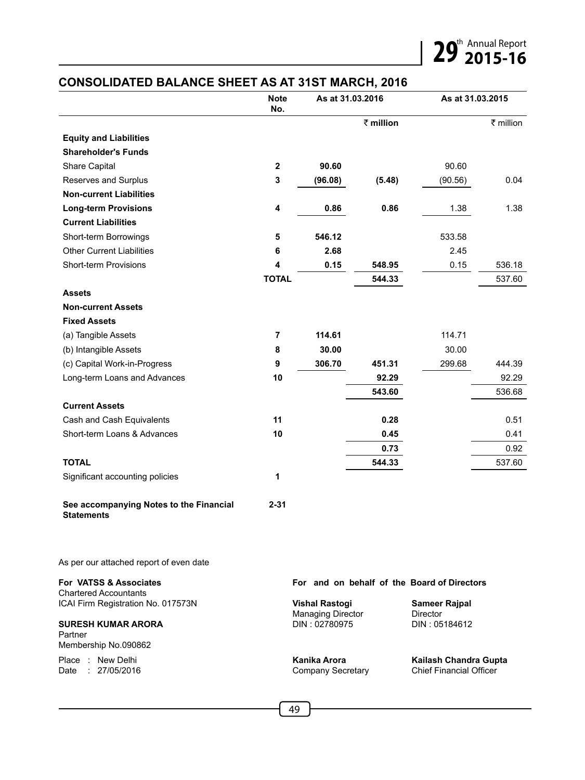

## **CONSOLIDATED BALANCE SHEET AS AT 31ST MARCH, 2016**

|                                                                    | <b>Note</b><br>No. |                                    | As at 31.03.2016 |                                                         | As at 31.03.2015 |  |
|--------------------------------------------------------------------|--------------------|------------------------------------|------------------|---------------------------------------------------------|------------------|--|
|                                                                    |                    |                                    | ₹ million        |                                                         | ₹ million        |  |
| <b>Equity and Liabilities</b>                                      |                    |                                    |                  |                                                         |                  |  |
| <b>Shareholder's Funds</b>                                         |                    |                                    |                  |                                                         |                  |  |
| Share Capital                                                      | 2                  | 90.60                              |                  | 90.60                                                   |                  |  |
| Reserves and Surplus                                               | 3                  | (96.08)                            | (5.48)           | (90.56)                                                 | 0.04             |  |
| <b>Non-current Liabilities</b>                                     |                    |                                    |                  |                                                         |                  |  |
| <b>Long-term Provisions</b>                                        | 4                  | 0.86                               | 0.86             | 1.38                                                    | 1.38             |  |
| <b>Current Liabilities</b>                                         |                    |                                    |                  |                                                         |                  |  |
| Short-term Borrowings                                              | 5                  | 546.12                             |                  | 533.58                                                  |                  |  |
| <b>Other Current Liabilities</b>                                   | 6                  | 2.68                               |                  | 2.45                                                    |                  |  |
| <b>Short-term Provisions</b>                                       | 4                  | 0.15                               | 548.95           | 0.15                                                    | 536.18           |  |
|                                                                    | <b>TOTAL</b>       |                                    | 544.33           |                                                         | 537.60           |  |
| <b>Assets</b>                                                      |                    |                                    |                  |                                                         |                  |  |
| <b>Non-current Assets</b>                                          |                    |                                    |                  |                                                         |                  |  |
| <b>Fixed Assets</b>                                                |                    |                                    |                  |                                                         |                  |  |
| (a) Tangible Assets                                                | 7                  | 114.61                             |                  | 114.71                                                  |                  |  |
| (b) Intangible Assets                                              | 8                  | 30.00                              |                  | 30.00                                                   |                  |  |
| (c) Capital Work-in-Progress                                       | 9                  | 306.70                             | 451.31           | 299.68                                                  | 444.39           |  |
| Long-term Loans and Advances                                       | 10                 |                                    | 92.29            |                                                         | 92.29            |  |
|                                                                    |                    |                                    | 543.60           |                                                         | 536.68           |  |
| <b>Current Assets</b>                                              |                    |                                    |                  |                                                         |                  |  |
| Cash and Cash Equivalents                                          | 11                 |                                    | 0.28             |                                                         | 0.51             |  |
| Short-term Loans & Advances                                        | 10                 |                                    | 0.45             |                                                         | 0.41             |  |
|                                                                    |                    |                                    | 0.73             |                                                         | 0.92             |  |
| <b>TOTAL</b>                                                       |                    |                                    | 544.33           |                                                         | 537.60           |  |
| Significant accounting policies                                    | 1                  |                                    |                  |                                                         |                  |  |
| See accompanying Notes to the Financial<br><b>Statements</b>       | $2 - 31$           |                                    |                  |                                                         |                  |  |
| As per our attached report of even date                            |                    |                                    |                  |                                                         |                  |  |
| For VATSS & Associates                                             |                    |                                    |                  | For and on behalf of the Board of Directors             |                  |  |
| <b>Chartered Accountants</b><br>ICAI Firm Registration No. 017573N |                    | <b>Vishal Rastogi</b>              |                  | <b>Sameer Rajpal</b>                                    |                  |  |
| <b>SURESH KUMAR ARORA</b><br>Partner<br>Membership No.090862       |                    | Managing Director<br>DIN: 02780975 |                  | Director<br>DIN: 05184612                               |                  |  |
| New Delhi<br>Place<br>Date<br>27/05/2016                           |                    | Kanika Arora<br>Company Secretary  |                  | Kailash Chandra Gupta<br><b>Chief Financial Officer</b> |                  |  |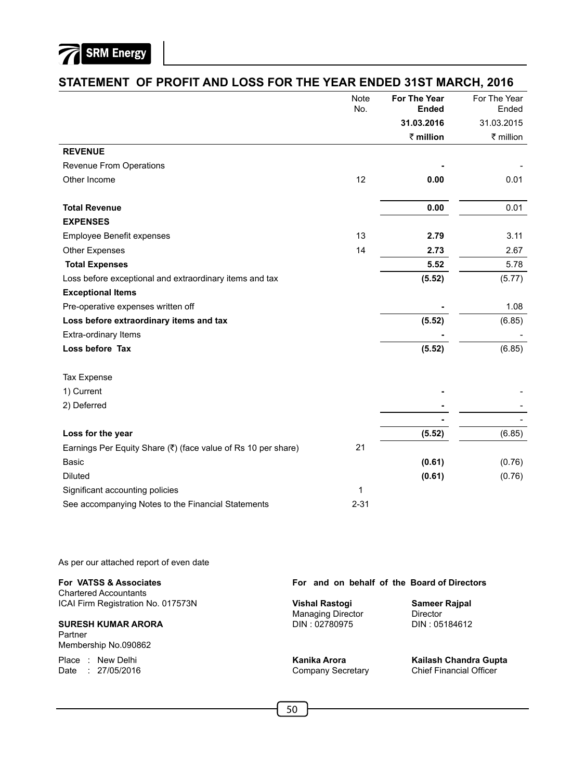

|  |  |  |  | STATEMENT OF PROFIT AND LOSS FOR THE YEAR ENDED 31ST MARCH, 2016 |
|--|--|--|--|------------------------------------------------------------------|
|--|--|--|--|------------------------------------------------------------------|

|                                                                                               | <b>Note</b><br>No. | For The Year<br><b>Ended</b> | For The Year<br>Ended |
|-----------------------------------------------------------------------------------------------|--------------------|------------------------------|-----------------------|
|                                                                                               |                    | 31.03.2016                   | 31.03.2015            |
|                                                                                               |                    | ₹ million                    | ₹ million             |
| <b>REVENUE</b>                                                                                |                    |                              |                       |
| Revenue From Operations                                                                       |                    |                              |                       |
| Other Income                                                                                  | 12                 | 0.00                         | 0.01                  |
|                                                                                               |                    |                              |                       |
| <b>Total Revenue</b>                                                                          |                    | 0.00                         | 0.01                  |
| <b>EXPENSES</b>                                                                               |                    |                              |                       |
| <b>Employee Benefit expenses</b>                                                              | 13                 | 2.79                         | 3.11                  |
| Other Expenses                                                                                | 14                 | 2.73                         | 2.67                  |
| <b>Total Expenses</b>                                                                         |                    | 5.52                         | 5.78                  |
| Loss before exceptional and extraordinary items and tax                                       |                    | (5.52)                       | (5.77)                |
| <b>Exceptional Items</b>                                                                      |                    |                              |                       |
| Pre-operative expenses written off                                                            |                    |                              | 1.08                  |
| Loss before extraordinary items and tax                                                       |                    | (5.52)                       | (6.85)                |
| Extra-ordinary Items                                                                          |                    |                              |                       |
| Loss before Tax                                                                               |                    | (5.52)                       | (6.85)                |
|                                                                                               |                    |                              |                       |
| <b>Tax Expense</b>                                                                            |                    |                              |                       |
| 1) Current                                                                                    |                    |                              |                       |
| 2) Deferred                                                                                   |                    |                              |                       |
|                                                                                               |                    |                              |                       |
| Loss for the year                                                                             | 21                 | (5.52)                       | (6.85)                |
| Earnings Per Equity Share $(\overline{\tau})$ (face value of Rs 10 per share)<br><b>Basic</b> |                    |                              |                       |
|                                                                                               |                    | (0.61)                       | (0.76)                |
| <b>Diluted</b>                                                                                |                    | (0.61)                       | (0.76)                |
| Significant accounting policies                                                               | $\mathbf{1}$       |                              |                       |
| See accompanying Notes to the Financial Statements                                            | $2 - 31$           |                              |                       |

As per our attached report of even date

| For VATSS & Associates<br><b>Chartered Accountants</b>       | For and on behalf of the Board of Directors       |                                                         |  |  |  |
|--------------------------------------------------------------|---------------------------------------------------|---------------------------------------------------------|--|--|--|
| ICAI Firm Registration No. 017573N                           | <b>Vishal Rastogi</b><br><b>Managing Director</b> | <b>Sameer Rajpal</b><br>Director                        |  |  |  |
| <b>SURESH KUMAR ARORA</b><br>Partner<br>Membership No.090862 | DIN: 02780975                                     | DIN: 05184612                                           |  |  |  |
| Place : New Delhi<br>Date: 27/05/2016                        | Kanika Arora<br>Company Secretary                 | Kailash Chandra Gupta<br><b>Chief Financial Officer</b> |  |  |  |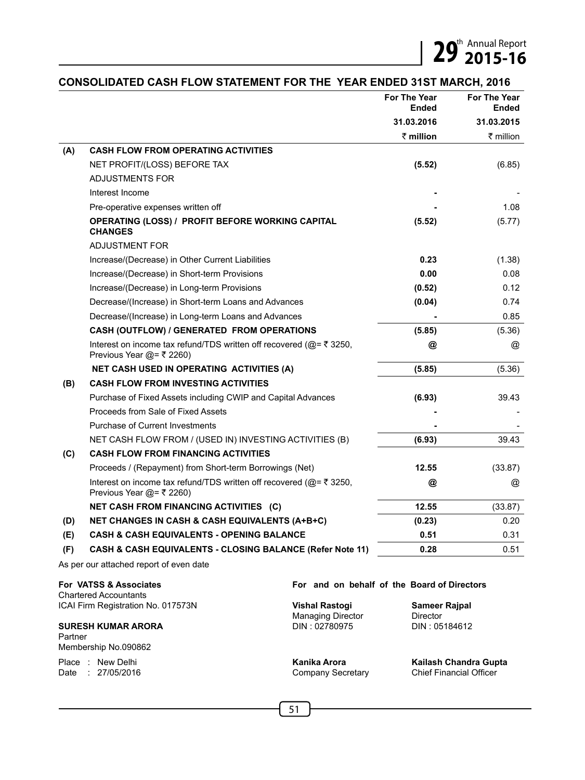## **CONSOLIDATED CASH FLOW STATEMENT FOR THE YEAR ENDED 31ST MARCH, 2016**

|         |                                                                                                      |                                                   | For The Year<br>Ended            | For The Year<br>Ended          |
|---------|------------------------------------------------------------------------------------------------------|---------------------------------------------------|----------------------------------|--------------------------------|
|         |                                                                                                      |                                                   | 31.03.2016                       | 31.03.2015                     |
|         |                                                                                                      |                                                   | $\bar{\tau}$ million             | ₹ million                      |
| (A)     | <b>CASH FLOW FROM OPERATING ACTIVITIES</b>                                                           |                                                   |                                  |                                |
|         | NET PROFIT/(LOSS) BEFORE TAX                                                                         |                                                   | (5.52)                           | (6.85)                         |
|         | ADJUSTMENTS FOR                                                                                      |                                                   |                                  |                                |
|         | Interest Income                                                                                      |                                                   |                                  |                                |
|         | Pre-operative expenses written off                                                                   |                                                   |                                  | 1.08                           |
|         | <b>OPERATING (LOSS) / PROFIT BEFORE WORKING CAPITAL</b><br><b>CHANGES</b>                            |                                                   | (5.52)                           | (5.77)                         |
|         | ADJUSTMENT FOR                                                                                       |                                                   |                                  |                                |
|         | Increase/(Decrease) in Other Current Liabilities                                                     |                                                   | 0.23                             | (1.38)                         |
|         | Increase/(Decrease) in Short-term Provisions                                                         |                                                   | 0.00                             | 0.08                           |
|         | Increase/(Decrease) in Long-term Provisions                                                          |                                                   | (0.52)                           | 0.12                           |
|         | Decrease/(Increase) in Short-term Loans and Advances                                                 |                                                   | (0.04)                           | 0.74                           |
|         | Decrease/(Increase) in Long-term Loans and Advances                                                  |                                                   |                                  | 0.85                           |
|         | CASH (OUTFLOW) / GENERATED FROM OPERATIONS                                                           |                                                   | (5.85)                           | (5.36)                         |
|         | Interest on income tax refund/TDS written off recovered ( $@=$ ₹ 3250,<br>Previous Year $@=$ ₹ 2260) |                                                   | @                                | @                              |
|         | NET CASH USED IN OPERATING ACTIVITIES (A)                                                            |                                                   | (5.85)                           | (5.36)                         |
| (B)     | <b>CASH FLOW FROM INVESTING ACTIVITIES</b>                                                           |                                                   |                                  |                                |
|         | Purchase of Fixed Assets including CWIP and Capital Advances                                         |                                                   | (6.93)                           | 39.43                          |
|         | Proceeds from Sale of Fixed Assets                                                                   |                                                   |                                  |                                |
|         | Purchase of Current Investments                                                                      |                                                   |                                  |                                |
|         | NET CASH FLOW FROM / (USED IN) INVESTING ACTIVITIES (B)                                              |                                                   | (6.93)                           | 39.43                          |
| (C)     | <b>CASH FLOW FROM FINANCING ACTIVITIES</b>                                                           |                                                   |                                  |                                |
|         | Proceeds / (Repayment) from Short-term Borrowings (Net)                                              |                                                   | 12.55                            | (33.87)                        |
|         | Interest on income tax refund/TDS written off recovered ( $@=$ ₹ 3250,<br>Previous Year @= ₹ 2260)   |                                                   | @                                | @                              |
|         | NET CASH FROM FINANCING ACTIVITIES (C)                                                               |                                                   | 12.55                            | (33.87)                        |
| (D)     | <b>NET CHANGES IN CASH &amp; CASH EQUIVALENTS (A+B+C)</b>                                            |                                                   | (0.23)                           | 0.20                           |
| (E)     | <b>CASH &amp; CASH EQUIVALENTS - OPENING BALANCE</b>                                                 |                                                   | 0.51                             | 0.31                           |
| (F)     | CASH & CASH EQUIVALENTS - CLOSING BALANCE (Refer Note 11)                                            |                                                   | 0.28                             | 0.51                           |
|         | As per our attached report of even date                                                              |                                                   |                                  |                                |
|         | For VATSS & Associates<br><b>Chartered Accountants</b>                                               | For and on behalf of the Board of Directors       |                                  |                                |
|         | ICAI Firm Registration No. 017573N                                                                   | <b>Vishal Rastogi</b><br><b>Managing Director</b> | <b>Sameer Rajpal</b><br>Director |                                |
| Partner | <b>SURESH KUMAR ARORA</b><br>Membership No.090862                                                    | DIN: 02780975                                     | DIN: 05184612                    |                                |
| Place   | New Delhi                                                                                            | Kanika Arora                                      |                                  | Kailash Chandra Gupta          |
| Date    | 27/05/2016                                                                                           | <b>Company Secretary</b>                          |                                  | <b>Chief Financial Officer</b> |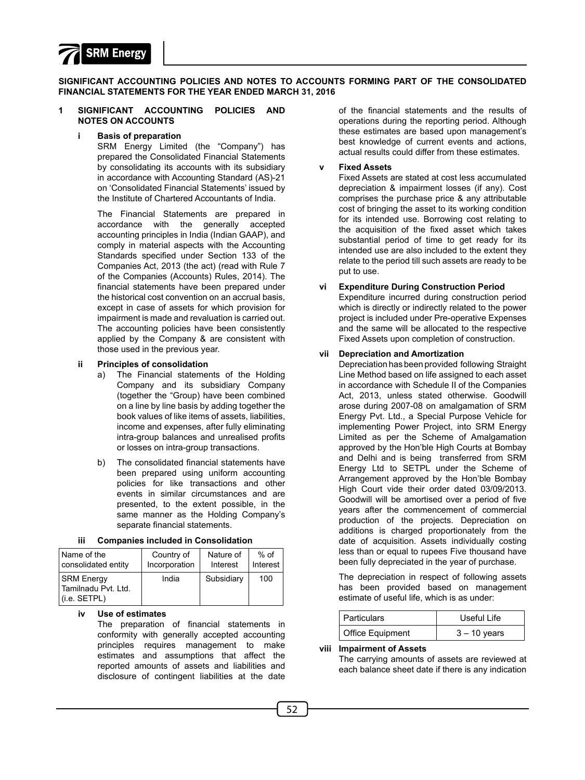

**SIGNIFICANT ACCOUNTING POLICIES AND NOTES TO ACCOUNTS FORMING PART OF THE CONSOLIDATED FINANCIAL STATEMENTS FOR THE YEAR ENDED MARCH 31, 2016**

#### **1 SIGNIFICANT ACCOUNTING POLICIES AND NOTES ON ACCOUNTS**

#### **i Basis of preparation**

SRM Energy Limited (the "Company") has prepared the Consolidated Financial Statements by consolidating its accounts with its subsidiary in accordance with Accounting Standard (AS)-21 on 'Consolidated Financial Statements' issued by the Institute of Chartered Accountants of India.

The Financial Statements are prepared in accordance with the generally accepted accounting principles in India (Indian GAAP), and comply in material aspects with the Accounting Standards specified under Section 133 of the Companies Act, 2013 (the act) (read with Rule 7 of the Companies (Accounts) Rules, 2014). The financial statements have been prepared under the historical cost convention on an accrual basis, except in case of assets for which provision for impairment is made and revaluation is carried out. The accounting policies have been consistently applied by the Company & are consistent with those used in the previous year.

#### **ii Principles of consolidation**

- a) The Financial statements of the Holding Company and its subsidiary Company (together the "Group) have been combined on a line by line basis by adding together the book values of like items of assets, liabilities, income and expenses, after fully eliminating intra-group balances and unrealised profits or losses on intra-group transactions.
- b) The consolidated financial statements have been prepared using uniform accounting policies for like transactions and other events in similar circumstances and are presented, to the extent possible, in the same manner as the Holding Company's separate financial statements.

| iii |  |  |  | <b>Companies included in Consolidation</b> |
|-----|--|--|--|--------------------------------------------|
|-----|--|--|--|--------------------------------------------|

| Name of the                                              | Country of    | Nature of  | $%$ of   |
|----------------------------------------------------------|---------------|------------|----------|
| consolidated entity                                      | Incorporation | Interest   | Interest |
| <b>SRM Energy</b><br>Tamilnadu Pvt. Ltd.<br>(i.e. SETPL) | India         | Subsidiary | 100      |

#### **iv Use of estimates**

The preparation of financial statements in conformity with generally accepted accounting principles requires management to make estimates and assumptions that affect the reported amounts of assets and liabilities and disclosure of contingent liabilities at the date of the financial statements and the results of operations during the reporting period. Although these estimates are based upon management's best knowledge of current events and actions, actual results could differ from these estimates.

#### **v Fixed Assets**

Fixed Assets are stated at cost less accumulated depreciation & impairment losses (if any). Cost comprises the purchase price & any attributable cost of bringing the asset to its working condition for its intended use. Borrowing cost relating to the acquisition of the fixed asset which takes substantial period of time to get ready for its intended use are also included to the extent they relate to the period till such assets are ready to be put to use.

#### **vi Expenditure During Construction Period**

Expenditure incurred during construction period which is directly or indirectly related to the power project is included under Pre-operative Expenses and the same will be allocated to the respective Fixed Assets upon completion of construction.

#### **vii Depreciation and Amortization**

Depreciation has been provided following Straight Line Method based on life assigned to each asset in accordance with Schedule II of the Companies Act, 2013, unless stated otherwise. Goodwill arose during 2007-08 on amalgamation of SRM Energy Pvt. Ltd., a Special Purpose Vehicle for implementing Power Project, into SRM Energy Limited as per the Scheme of Amalgamation approved by the Hon'ble High Courts at Bombay and Delhi and is being transferred from SRM Energy Ltd to SETPL under the Scheme of Arrangement approved by the Hon'ble Bombay High Court vide their order dated 03/09/2013. Goodwill will be amortised over a period of five years after the commencement of commercial production of the projects. Depreciation on additions is charged proportionately from the date of acquisition. Assets individually costing less than or equal to rupees Five thousand have been fully depreciated in the year of purchase.

The depreciation in respect of following assets has been provided based on management estimate of useful life, which is as under:

| Particulars             | Useful Life    |
|-------------------------|----------------|
| <b>Office Equipment</b> | $3 - 10$ years |

#### **viii Impairment of Assets**

The carrying amounts of assets are reviewed at each balance sheet date if there is any indication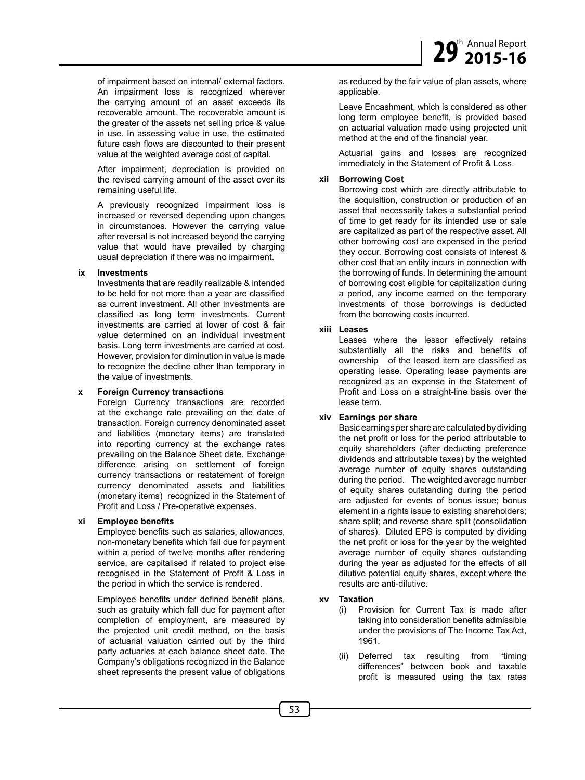of impairment based on internal/ external factors. An impairment loss is recognized wherever the carrying amount of an asset exceeds its recoverable amount. The recoverable amount is the greater of the assets net selling price & value in use. In assessing value in use, the estimated future cash flows are discounted to their present value at the weighted average cost of capital.

After impairment, depreciation is provided on the revised carrying amount of the asset over its remaining useful life.

A previously recognized impairment loss is increased or reversed depending upon changes in circumstances. However the carrying value after reversal is not increased beyond the carrying value that would have prevailed by charging usual depreciation if there was no impairment.

#### **ix Investments**

Investments that are readily realizable & intended to be held for not more than a year are classified as current investment. All other investments are classified as long term investments. Current investments are carried at lower of cost & fair value determined on an individual investment basis. Long term investments are carried at cost. However, provision for diminution in value is made to recognize the decline other than temporary in the value of investments.

#### **x Foreign Currency transactions**

Foreign Currency transactions are recorded at the exchange rate prevailing on the date of transaction. Foreign currency denominated asset and liabilities (monetary items) are translated into reporting currency at the exchange rates prevailing on the Balance Sheet date. Exchange difference arising on settlement of foreign currency transactions or restatement of foreign currency denominated assets and liabilities (monetary items) recognized in the Statement of Profit and Loss / Pre-operative expenses.

#### **xi Employee benefits**

Employee benefits such as salaries, allowances, non-monetary benefits which fall due for payment within a period of twelve months after rendering service, are capitalised if related to project else recognised in the Statement of Profit & Loss in the period in which the service is rendered.

Employee benefits under defined benefit plans, such as gratuity which fall due for payment after completion of employment, are measured by the projected unit credit method, on the basis of actuarial valuation carried out by the third party actuaries at each balance sheet date. The Company's obligations recognized in the Balance sheet represents the present value of obligations

as reduced by the fair value of plan assets, where applicable.

Leave Encashment, which is considered as other long term employee benefit, is provided based on actuarial valuation made using projected unit method at the end of the financial year.

Actuarial gains and losses are recognized immediately in the Statement of Profit & Loss.

#### **xii Borrowing Cost**

Borrowing cost which are directly attributable to the acquisition, construction or production of an asset that necessarily takes a substantial period of time to get ready for its intended use or sale are capitalized as part of the respective asset. All other borrowing cost are expensed in the period they occur. Borrowing cost consists of interest & other cost that an entity incurs in connection with the borrowing of funds. In determining the amount of borrowing cost eligible for capitalization during a period, any income earned on the temporary investments of those borrowings is deducted from the borrowing costs incurred.

#### **xiii Leases**

Leases where the lessor effectively retains substantially all the risks and benefits of ownership of the leased item are classified as operating lease. Operating lease payments are recognized as an expense in the Statement of Profit and Loss on a straight-line basis over the lease term.

#### **xiv Earnings per share**

Basic earnings per share are calculated by dividing the net profit or loss for the period attributable to equity shareholders (after deducting preference dividends and attributable taxes) by the weighted average number of equity shares outstanding during the period. The weighted average number of equity shares outstanding during the period are adjusted for events of bonus issue; bonus element in a rights issue to existing shareholders; share split; and reverse share split (consolidation of shares). Diluted EPS is computed by dividing the net profit or loss for the year by the weighted average number of equity shares outstanding during the year as adjusted for the effects of all dilutive potential equity shares, except where the results are anti-dilutive.

#### **xv Taxation**

- (i) Provision for Current Tax is made after taking into consideration benefits admissible under the provisions of The Income Tax Act, 1961.
- (ii) Deferred tax resulting from "timing differences" between book and taxable profit is measured using the tax rates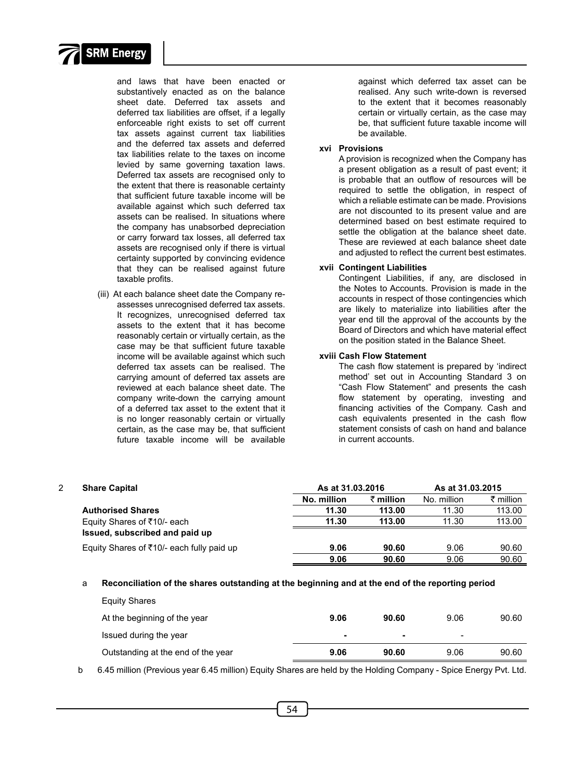

and laws that have been enacted or substantively enacted as on the balance sheet date. Deferred tax assets and deferred tax liabilities are offset, if a legally enforceable right exists to set off current tax assets against current tax liabilities and the deferred tax assets and deferred tax liabilities relate to the taxes on income levied by same governing taxation laws. Deferred tax assets are recognised only to the extent that there is reasonable certainty that sufficient future taxable income will be available against which such deferred tax assets can be realised. In situations where the company has unabsorbed depreciation or carry forward tax losses, all deferred tax assets are recognised only if there is virtual certainty supported by convincing evidence that they can be realised against future taxable profits.

(iii) At each balance sheet date the Company reassesses unrecognised deferred tax assets. It recognizes, unrecognised deferred tax assets to the extent that it has become reasonably certain or virtually certain, as the case may be that sufficient future taxable income will be available against which such deferred tax assets can be realised. The carrying amount of deferred tax assets are reviewed at each balance sheet date. The company write-down the carrying amount of a deferred tax asset to the extent that it is no longer reasonably certain or virtually certain, as the case may be, that sufficient future taxable income will be available

against which deferred tax asset can be realised. Any such write-down is reversed to the extent that it becomes reasonably certain or virtually certain, as the case may be, that sufficient future taxable income will be available.

#### **xvi Provisions**

A provision is recognized when the Company has a present obligation as a result of past event; it is probable that an outflow of resources will be required to settle the obligation, in respect of which a reliable estimate can be made. Provisions are not discounted to its present value and are determined based on best estimate required to settle the obligation at the balance sheet date. These are reviewed at each balance sheet date and adjusted to reflect the current best estimates.

#### **xvii Contingent Liabilities**

Contingent Liabilities, if any, are disclosed in the Notes to Accounts. Provision is made in the accounts in respect of those contingencies which are likely to materialize into liabilities after the year end till the approval of the accounts by the Board of Directors and which have material effect on the position stated in the Balance Sheet.

#### **xviii Cash Flow Statement**

The cash flow statement is prepared by 'indirect method' set out in Accounting Standard 3 on "Cash Flow Statement" and presents the cash flow statement by operating, investing and financing activities of the Company. Cash and cash equivalents presented in the cash flow statement consists of cash on hand and balance in current accounts.

| 2 | <b>Share Capital</b>                      | As at 31.03.2016 |                      | As at 31.03.2015 |           |
|---|-------------------------------------------|------------------|----------------------|------------------|-----------|
|   |                                           | No. million      | $\bar{\tau}$ million | No. million      | ₹ million |
|   | <b>Authorised Shares</b>                  | 11.30            | 113.00               | 11.30            | 113.00    |
|   | Equity Shares of ₹10/- each               | 11.30            | 113.00               | 11.30            | 113.00    |
|   | Issued, subscribed and paid up            |                  |                      |                  |           |
|   | Equity Shares of ₹10/- each fully paid up | 9.06             | 90.60                | 9.06             | 90.60     |
|   |                                           | 9.06             | 90.60                | 9.06             | 90.60     |

a **Reconciliation of the shares outstanding at the beginning and at the end of the reporting period**

| Outstanding at the end of the year | 9.06 | 90.60 | 9.06                     | 90.60 |
|------------------------------------|------|-------|--------------------------|-------|
| Issued during the year             |      | ۰     | $\overline{\phantom{a}}$ |       |
| At the beginning of the year       | 9.06 | 90.60 | 9.06                     | 90.60 |
| Equity Shares                      |      |       |                          |       |

b 6.45 million (Previous year 6.45 million) Equity Shares are held by the Holding Company - Spice Energy Pvt. Ltd.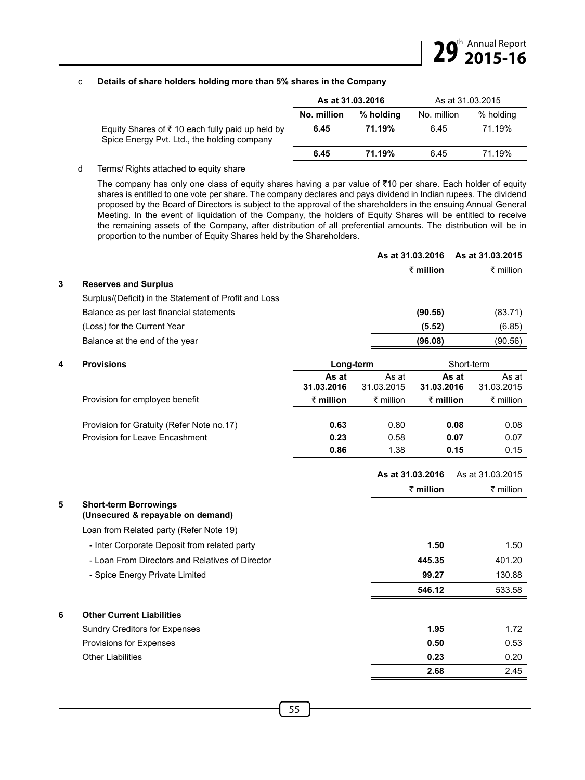#### c **Details of share holders holding more than 5% shares in the Company**

|                                                                                                | As at 31.03.2016 |           | As at 31.03.2015 |           |
|------------------------------------------------------------------------------------------------|------------------|-----------|------------------|-----------|
|                                                                                                | No. million      | % holdina | No. million      | % holdina |
| Equity Shares of ₹10 each fully paid up held by<br>Spice Energy Pyt. Ltd., the holding company | 6.45             | 71.19%    | 6.45             | 71 19%    |
|                                                                                                | 6.45             | 71.19%    | 6.45             | 71.19%    |

#### d Terms/ Rights attached to equity share

The company has only one class of equity shares having a par value of ₹10 per share. Each holder of equity shares is entitled to one vote per share. The company declares and pays dividend in Indian rupees. The dividend proposed by the Board of Directors is subject to the approval of the shareholders in the ensuing Annual General Meeting. In the event of liquidation of the Company, the holders of Equity Shares will be entitled to receive the remaining assets of the Company, after distribution of all preferential amounts. The distribution will be in proportion to the number of Equity Shares held by the Shareholders.

|   |                                                       |            | As at 31.03.2016 |                      |            | As at 31.03.2015 |
|---|-------------------------------------------------------|------------|------------------|----------------------|------------|------------------|
|   |                                                       |            |                  | $\bar{\tau}$ million |            | ₹ million        |
| 3 | <b>Reserves and Surplus</b>                           |            |                  |                      |            |                  |
|   | Surplus/(Deficit) in the Statement of Profit and Loss |            |                  |                      |            |                  |
|   | Balance as per last financial statements              |            |                  | (90.56)              |            | (83.71)          |
|   | (Loss) for the Current Year                           |            |                  | (5.52)               |            | (6.85)           |
|   | Balance at the end of the year                        |            |                  | (96.08)              |            | (90.56)          |
| 4 | <b>Provisions</b>                                     | Long-term  |                  |                      | Short-term |                  |
|   |                                                       | As at      | As at            |                      | As at      | As at            |
|   |                                                       | 31.03.2016 | 31 03 2015       | 31.03.2016           |            | 31 03 2015       |

| Provision for employee benefit            | रै million | ₹ million | रै million | ₹ million |
|-------------------------------------------|------------|-----------|------------|-----------|
|                                           |            |           |            |           |
| Provision for Gratuity (Refer Note no.17) | 0.63       | 0.80      | 0.08       | 0.08      |
| <b>Provision for Leave Encashment</b>     | 0.23       | 0.58      | 0.07       | 0.07      |
|                                           | 0.86       | 1.38      | 0.15       | 0.15      |
|                                           |            |           |            |           |

|   |                                                                   | As at 31.03.2016     | As at 31.03.2015 |
|---|-------------------------------------------------------------------|----------------------|------------------|
|   |                                                                   | $\bar{\tau}$ million | ₹ million        |
| 5 | <b>Short-term Borrowings</b><br>(Unsecured & repayable on demand) |                      |                  |
|   | Loan from Related party (Refer Note 19)                           |                      |                  |
|   | - Inter Corporate Deposit from related party                      | 1.50                 | 1.50             |
|   | - Loan From Directors and Relatives of Director                   | 445.35               | 401.20           |
|   | - Spice Energy Private Limited                                    | 99.27                | 130.88           |
|   |                                                                   | 546.12               | 533.58           |
| 6 | <b>Other Current Liabilities</b>                                  |                      |                  |
|   | <b>Sundry Creditors for Expenses</b>                              | 1.95                 | 1.72             |
|   | Provisions for Expenses                                           | 0.50                 | 0.53             |
|   | <b>Other Liabilities</b>                                          | 0.23                 | 0.20             |
|   |                                                                   | 2.68                 | 2.45             |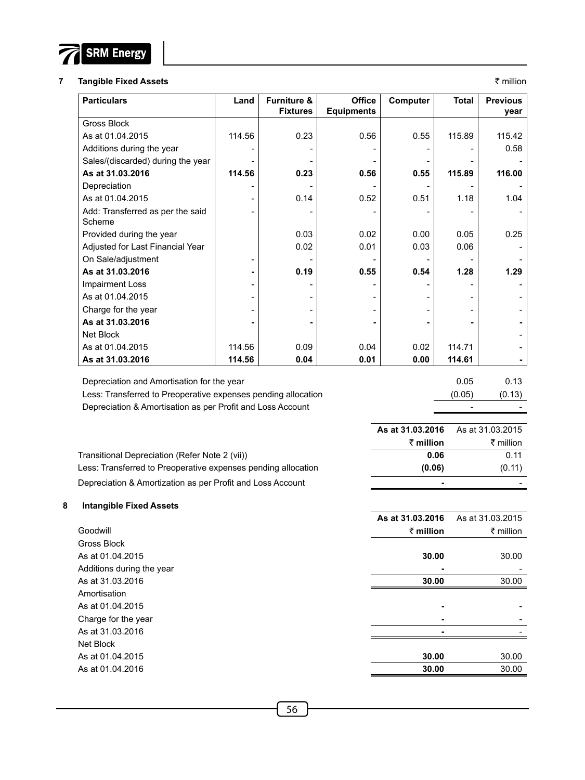

Net Block

#### **7 Tangible Fixed Assets**  $\in$  **₹** million

| <b>Particulars</b>                                            | Land   | <b>Furniture &amp;</b><br><b>Fixtures</b> | <b>Office</b><br><b>Equipments</b> | Computer         | <b>Total</b> | <b>Previous</b><br>year |
|---------------------------------------------------------------|--------|-------------------------------------------|------------------------------------|------------------|--------------|-------------------------|
| <b>Gross Block</b>                                            |        |                                           |                                    |                  |              |                         |
| As at 01.04.2015                                              | 114.56 | 0.23                                      | 0.56                               | 0.55             | 115.89       | 115.42                  |
| Additions during the year                                     |        |                                           |                                    | $\overline{a}$   |              | 0.58                    |
| Sales/(discarded) during the year                             |        |                                           |                                    |                  |              |                         |
| As at 31.03.2016                                              | 114.56 | 0.23                                      | 0.56                               | 0.55             | 115.89       | 116.00                  |
| Depreciation                                                  |        |                                           |                                    |                  |              |                         |
| As at 01.04.2015                                              |        | 0.14                                      | 0.52                               | 0.51             | 1.18         | 1.04                    |
| Add: Transferred as per the said<br>Scheme                    |        |                                           |                                    |                  |              |                         |
| Provided during the year                                      |        | 0.03                                      | 0.02                               | 0.00             | 0.05         | 0.25                    |
| Adjusted for Last Financial Year                              |        | 0.02                                      | 0.01                               | 0.03             | 0.06         |                         |
| On Sale/adjustment                                            |        |                                           |                                    |                  |              |                         |
| As at 31.03.2016                                              |        | 0.19                                      | 0.55                               | 0.54             | 1.28         | 1.29                    |
| <b>Impairment Loss</b>                                        |        |                                           |                                    |                  |              |                         |
| As at 01.04.2015                                              |        |                                           | $\overline{a}$                     |                  |              |                         |
| Charge for the year                                           |        |                                           |                                    |                  |              |                         |
| As at 31.03.2016                                              |        |                                           |                                    |                  |              |                         |
| Net Block                                                     |        |                                           |                                    |                  |              |                         |
| As at 01.04.2015                                              | 114.56 | 0.09                                      | 0.04                               | 0.02             | 114.71       |                         |
| As at 31.03.2016                                              | 114.56 | 0.04                                      | 0.01                               | 0.00             | 114.61       |                         |
|                                                               |        |                                           |                                    |                  |              |                         |
| Depreciation and Amortisation for the year                    |        |                                           |                                    |                  | 0.05         | 0.13                    |
| Less: Transferred to Preoperative expenses pending allocation |        |                                           |                                    |                  | (0.05)       | (0.13)                  |
| Depreciation & Amortisation as per Profit and Loss Account    |        |                                           |                                    |                  |              |                         |
|                                                               |        |                                           |                                    | As at 31.03.2016 |              | As at 31.03.2015        |
|                                                               |        |                                           |                                    | ₹ million        |              | ₹ million               |
| Transitional Depreciation (Refer Note 2 (vii))                |        |                                           |                                    | 0.06             |              | 0.11                    |
| Less: Transferred to Preoperative expenses pending allocation |        |                                           |                                    | (0.06)           |              | (0.11)                  |
| Depreciation & Amortization as per Profit and Loss Account    |        |                                           |                                    |                  |              |                         |
| <b>Intangible Fixed Assets</b>                                |        |                                           |                                    |                  |              |                         |
| Goodwill                                                      |        |                                           |                                    | As at 31.03.2016 |              | As at 31.03.2015        |
| <b>Gross Block</b>                                            |        |                                           |                                    | ₹ million        |              | ₹ million               |
| As at 01.04.2015                                              |        |                                           |                                    | 30.00            |              | 30.00                   |
|                                                               |        |                                           |                                    |                  |              |                         |
| Additions during the year<br>As at 31.03.2016                 |        |                                           |                                    | 30.00            |              | 30.00                   |
| Amortisation                                                  |        |                                           |                                    |                  |              |                         |
| As at 01.04.2015                                              |        |                                           |                                    |                  |              |                         |
|                                                               |        |                                           |                                    |                  |              |                         |
| Charge for the year                                           |        |                                           |                                    |                  |              |                         |

As at 01.04.2015 **30.00** 30.00 As at 01.04.2016 **30.00** 30.00 **30.00** 30.00

As at 31.03.2016 **-** -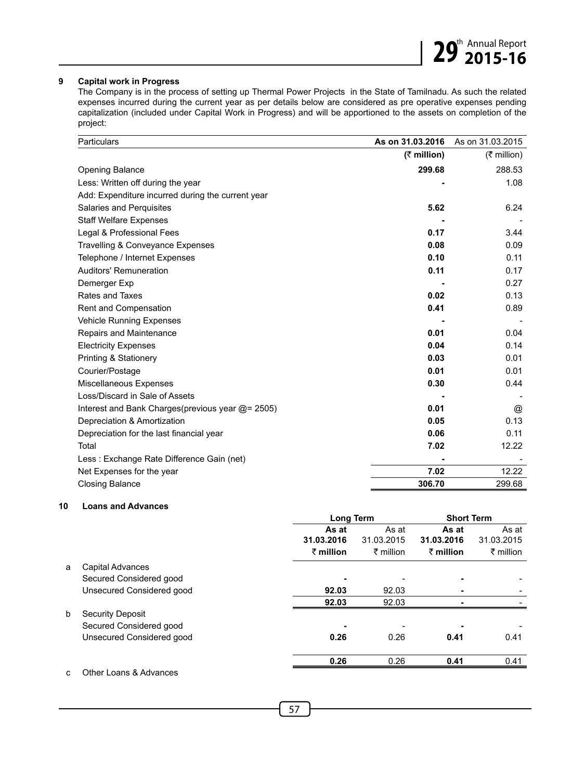#### **9 Capital work in Progress**

The Company is in the process of setting up Thermal Power Projects in the State of Tamilnadu. As such the related expenses incurred during the current year as per details below are considered as pre operative expenses pending capitalization (included under Capital Work in Progress) and will be apportioned to the assets on completion of the project:

| Particulars                                       | As on 31.03.2016 | As on 31.03.2015 |
|---------------------------------------------------|------------------|------------------|
|                                                   | (₹ million)      | (₹ million)      |
| <b>Opening Balance</b>                            | 299.68           | 288.53           |
| Less: Written off during the year                 |                  | 1.08             |
| Add: Expenditure incurred during the current year |                  |                  |
| Salaries and Perquisites                          | 5.62             | 6.24             |
| <b>Staff Welfare Expenses</b>                     |                  |                  |
| Legal & Professional Fees                         | 0.17             | 3.44             |
| Travelling & Conveyance Expenses                  | 0.08             | 0.09             |
| Telephone / Internet Expenses                     | 0.10             | 0.11             |
| Auditors' Remuneration                            | 0.11             | 0.17             |
| Demerger Exp                                      |                  | 0.27             |
| Rates and Taxes                                   | 0.02             | 0.13             |
| Rent and Compensation                             | 0.41             | 0.89             |
| <b>Vehicle Running Expenses</b>                   |                  |                  |
| Repairs and Maintenance                           | 0.01             | 0.04             |
| <b>Electricity Expenses</b>                       | 0.04             | 0.14             |
| Printing & Stationery                             | 0.03             | 0.01             |
| Courier/Postage                                   | 0.01             | 0.01             |
| Miscellaneous Expenses                            | 0.30             | 0.44             |
| Loss/Discard in Sale of Assets                    |                  |                  |
| Interest and Bank Charges(previous year @= 2505)  | 0.01             | @                |
| Depreciation & Amortization                       | 0.05             | 0.13             |
| Depreciation for the last financial year          | 0.06             | 0.11             |
| Total                                             | 7.02             | 12.22            |
| Less: Exchange Rate Difference Gain (net)         |                  |                  |
| Net Expenses for the year                         | 7.02             | 12.22            |
| <b>Closing Balance</b>                            | 306.70           | 299.68           |

#### **10 Loans and Advances**

|   |                           |                      | Long Term           |                      | <b>Short Term</b>   |
|---|---------------------------|----------------------|---------------------|----------------------|---------------------|
|   |                           | As at<br>31.03.2016  | As at<br>31.03.2015 | As at<br>31.03.2016  | As at<br>31.03.2015 |
|   |                           | $\bar{\tau}$ million | ₹ million           | $\bar{\tau}$ million | ₹ million           |
| a | Capital Advances          |                      |                     |                      |                     |
|   | Secured Considered good   |                      |                     |                      |                     |
|   | Unsecured Considered good | 92.03                | 92.03               |                      |                     |
|   |                           | 92.03                | 92.03               | -                    |                     |
| b | Security Deposit          |                      |                     |                      |                     |
|   | Secured Considered good   |                      |                     |                      |                     |
|   | Unsecured Considered good | 0.26                 | 0.26                | 0.41                 | 0.41                |
|   |                           |                      |                     |                      |                     |
|   |                           | 0.26                 | 0.26                | 0.41                 | 0.41                |

#### c Other Loans & Advances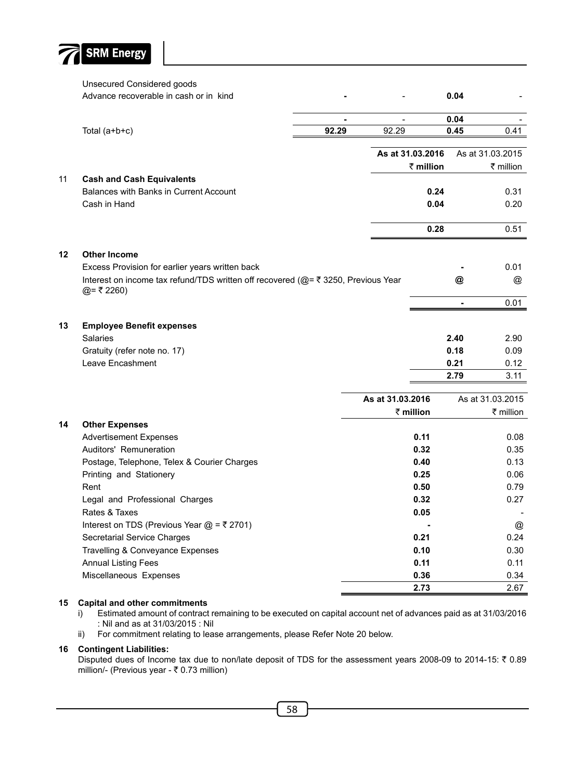

#### Unsecured Considered goods

|    | Advance recoverable in cash or in kind                                                         |                                | 0.04                 |                |                  |
|----|------------------------------------------------------------------------------------------------|--------------------------------|----------------------|----------------|------------------|
|    |                                                                                                | $\overline{\phantom{0}}$<br>ä, | 0.04                 |                |                  |
|    | 92.29<br>Total $(a+b+c)$                                                                       | 92.29                          |                      | 0.45           | 0.41             |
|    |                                                                                                |                                | As at 31.03.2016     |                | As at 31.03.2015 |
|    |                                                                                                |                                | $\bar{\tau}$ million |                | ₹ million        |
| 11 | <b>Cash and Cash Equivalents</b>                                                               |                                |                      |                |                  |
|    | Balances with Banks in Current Account                                                         |                                | 0.24                 |                | 0.31             |
|    | Cash in Hand                                                                                   |                                | 0.04                 |                | 0.20             |
|    |                                                                                                |                                | 0.28                 |                | 0.51             |
|    |                                                                                                |                                |                      |                |                  |
| 12 | <b>Other Income</b>                                                                            |                                |                      |                |                  |
|    | Excess Provision for earlier years written back                                                |                                |                      |                | 0.01             |
|    | Interest on income tax refund/TDS written off recovered (@= ₹ 3250, Previous Year<br>@= ₹2260) |                                |                      | @              | @                |
|    |                                                                                                |                                |                      | $\blacksquare$ | 0.01             |
| 13 | <b>Employee Benefit expenses</b>                                                               |                                |                      |                |                  |
|    | <b>Salaries</b>                                                                                |                                | 2.40                 |                | 2.90             |
|    | Gratuity (refer note no. 17)                                                                   |                                | 0.18                 |                | 0.09             |
|    | Leave Encashment                                                                               |                                | 0.21                 |                | 0.12             |
|    |                                                                                                |                                | 2.79                 |                | 3.11             |
|    |                                                                                                | As at 31.03.2016               |                      |                | As at 31.03.2015 |
|    |                                                                                                |                                | $\bar{\tau}$ million |                | ₹ million        |
| 14 | <b>Other Expenses</b>                                                                          |                                |                      |                |                  |
|    | <b>Advertisement Expenses</b>                                                                  |                                | 0.11                 |                | 0.08             |
|    | Auditors' Remuneration                                                                         |                                | 0.32                 |                | 0.35             |
|    | Postage, Telephone, Telex & Courier Charges                                                    |                                | 0.40                 |                | 0.13             |
|    | Printing and Stationery                                                                        |                                | 0.25                 |                | 0.06             |
|    | Rent                                                                                           |                                | 0.50                 |                | 0.79             |
|    | Legal and Professional Charges                                                                 |                                | 0.32                 |                | 0.27             |
|    | Rates & Taxes                                                                                  |                                | 0.05                 |                |                  |
|    | Interest on TDS (Previous Year @ = ₹ 2701)                                                     |                                |                      |                | @                |
|    | Secretarial Service Charges                                                                    |                                | 0.21                 |                | 0.24             |
|    | Travelling & Conveyance Expenses                                                               |                                | 0.10                 |                | 0.30             |
|    | <b>Annual Listing Fees</b>                                                                     |                                | 0.11                 |                | 0.11             |
|    | Miscellaneous Expenses                                                                         |                                | 0.36                 |                | 0.34             |
|    |                                                                                                |                                | 2.73                 |                | 2.67             |

#### **15 Capital and other commitments**

- i) Estimated amount of contract remaining to be executed on capital account net of advances paid as at 31/03/2016 : Nil and as at 31/03/2015 : Nil
- ii) For commitment relating to lease arrangements, please Refer Note 20 below.

#### **16 Contingent Liabilities:**

Disputed dues of Income tax due to non/late deposit of TDS for the assessment years 2008-09 to 2014-15: ₹ 0.89 million/- (Previous year -  $\bar{\tau}$  0.73 million)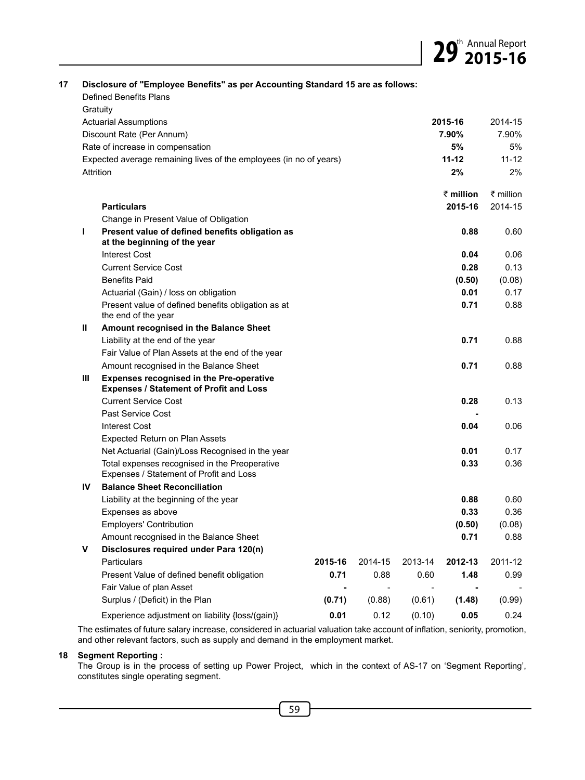|    |    | Disclosure of "Employee Benefits" as per Accounting Standard 15 are as follows:                   |         |                          |         |                      |           |
|----|----|---------------------------------------------------------------------------------------------------|---------|--------------------------|---------|----------------------|-----------|
|    |    | Defined Benefits Plans                                                                            |         |                          |         |                      |           |
|    |    | Gratuity                                                                                          |         |                          |         |                      |           |
|    |    | <b>Actuarial Assumptions</b>                                                                      |         |                          |         | 2015-16              | 2014-15   |
|    |    | Discount Rate (Per Annum)                                                                         |         |                          |         | 7.90%                | 7.90%     |
|    |    | Rate of increase in compensation                                                                  |         |                          |         | 5%                   | 5%        |
|    |    | Expected average remaining lives of the employees (in no of years)                                |         |                          |         | $11 - 12$            | $11 - 12$ |
|    |    | Attrition                                                                                         |         |                          |         | 2%                   | 2%        |
|    |    |                                                                                                   |         |                          |         | $\bar{\tau}$ million | ₹ million |
|    |    | <b>Particulars</b>                                                                                |         |                          |         | 2015-16              | 2014-15   |
|    |    | Change in Present Value of Obligation                                                             |         |                          |         |                      |           |
|    | I  | Present value of defined benefits obligation as                                                   |         |                          |         | 0.88                 | 0.60      |
|    |    | at the beginning of the year                                                                      |         |                          |         |                      |           |
|    |    | <b>Interest Cost</b>                                                                              |         |                          |         | 0.04                 | 0.06      |
|    |    | <b>Current Service Cost</b>                                                                       |         |                          |         | 0.28                 | 0.13      |
|    |    | <b>Benefits Paid</b>                                                                              |         |                          |         | (0.50)               | (0.08)    |
| 17 |    | Actuarial (Gain) / loss on obligation                                                             |         |                          |         | 0.01                 | 0.17      |
|    |    | Present value of defined benefits obligation as at<br>the end of the year                         |         |                          |         | 0.71                 | 0.88      |
|    | Ш  | Amount recognised in the Balance Sheet                                                            |         |                          |         |                      |           |
|    |    | Liability at the end of the year                                                                  |         |                          |         | 0.71                 | 0.88      |
|    |    | Fair Value of Plan Assets at the end of the year                                                  |         |                          |         |                      |           |
|    |    | Amount recognised in the Balance Sheet                                                            |         |                          |         | 0.71                 | 0.88      |
|    | Ш  | <b>Expenses recognised in the Pre-operative</b><br><b>Expenses / Statement of Profit and Loss</b> |         |                          |         |                      |           |
|    |    | <b>Current Service Cost</b>                                                                       |         |                          |         | 0.28                 | 0.13      |
|    |    | Past Service Cost                                                                                 |         |                          |         |                      |           |
|    |    | <b>Interest Cost</b>                                                                              |         |                          |         | 0.04                 | 0.06      |
|    |    | <b>Expected Return on Plan Assets</b>                                                             |         |                          |         |                      |           |
|    |    | Net Actuarial (Gain)/Loss Recognised in the year                                                  |         |                          |         | 0.01                 | 0.17      |
|    |    | Total expenses recognised in the Preoperative<br>Expenses / Statement of Profit and Loss          |         |                          |         | 0.33                 | 0.36      |
|    | IV | <b>Balance Sheet Reconciliation</b>                                                               |         |                          |         |                      |           |
|    |    | Liability at the beginning of the year                                                            |         |                          |         | 0.88                 | 0.60      |
|    |    | Expenses as above                                                                                 |         |                          |         | 0.33                 | 0.36      |
|    |    | <b>Employers' Contribution</b>                                                                    |         |                          |         | (0.50)               | (0.08)    |
|    |    | Amount recognised in the Balance Sheet                                                            |         |                          |         | 0.71                 | 0.88      |
|    | v  | Disclosures required under Para 120(n)                                                            |         |                          |         |                      |           |
|    |    | Particulars                                                                                       | 2015-16 | 2014-15                  | 2013-14 | 2012-13              | 2011-12   |
|    |    | Present Value of defined benefit obligation                                                       | 0.71    | 0.88                     | 0.60    | 1.48                 | 0.99      |
|    |    | Fair Value of plan Asset                                                                          |         | $\overline{\phantom{a}}$ |         |                      |           |
|    |    | Surplus / (Deficit) in the Plan                                                                   | (0.71)  | (0.88)                   | (0.61)  | (1.48)               | (0.99)    |
|    |    | Experience adjustment on liability {loss/(gain)}                                                  | 0.01    | 0.12                     | (0.10)  | 0.05                 | 0.24      |

The estimates of future salary increase, considered in actuarial valuation take account of inflation, seniority, promotion, and other relevant factors, such as supply and demand in the employment market.

#### **18 Segment Reporting :**

The Group is in the process of setting up Power Project, which in the context of AS-17 on 'Segment Reporting', constitutes single operating segment.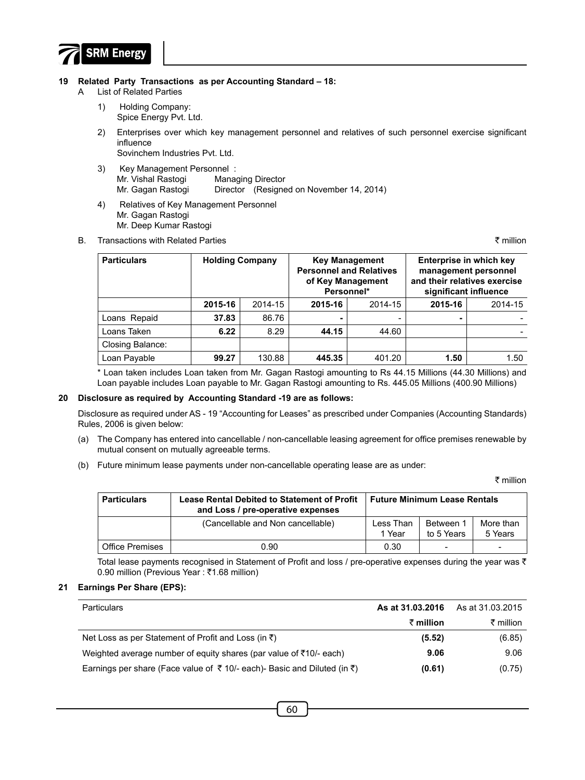

- **19 Related Party Transactions as per Accounting Standard 18:**
	- A List of Related Parties
		- 1) Holding Company: Spice Energy Pvt. Ltd.
		- 2) Enterprises over which key management personnel and relatives of such personnel exercise significant influence

Sovinchem Industries Pvt. Ltd.

- 3) Key Management Personnel : Mr. Vishal Rastogi Managing Director Mr. Gagan Rastogi Director (Resigned on November 14, 2014)
- 4) Relatives of Key Management Personnel Mr. Gagan Rastogi Mr. Deep Kumar Rastogi
- B. Transactions with Related Parties  $\bar{\tau}$  million

| <b>Particulars</b> | <b>Holding Company</b> |         | <b>Key Management</b><br><b>Personnel and Relatives</b><br>of Key Management<br>Personnel* |         | Enterprise in which key<br>management personnel<br>and their relatives exercise<br>significant influence |         |
|--------------------|------------------------|---------|--------------------------------------------------------------------------------------------|---------|----------------------------------------------------------------------------------------------------------|---------|
|                    | 2015-16                | 2014-15 | 2015-16                                                                                    | 2014-15 | 2015-16                                                                                                  | 2014-15 |
| Loans Repaid       | 37.83                  | 86.76   | ۰                                                                                          | -       | ۰                                                                                                        |         |
| Loans Taken        | 6.22                   | 8.29    | 44.15                                                                                      | 44.60   |                                                                                                          |         |
| Closing Balance:   |                        |         |                                                                                            |         |                                                                                                          |         |
| Loan Payable       | 99.27                  | 130.88  | 445.35                                                                                     | 401.20  | 1.50                                                                                                     | 1.50    |

\* Loan taken includes Loan taken from Mr. Gagan Rastogi amounting to Rs 44.15 Millions (44.30 Millions) and Loan payable includes Loan payable to Mr. Gagan Rastogi amounting to Rs. 445.05 Millions (400.90 Millions)

#### **20 Disclosure as required by Accounting Standard -19 are as follows:**

Disclosure as required under AS - 19 "Accounting for Leases" as prescribed under Companies (Accounting Standards) Rules, 2006 is given below:

- (a) The Company has entered into cancellable / non-cancellable leasing agreement for office premises renewable by mutual consent on mutually agreeable terms.
- (b) Future minimum lease payments under non-cancellable operating lease are as under:

₹ million

| <b>Particulars</b>     | <b>Future Minimum Lease Rentals</b> |                     |                          |                      |
|------------------------|-------------------------------------|---------------------|--------------------------|----------------------|
|                        | (Cancellable and Non cancellable)   | Less Than<br>1 Year | Between 1<br>to 5 Years  | More than<br>5 Years |
| <b>Office Premises</b> | 0.90                                | 0.30                | $\overline{\phantom{0}}$ | -                    |

Total lease payments recognised in Statement of Profit and loss / pre-operative expenses during the year was  $\bar{\tau}$ 0.90 million (Previous Year : ₹1.68 million)

#### **21 Earnings Per Share (EPS):**

| Particulars                                                                                     | As at 31.03.2016 | As at 31.03.2015 |
|-------------------------------------------------------------------------------------------------|------------------|------------------|
|                                                                                                 | ₹ million        | ₹ million        |
| Net Loss as per Statement of Profit and Loss (in $\bar{z}$ )                                    | (5.52)           | (6.85)           |
| Weighted average number of equity shares (par value of $\bar{\tau}$ 10/- each)                  | 9.06             | 9.06             |
| Earnings per share (Face value of $\bar{\tau}$ 10/- each)- Basic and Diluted (in $\bar{\tau}$ ) | (0.61)           | (0.75)           |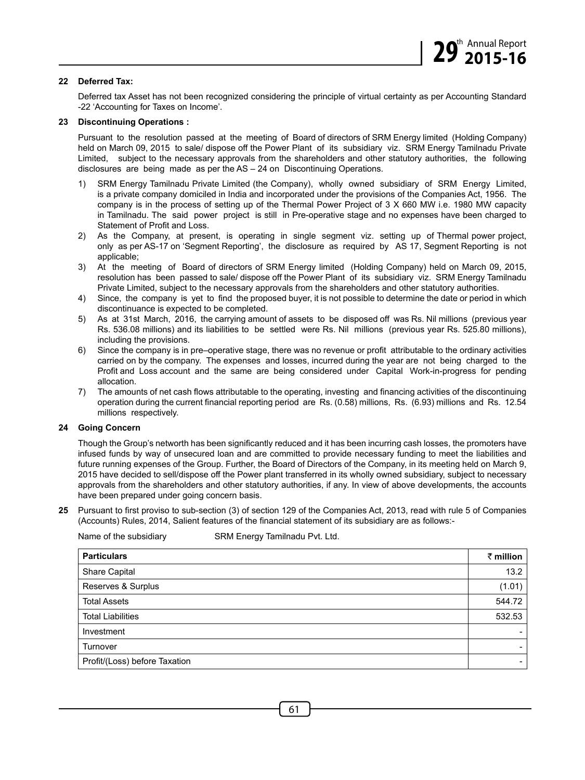#### **22 Deferred Tax:**

Deferred tax Asset has not been recognized considering the principle of virtual certainty as per Accounting Standard -22 'Accounting for Taxes on Income'.

#### **23 Discontinuing Operations :**

Pursuant to the resolution passed at the meeting of Board of directors of SRM Energy limited (Holding Company) held on March 09, 2015 to sale/ dispose off the Power Plant of its subsidiary viz. SRM Energy Tamilnadu Private Limited, subject to the necessary approvals from the shareholders and other statutory authorities, the following disclosures are being made as per the AS – 24 on Discontinuing Operations.

- 1) SRM Energy Tamilnadu Private Limited (the Company), wholly owned subsidiary of SRM Energy Limited, is a private company domiciled in India and incorporated under the provisions of the Companies Act, 1956. The company is in the process of setting up of the Thermal Power Project of 3 X 660 MW i.e. 1980 MW capacity in Tamilnadu. The said power project is still in Pre-operative stage and no expenses have been charged to Statement of Profit and Loss.
- 2) As the Company, at present, is operating in single segment viz. setting up of Thermal power project, only as per AS-17 on 'Segment Reporting', the disclosure as required by AS 17, Segment Reporting is not applicable;
- 3) At the meeting of Board of directors of SRM Energy limited (Holding Company) held on March 09, 2015, resolution has been passed to sale/ dispose off the Power Plant of its subsidiary viz. SRM Energy Tamilnadu Private Limited, subject to the necessary approvals from the shareholders and other statutory authorities.
- 4) Since, the company is yet to find the proposed buyer, it is not possible to determine the date or period in which discontinuance is expected to be completed.
- 5) As at 31st March, 2016, the carrying amount of assets to be disposed off was Rs. Nil millions (previous year Rs. 536.08 millions) and its liabilities to be settled were Rs. Nil millions (previous year Rs. 525.80 millions), including the provisions.
- 6) Since the company is in pre–operative stage, there was no revenue or profit attributable to the ordinary activities carried on by the company. The expenses and losses, incurred during the year are not being charged to the Profit and Loss account and the same are being considered under Capital Work-in-progress for pending allocation.
- 7) The amounts of net cash flows attributable to the operating, investing and financing activities of the discontinuing operation during the current financial reporting period are Rs. (0.58) millions, Rs. (6.93) millions and Rs. 12.54 millions respectively.

#### **24 Going Concern**

Though the Group's networth has been significantly reduced and it has been incurring cash losses, the promoters have infused funds by way of unsecured loan and are committed to provide necessary funding to meet the liabilities and future running expenses of the Group. Further, the Board of Directors of the Company, in its meeting held on March 9, 2015 have decided to sell/dispose off the Power plant transferred in its wholly owned subsidiary, subject to necessary approvals from the shareholders and other statutory authorities, if any. In view of above developments, the accounts have been prepared under going concern basis.

**25** Pursuant to first proviso to sub-section (3) of section 129 of the Companies Act, 2013, read with rule 5 of Companies (Accounts) Rules, 2014, Salient features of the financial statement of its subsidiary are as follows:-

| ັ                             |           |
|-------------------------------|-----------|
| <b>Particulars</b>            | ₹ million |
| Share Capital                 | 13.2      |
| Reserves & Surplus            | (1.01)    |
| <b>Total Assets</b>           | 544.72    |
| <b>Total Liabilities</b>      | 532.53    |
| Investment                    |           |
| Turnover                      |           |
| Profit/(Loss) before Taxation |           |

Name of the subsidiary SRM Energy Tamilnadu Pvt. Ltd.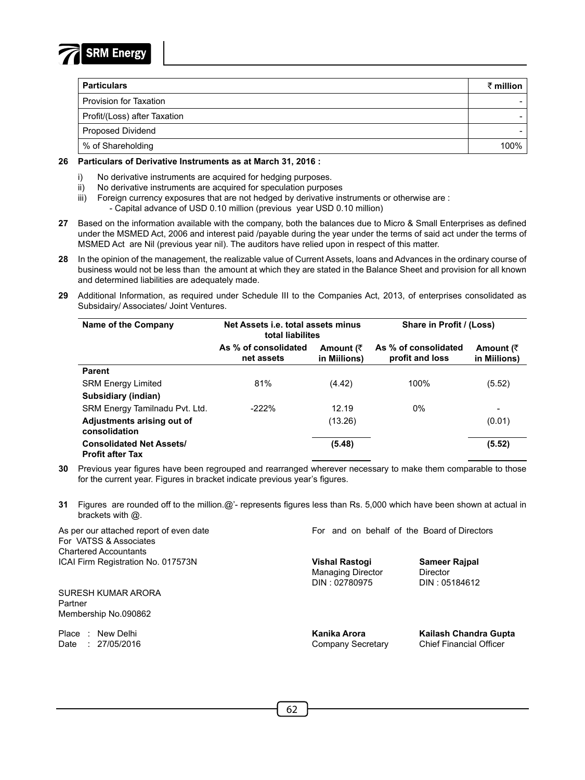

| <b>Particulars</b>           | $\bar{\tau}$ million |
|------------------------------|----------------------|
| Provision for Taxation       |                      |
| Profit/(Loss) after Taxation |                      |
| <b>Proposed Dividend</b>     |                      |
| % of Shareholding            | 100%                 |

#### **26 Particulars of Derivative Instruments as at March 31, 2016 :**

- i) No derivative instruments are acquired for hedging purposes.
- ii) No derivative instruments are acquired for speculation purposes
- iii) Foreign currency exposures that are not hedged by derivative instruments or otherwise are :
	- Capital advance of USD 0.10 million (previous year USD 0.10 million)
- **27** Based on the information available with the company, both the balances due to Micro & Small Enterprises as defined under the MSMED Act, 2006 and interest paid /payable during the year under the terms of said act under the terms of MSMED Act are Nil (previous year nil). The auditors have relied upon in respect of this matter.
- **28** In the opinion of the management, the realizable value of Current Assets, loans and Advances in the ordinary course of business would not be less than the amount at which they are stated in the Balance Sheet and provision for all known and determined liabilities are adequately made.
- **29** Additional Information, as required under Schedule III to the Companies Act, 2013, of enterprises consolidated as Subsidairy/ Associates/ Joint Ventures.

| Name of the Company                                        | Net Assets i.e. total assets minus<br>total liabilites |                           | Share in Profit / (Loss)                |                           |  |
|------------------------------------------------------------|--------------------------------------------------------|---------------------------|-----------------------------------------|---------------------------|--|
|                                                            | As % of consolidated<br>net assets                     | Amount (₹<br>in Miilions) | As % of consolidated<br>profit and loss | Amount (₹<br>in Miilions) |  |
| <b>Parent</b>                                              |                                                        |                           |                                         |                           |  |
| <b>SRM Energy Limited</b>                                  | 81%                                                    | (4.42)                    | 100%                                    | (5.52)                    |  |
| Subsidiary (indian)                                        |                                                        |                           |                                         |                           |  |
| SRM Energy Tamilnadu Pvt. Ltd.                             | $-222%$                                                | 12.19                     | $0\%$                                   |                           |  |
| Adjustments arising out of<br>consolidation                |                                                        | (13.26)                   |                                         | (0.01)                    |  |
| <b>Consolidated Net Assets/</b><br><b>Profit after Tax</b> |                                                        | (5.48)                    |                                         | (5.52)                    |  |

- **30** Previous year figures have been regrouped and rearranged wherever necessary to make them comparable to those for the current year. Figures in bracket indicate previous year's figures.
- **31** Figures are rounded off to the million.@'- represents figures less than Rs. 5,000 which have been shown at actual in brackets with @.

For VATSS & Associates Chartered Accountants ICAI Firm Registration No. 017573N **Vishal Rastogi Sameer Rajpal**

SURESH KUMAR ARORA Partner Membership No.090862

Date : 27/05/2016 Company Secretary Chief Financial Officer

As per our attached report of even date For and on behalf of the Board of Directors

Managing Director DIN : 02780975 DIN : 05184612

Place : New Delhi **Kanika Arora Kailash Chandra Gupta**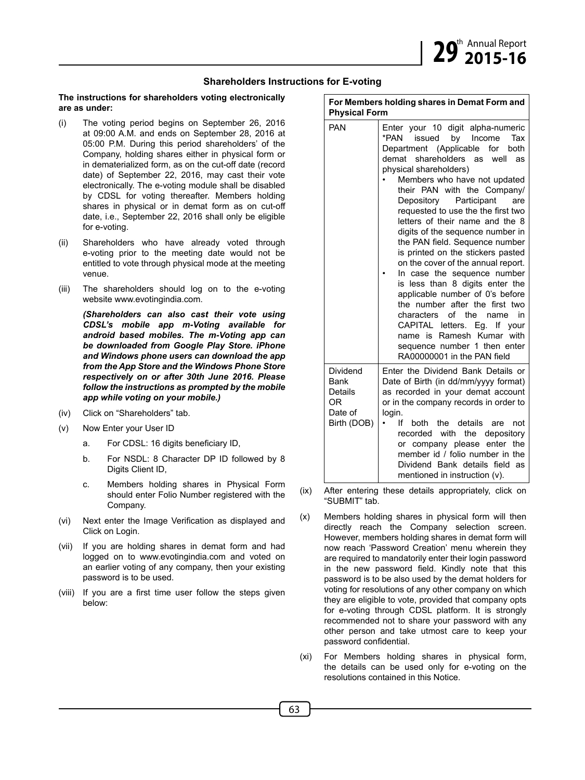#### **Shareholders Instructions for E-voting**

#### **The instructions for shareholders voting electronically are as under:**

- (i) The voting period begins on September 26, 2016 at 09:00 A.M. and ends on September 28, 2016 at 05:00 P.M. During this period shareholders' of the Company, holding shares either in physical form or in dematerialized form, as on the cut-off date (record date) of September 22, 2016, may cast their vote electronically. The e-voting module shall be disabled by CDSL for voting thereafter. Members holding shares in physical or in demat form as on cut-off date, i.e., September 22, 2016 shall only be eligible for e-voting.
- (ii) Shareholders who have already voted through e-voting prior to the meeting date would not be entitled to vote through physical mode at the meeting venue.
- (iii) The shareholders should log on to the e-voting website www.evotingindia.com.

*(Shareholders can also cast their vote using CDSL's mobile app m-Voting available for android based mobiles. The m-Voting app can be downloaded from Google Play Store. iPhone and Windows phone users can download the app from the App Store and the Windows Phone Store respectively on or after 30th June 2016. Please follow the instructions as prompted by the mobile app while voting on your mobile.)*

- (iv) Click on "Shareholders" tab.
- (v) Now Enter your User ID
	- a. For CDSL: 16 digits beneficiary ID,
	- b. For NSDL: 8 Character DP ID followed by 8 Digits Client ID,
	- c. Members holding shares in Physical Form should enter Folio Number registered with the Company.
- (vi) Next enter the Image Verification as displayed and Click on Login.
- (vii) If you are holding shares in demat form and had logged on to www.evotingindia.com and voted on an earlier voting of any company, then your existing password is to be used.
- (viii) If you are a first time user follow the steps given below:

| For Members holding shares in Demat Form and<br><b>Physical Form</b> |                                                                                                                                                                                                                                                                                                                                                                                                                                                                                                                                                                                                                                                                                                                                                                                                                            |  |
|----------------------------------------------------------------------|----------------------------------------------------------------------------------------------------------------------------------------------------------------------------------------------------------------------------------------------------------------------------------------------------------------------------------------------------------------------------------------------------------------------------------------------------------------------------------------------------------------------------------------------------------------------------------------------------------------------------------------------------------------------------------------------------------------------------------------------------------------------------------------------------------------------------|--|
| <b>PAN</b>                                                           | Enter your 10 digit alpha-numeric<br>by Income<br>*PAN<br>issued<br>Tax<br>Department (Applicable<br>for<br>both<br>demat<br>shareholders<br>as well<br>as<br>physical shareholders)<br>Members who have not updated<br>their PAN with the Company/<br>Participant<br>Depository<br>are<br>requested to use the the first two<br>letters of their name and the 8<br>digits of the sequence number in<br>the PAN field. Sequence number<br>is printed on the stickers pasted<br>on the cover of the annual report.<br>In case the sequence number<br>less than 8 digits enter the<br>is<br>applicable number of 0's before<br>the number after the first two<br>of the name<br>characters<br>in<br>CAPITAL letters. Eg. If your<br>name is Ramesh Kumar with<br>sequence number 1 then enter<br>RA00000001 in the PAN field |  |
| Dividend<br>Bank<br>Details<br>0R<br>Date of<br>Birth (DOB)          | Enter the Dividend Bank Details or<br>Date of Birth (in dd/mm/yyyy format)<br>as recorded in your demat account<br>or in the company records in order to<br>login.<br>hoth<br>details<br>١f<br>the<br>not<br>are<br>with<br>the depository<br>recorded<br>or company please enter the<br>member id / folio number in the<br>Dividend Bank details field as<br>mentioned in instruction (v).                                                                                                                                                                                                                                                                                                                                                                                                                                |  |

- (ix) After entering these details appropriately, click on "SUBMIT" tab.
- (x) Members holding shares in physical form will then directly reach the Company selection screen. However, members holding shares in demat form will now reach 'Password Creation' menu wherein they are required to mandatorily enter their login password in the new password field. Kindly note that this password is to be also used by the demat holders for voting for resolutions of any other company on which they are eligible to vote, provided that company opts for e-voting through CDSL platform. It is strongly recommended not to share your password with any other person and take utmost care to keep your password confidential.
- (xi) For Members holding shares in physical form, the details can be used only for e-voting on the resolutions contained in this Notice.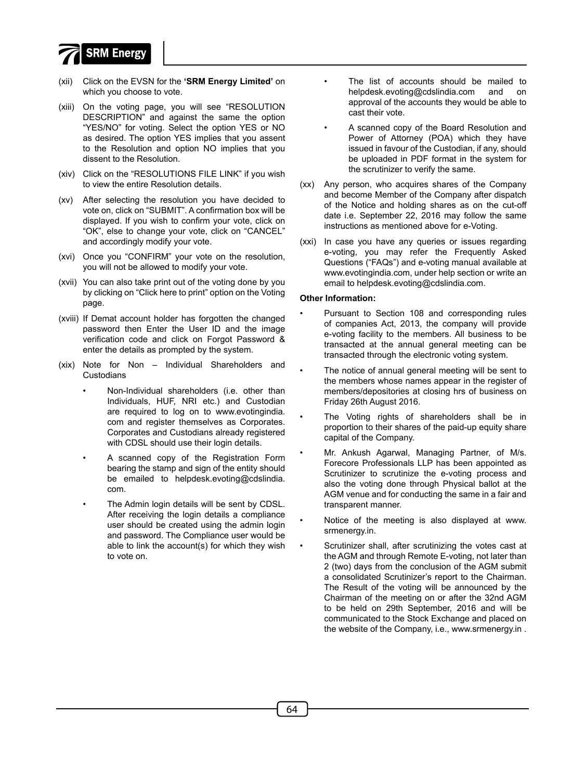

- (xii) Click on the EVSN for the **'SRM Energy Limited'** on which you choose to vote.
- (xiii) On the voting page, you will see "RESOLUTION DESCRIPTION" and against the same the option "YES/NO" for voting. Select the option YES or NO as desired. The option YES implies that you assent to the Resolution and option NO implies that you dissent to the Resolution.
- (xiv) Click on the "RESOLUTIONS FILE LINK" if you wish to view the entire Resolution details.
- (xv) After selecting the resolution you have decided to vote on, click on "SUBMIT". A confirmation box will be displayed. If you wish to confirm your vote, click on "OK", else to change your vote, click on "CANCEL" and accordingly modify your vote.
- (xvi) Once you "CONFIRM" your vote on the resolution, you will not be allowed to modify your vote.
- (xvii) You can also take print out of the voting done by you by clicking on "Click here to print" option on the Voting page.
- (xviii) If Demat account holder has forgotten the changed password then Enter the User ID and the image verification code and click on Forgot Password & enter the details as prompted by the system.
- (xix) Note for Non Individual Shareholders and **Custodians** 
	- Non-Individual shareholders (i.e. other than Individuals, HUF, NRI etc.) and Custodian are required to log on to www.evotingindia. com and register themselves as Corporates. Corporates and Custodians already registered with CDSL should use their login details.
	- A scanned copy of the Registration Form bearing the stamp and sign of the entity should be emailed to helpdesk.evoting@cdslindia. com.
	- The Admin login details will be sent by CDSL. After receiving the login details a compliance user should be created using the admin login and password. The Compliance user would be able to link the account(s) for which they wish to vote on.
- The list of accounts should be mailed to helpdesk.evoting@cdslindia.com and on approval of the accounts they would be able to cast their vote.
- A scanned copy of the Board Resolution and Power of Attorney (POA) which they have issued in favour of the Custodian, if any, should be uploaded in PDF format in the system for the scrutinizer to verify the same.
- (xx) Any person, who acquires shares of the Company and become Member of the Company after dispatch of the Notice and holding shares as on the cut-off date i.e. September 22, 2016 may follow the same instructions as mentioned above for e-Voting.
- (xxi) In case you have any queries or issues regarding e-voting, you may refer the Frequently Asked Questions ("FAQs") and e-voting manual available at www.evotingindia.com, under help section or write an email to helpdesk.evoting@cdslindia.com.

#### **Other Information:**

- Pursuant to Section 108 and corresponding rules of companies Act, 2013, the company will provide e-voting facility to the members. All business to be transacted at the annual general meeting can be transacted through the electronic voting system.
- The notice of annual general meeting will be sent to the members whose names appear in the register of members/depositories at closing hrs of business on Friday 26th August 2016.
- The Voting rights of shareholders shall be in proportion to their shares of the paid-up equity share capital of the Company.
- Mr. Ankush Agarwal, Managing Partner, of M/s. Forecore Professionals LLP has been appointed as Scrutinizer to scrutinize the e-voting process and also the voting done through Physical ballot at the AGM venue and for conducting the same in a fair and transparent manner.
- Notice of the meeting is also displayed at www. srmenergy.in.
- Scrutinizer shall, after scrutinizing the votes cast at the AGM and through Remote E-voting, not later than 2 (two) days from the conclusion of the AGM submit a consolidated Scrutinizer's report to the Chairman. The Result of the voting will be announced by the Chairman of the meeting on or after the 32nd AGM to be held on 29th September, 2016 and will be communicated to the Stock Exchange and placed on the website of the Company, i.e., www.srmenergy.in .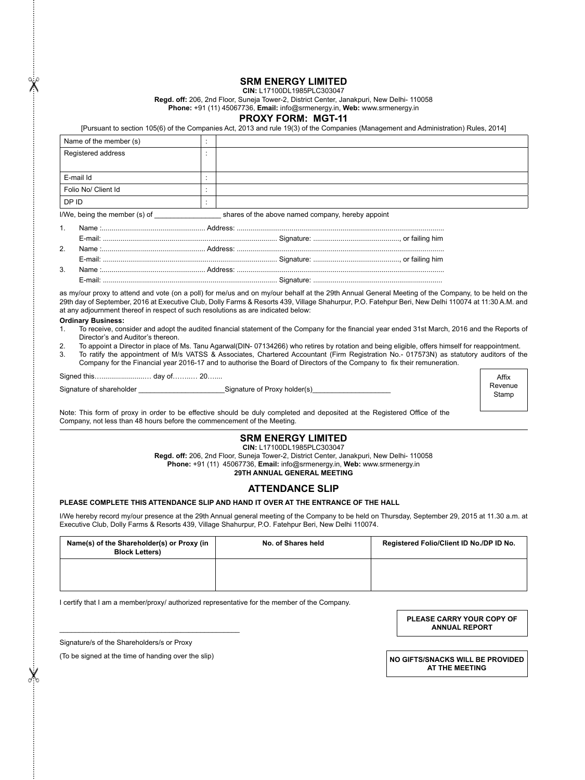**SRM ENERGY LIMITED**

**CIN:** L17100DL1985PLC303047

**Regd. off:** 206, 2nd Floor, Suneja Tower-2, District Center, Janakpuri, New Delhi- 110058 **Phone:** +91 (11) 45067736, **Email:** info@srmenergy.in, **Web:** www.srmenergy.in

#### **PROXY FORM: MGT-11**

[Pursuant to section 105(6) of the Companies Act, 2013 and rule 19(3) of the Companies (Management and Administration) Rules, 2014]

|                                                                                    | Registered address                                                                                             |  |  |                                                                                                                                                                                                                                                                                                           |
|------------------------------------------------------------------------------------|----------------------------------------------------------------------------------------------------------------|--|--|-----------------------------------------------------------------------------------------------------------------------------------------------------------------------------------------------------------------------------------------------------------------------------------------------------------|
|                                                                                    | E-mail Id                                                                                                      |  |  |                                                                                                                                                                                                                                                                                                           |
|                                                                                    | Folio No/ Client Id                                                                                            |  |  |                                                                                                                                                                                                                                                                                                           |
|                                                                                    | DP ID                                                                                                          |  |  |                                                                                                                                                                                                                                                                                                           |
| I/We, being the member (s) of<br>shares of the above named company, hereby appoint |                                                                                                                |  |  |                                                                                                                                                                                                                                                                                                           |
| $\mathbf{1}$ .                                                                     |                                                                                                                |  |  |                                                                                                                                                                                                                                                                                                           |
|                                                                                    |                                                                                                                |  |  |                                                                                                                                                                                                                                                                                                           |
| 2.                                                                                 |                                                                                                                |  |  |                                                                                                                                                                                                                                                                                                           |
|                                                                                    |                                                                                                                |  |  |                                                                                                                                                                                                                                                                                                           |
| 3.                                                                                 |                                                                                                                |  |  |                                                                                                                                                                                                                                                                                                           |
|                                                                                    |                                                                                                                |  |  |                                                                                                                                                                                                                                                                                                           |
|                                                                                    | at any adjournment thereof in respect of such resolutions as are indicated below:<br><b>Ordinary Business:</b> |  |  | as my/our proxy to attend and vote (on a poll) for me/us and on my/our behalf at the 29th Annual General Meeting of the Company, to be held on the<br>29th day of September, 2016 at Executive Club, Dolly Farms & Resorts 439, Village Shahurpur, P.O. Fatehpur Beri, New Delhi 110074 at 11:30 A.M. and |

- **Ordinary Business:**<br>1. To receive, consider and adopt the audited financial statement of the Company for the financial year ended 31st March, 2016 and the Reports of Director's and Auditor's thereon.
- 2. To appoint a Director in place of Ms. Tanu Agarwal(DIN- 07134266) who retires by rotation and being eligible, offers himself for reappointment.<br>2. To ratify the appointment of M/s VATSS & Associates, Chartered Accountan 3. To ratify the appointment of M/s VATSS & Associates, Chartered Accountant (Firm Registration No.- 017573N) as statutory auditors of the
- Company for the Financial year 2016-17 and to authorise the Board of Directors of the Company to fix their remuneration.

Signed this…......................… day of……..… 20…....

Name of the member (s)

Signature of shareholder \_\_\_\_\_\_\_\_\_\_\_\_\_\_\_\_\_\_\_\_\_\_Signature of Proxy holder(s)\_\_\_\_\_\_\_\_\_\_\_\_\_\_\_\_\_\_\_\_

Affix Revenue Stamp

Note: This form of proxy in order to be effective should be duly completed and deposited at the Registered Office of the Company, not less than 48 hours before the commencement of the Meeting.

## **SRM ENERGY LIMITED**

**CIN:** L17100DL1985PLC303047 **Regd. off:** 206, 2nd Floor, Suneja Tower-2, District Center, Janakpuri, New Delhi- 110058 **Phone:** +91 (11) 45067736, **Email:** info@srmenergy.in, **Web:** www.srmenergy.in

**29TH ANNUAL GENERAL MEETING**

#### **ATTENDANCE SLIP**

#### **PLEASE COMPLETE THIS ATTENDANCE SLIP AND HAND IT OVER AT THE ENTRANCE OF THE HALL**

I/We hereby record my/our presence at the 29th Annual general meeting of the Company to be held on Thursday, September 29, 2015 at 11.30 a.m. at Executive Club, Dolly Farms & Resorts 439, Village Shahurpur, P.O. Fatehpur Beri, New Delhi 110074.

| Name(s) of the Shareholder(s) or Proxy (in<br><b>Block Letters)</b> | No. of Shares held | Registered Folio/Client ID No./DP ID No. |
|---------------------------------------------------------------------|--------------------|------------------------------------------|
|                                                                     |                    |                                          |

I certify that I am a member/proxy/ authorized representative for the member of the Company.

**PLEASE CARRY YOUR COPY OF ANNUAL REPORT**

Signature/s of the Shareholders/s or Proxy

(To be signed at the time of handing over the slip)

\_\_\_\_\_\_\_\_\_\_\_\_\_\_\_\_\_\_\_\_\_\_\_\_\_\_\_\_\_\_\_\_\_\_\_\_\_\_\_\_\_\_\_\_\_\_

**NO GIFTS/SNACKS WILL BE PROVIDED AT THE MEETING**